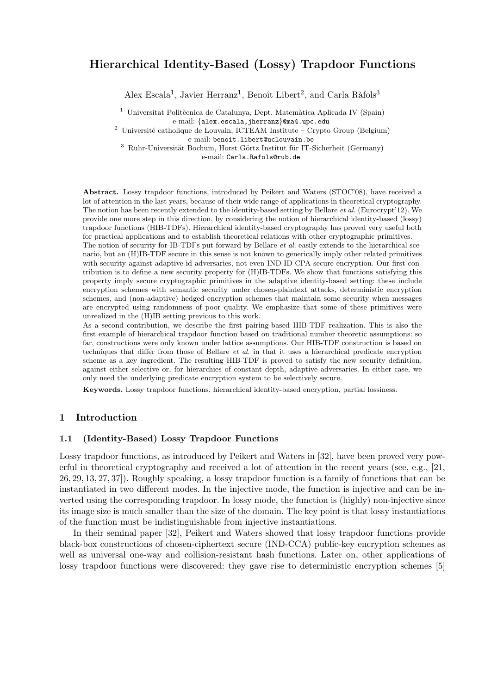# Hierarchical Identity-Based (Lossy) Trapdoor Functions

Alex Escala<sup>1</sup>, Javier Herranz<sup>1</sup>, Benoît Libert<sup>2</sup>, and Carla Ràfols<sup>3</sup>

 $^1$ Universitat Politècnica de Catalunya, Dept. Matemàtica Aplicada IV (Spain) e-mail: {alex.escala,jherranz}@ma4.upc.edu

 $2$  Université catholique de Louvain, ICTEAM Institute – Crypto Group (Belgium)

e-mail: benoit.libert@uclouvain.be

 $3$  Ruhr-Universität Bochum, Horst Görtz Institut für IT-Sicherheit (Germany)

e-mail: Carla.Rafols@rub.de

Abstract. Lossy trapdoor functions, introduced by Peikert and Waters (STOC'08), have received a lot of attention in the last years, because of their wide range of applications in theoretical cryptography. The notion has been recently extended to the identity-based setting by Bellare et al. (Eurocrypt'12). We provide one more step in this direction, by considering the notion of hierarchical identity-based (lossy) trapdoor functions (HIB-TDFs). Hierarchical identity-based cryptography has proved very useful both for practical applications and to establish theoretical relations with other cryptographic primitives.

The notion of security for IB-TDFs put forward by Bellare *et al.* easily extends to the hierarchical scenario, but an (H)IB-TDF secure in this sense is not known to generically imply other related primitives with security against adaptive-id adversaries, not even IND-ID-CPA secure encryption. Our first contribution is to define a new security property for (H)IB-TDFs. We show that functions satisfying this property imply secure cryptographic primitives in the adaptive identity-based setting: these include encryption schemes with semantic security under chosen-plaintext attacks, deterministic encryption schemes, and (non-adaptive) hedged encryption schemes that maintain some security when messages are encrypted using randomness of poor quality. We emphasize that some of these primitives were unrealized in the (H)IB setting previous to this work.

As a second contribution, we describe the first pairing-based HIB-TDF realization. This is also the first example of hierarchical trapdoor function based on traditional number theoretic assumptions: so far, constructions were only known under lattice assumptions. Our HIB-TDF construction is based on techniques that differ from those of Bellare et al. in that it uses a hierarchical predicate encryption scheme as a key ingredient. The resulting HIB-TDF is proved to satisfy the new security definition, against either selective or, for hierarchies of constant depth, adaptive adversaries. In either case, we only need the underlying predicate encryption system to be selectively secure.

Keywords. Lossy trapdoor functions, hierarchical identity-based encryption, partial lossiness.

# 1 Introduction

# 1.1 (Identity-Based) Lossy Trapdoor Functions

Lossy trapdoor functions, as introduced by Peikert and Waters in [32], have been proved very powerful in theoretical cryptography and received a lot of attention in the recent years (see, e.g., [21, 26, 29, 13, 27, 37]). Roughly speaking, a lossy trapdoor function is a family of functions that can be instantiated in two different modes. In the injective mode, the function is injective and can be inverted using the corresponding trapdoor. In lossy mode, the function is (highly) non-injective since its image size is much smaller than the size of the domain. The key point is that lossy instantiations of the function must be indistinguishable from injective instantiations.

In their seminal paper [32], Peikert and Waters showed that lossy trapdoor functions provide black-box constructions of chosen-ciphertext secure (IND-CCA) public-key encryption schemes as well as universal one-way and collision-resistant hash functions. Later on, other applications of lossy trapdoor functions were discovered: they gave rise to deterministic encryption schemes [5]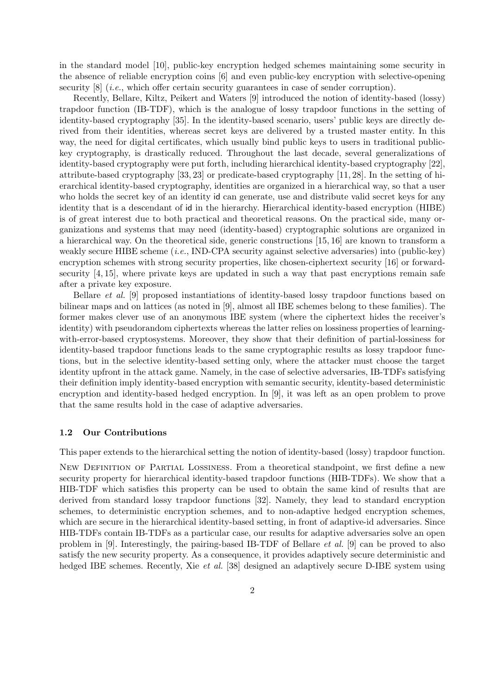in the standard model [10], public-key encryption hedged schemes maintaining some security in the absence of reliable encryption coins [6] and even public-key encryption with selective-opening security  $[8]$  (*i.e.*, which offer certain security guarantees in case of sender corruption).

Recently, Bellare, Kiltz, Peikert and Waters [9] introduced the notion of identity-based (lossy) trapdoor function (IB-TDF), which is the analogue of lossy trapdoor functions in the setting of identity-based cryptography [35]. In the identity-based scenario, users' public keys are directly derived from their identities, whereas secret keys are delivered by a trusted master entity. In this way, the need for digital certificates, which usually bind public keys to users in traditional publickey cryptography, is drastically reduced. Throughout the last decade, several generalizations of identity-based cryptography were put forth, including hierarchical identity-based cryptography [22], attribute-based cryptography [33, 23] or predicate-based cryptography [11, 28]. In the setting of hierarchical identity-based cryptography, identities are organized in a hierarchical way, so that a user who holds the secret key of an identity id can generate, use and distribute valid secret keys for any identity that is a descendant of id in the hierarchy. Hierarchical identity-based encryption (HIBE) is of great interest due to both practical and theoretical reasons. On the practical side, many organizations and systems that may need (identity-based) cryptographic solutions are organized in a hierarchical way. On the theoretical side, generic constructions [15, 16] are known to transform a weakly secure HIBE scheme (i.e., IND-CPA security against selective adversaries) into (public-key) encryption schemes with strong security properties, like chosen-ciphertext security [16] or forwardsecurity [4, 15], where private keys are updated in such a way that past encryptions remain safe after a private key exposure.

Bellare et al. [9] proposed instantiations of identity-based lossy trapdoor functions based on bilinear maps and on lattices (as noted in [9], almost all IBE schemes belong to these families). The former makes clever use of an anonymous IBE system (where the ciphertext hides the receiver's identity) with pseudorandom ciphertexts whereas the latter relies on lossiness properties of learningwith-error-based cryptosystems. Moreover, they show that their definition of partial-lossiness for identity-based trapdoor functions leads to the same cryptographic results as lossy trapdoor functions, but in the selective identity-based setting only, where the attacker must choose the target identity upfront in the attack game. Namely, in the case of selective adversaries, IB-TDFs satisfying their definition imply identity-based encryption with semantic security, identity-based deterministic encryption and identity-based hedged encryption. In [9], it was left as an open problem to prove that the same results hold in the case of adaptive adversaries.

#### 1.2 Our Contributions

This paper extends to the hierarchical setting the notion of identity-based (lossy) trapdoor function.

NEW DEFINITION OF PARTIAL LOSSINESS. From a theoretical standpoint, we first define a new security property for hierarchical identity-based trapdoor functions (HIB-TDFs). We show that a HIB-TDF which satisfies this property can be used to obtain the same kind of results that are derived from standard lossy trapdoor functions [32]. Namely, they lead to standard encryption schemes, to deterministic encryption schemes, and to non-adaptive hedged encryption schemes, which are secure in the hierarchical identity-based setting, in front of adaptive-id adversaries. Since HIB-TDFs contain IB-TDFs as a particular case, our results for adaptive adversaries solve an open problem in [9]. Interestingly, the pairing-based IB-TDF of Bellare et al. [9] can be proved to also satisfy the new security property. As a consequence, it provides adaptively secure deterministic and hedged IBE schemes. Recently, Xie *et al.* [38] designed an adaptively secure D-IBE system using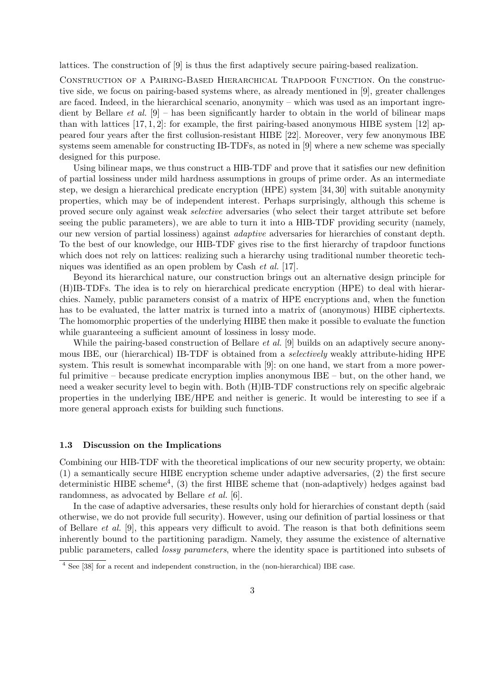lattices. The construction of [9] is thus the first adaptively secure pairing-based realization.

Construction of a Pairing-Based Hierarchical Trapdoor Function. On the constructive side, we focus on pairing-based systems where, as already mentioned in [9], greater challenges are faced. Indeed, in the hierarchical scenario, anonymity – which was used as an important ingredient by Bellare *et al.* [9] – has been significantly harder to obtain in the world of bilinear maps than with lattices  $[17, 1, 2]$ : for example, the first pairing-based anonymous HIBE system  $[12]$  appeared four years after the first collusion-resistant HIBE [22]. Moreover, very few anonymous IBE systems seem amenable for constructing IB-TDFs, as noted in [9] where a new scheme was specially designed for this purpose.

Using bilinear maps, we thus construct a HIB-TDF and prove that it satisfies our new definition of partial lossiness under mild hardness assumptions in groups of prime order. As an intermediate step, we design a hierarchical predicate encryption (HPE) system [34, 30] with suitable anonymity properties, which may be of independent interest. Perhaps surprisingly, although this scheme is proved secure only against weak selective adversaries (who select their target attribute set before seeing the public parameters), we are able to turn it into a HIB-TDF providing security (namely, our new version of partial lossiness) against adaptive adversaries for hierarchies of constant depth. To the best of our knowledge, our HIB-TDF gives rise to the first hierarchy of trapdoor functions which does not rely on lattices: realizing such a hierarchy using traditional number theoretic techniques was identified as an open problem by Cash et al. [17].

Beyond its hierarchical nature, our construction brings out an alternative design principle for (H)IB-TDFs. The idea is to rely on hierarchical predicate encryption (HPE) to deal with hierarchies. Namely, public parameters consist of a matrix of HPE encryptions and, when the function has to be evaluated, the latter matrix is turned into a matrix of (anonymous) HIBE ciphertexts. The homomorphic properties of the underlying HIBE then make it possible to evaluate the function while guaranteeing a sufficient amount of lossiness in lossy mode.

While the pairing-based construction of Bellare *et al.* [9] builds on an adaptively secure anonymous IBE, our (hierarchical) IB-TDF is obtained from a selectively weakly attribute-hiding HPE system. This result is somewhat incomparable with [9]: on one hand, we start from a more powerful primitive – because predicate encryption implies anonymous IBE – but, on the other hand, we need a weaker security level to begin with. Both (H)IB-TDF constructions rely on specific algebraic properties in the underlying IBE/HPE and neither is generic. It would be interesting to see if a more general approach exists for building such functions.

#### 1.3 Discussion on the Implications

Combining our HIB-TDF with the theoretical implications of our new security property, we obtain: (1) a semantically secure HIBE encryption scheme under adaptive adversaries, (2) the first secure deterministic HIBE scheme<sup>4</sup>, (3) the first HIBE scheme that (non-adaptively) hedges against bad randomness, as advocated by Bellare et al. [6].

In the case of adaptive adversaries, these results only hold for hierarchies of constant depth (said otherwise, we do not provide full security). However, using our definition of partial lossiness or that of Bellare *et al.* [9], this appears very difficult to avoid. The reason is that both definitions seem inherently bound to the partitioning paradigm. Namely, they assume the existence of alternative public parameters, called lossy parameters, where the identity space is partitioned into subsets of

<sup>4</sup> See [38] for a recent and independent construction, in the (non-hierarchical) IBE case.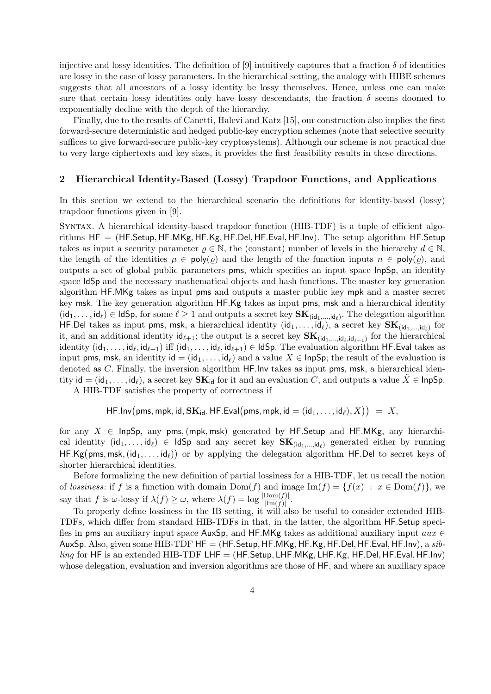injective and lossy identities. The definition of [9] intuitively captures that a fraction  $\delta$  of identities are lossy in the case of lossy parameters. In the hierarchical setting, the analogy with HIBE schemes suggests that all ancestors of a lossy identity be lossy themselves. Hence, unless one can make sure that certain lossy identities only have lossy descendants, the fraction  $\delta$  seems doomed to exponentially decline with the depth of the hierarchy.

Finally, due to the results of Canetti, Halevi and Katz [15], our construction also implies the first forward-secure deterministic and hedged public-key encryption schemes (note that selective security suffices to give forward-secure public-key cryptosystems). Although our scheme is not practical due to very large ciphertexts and key sizes, it provides the first feasibility results in these directions.

# 2 Hierarchical Identity-Based (Lossy) Trapdoor Functions, and Applications

In this section we extend to the hierarchical scenario the definitions for identity-based (lossy) trapdoor functions given in [9].

Syntax. A hierarchical identity-based trapdoor function (HIB-TDF) is a tuple of efficient algorithms  $HF = (HF. Setup, HF.MKg, HF.Kg, HF.Del, HF.Eval, HF.Inv)$ . The setup algorithm HF. Setup takes as input a security parameter  $\rho \in \mathbb{N}$ , the (constant) number of levels in the hierarchy  $d \in \mathbb{N}$ , the length of the identities  $\mu \in \text{poly}(\rho)$  and the length of the function inputs  $n \in \text{poly}(\rho)$ , and outputs a set of global public parameters pms, which specifies an input space InpSp, an identity space IdSp and the necessary mathematical objects and hash functions. The master key generation algorithm HF.MKg takes as input pms and outputs a master public key mpk and a master secret key msk. The key generation algorithm HF.Kg takes as input pms, msk and a hierarchical identity  $(\mathsf{id}_1,\ldots,\mathsf{id}_\ell) \in \mathsf{IdSp}$ , for some  $\ell \geq 1$  and outputs a secret key  $\mathbf{SK}_{(\mathsf{id}_1,\ldots,\mathsf{id}_\ell)}$ . The delegation algorithm HF.Del takes as input pms, msk, a hierarchical identity  $(\mathsf{id}_1,\ldots,\mathsf{id}_\ell)$ , a secret key  $\mathbf{SK}_{(\mathsf{id}_1,...,\mathsf{id}_\ell)}$  for it, and an additional identity  $\mathsf{id}_{\ell+1}$ ; the output is a secret key  $\mathbf{SK}_{(\mathsf{id}_1,\ldots,\mathsf{id}_\ell,\mathsf{id}_{\ell+1})}$  for the hierarchical identity  $(\mathsf{id}_1,\ldots,\mathsf{id}_\ell,\mathsf{id}_{\ell+1})$  iff  $(\mathsf{id}_1,\ldots,\mathsf{id}_\ell,\mathsf{id}_{\ell+1})\in\mathsf{Id}\mathsf{Sp}.$  The evaluation algorithm <code>HF.Eval</code> takes as input pms, msk, an identity id =  $(id_1, \ldots, id_\ell)$  and a value  $X \in \mathsf{InpSp}$ ; the result of the evaluation is denoted as C. Finally, the inversion algorithm HF.Inv takes as input pms, msk, a hierarchical identity  $id = (id_1, \ldots, id_\ell)$ , a secret key  $\mathbf{SK}_{id}$  for it and an evaluation C, and outputs a value  $X \in \mathsf{InpSp}$ .

A HIB-TDF satisfies the property of correctness if

$$
\mathsf{HF}.\mathsf{Inv}\big(\mathsf{pms},\mathsf{mpk},\mathsf{id},\mathbf{SK}_{\mathsf{id}},\mathsf{HF}.\mathsf{Eval}\big(\mathsf{pms},\mathsf{mpk},\mathsf{id}=(\mathsf{id}_1,\ldots,\mathsf{id}_\ell),X\big)\big) \;=\; X,
$$

for any  $X \in \text{InpSp},$  any pms, (mpk, msk) generated by HF. Setup and HF. MKg, any hierarchical identity  $(id_1, \ldots, id_\ell) \in IdSp$  and any secret key  $SK_{(id_1,\ldots, id_\ell)}$  generated either by running HF.Kg(pms, msk,  $(id_1, \ldots, id_\ell)$ ) or by applying the delegation algorithm HF.Del to secret keys of shorter hierarchical identities.

Before formalizing the new definition of partial lossiness for a HIB-TDF, let us recall the notion of lossiness: if f is a function with domain  $Dom(f)$  and image  $Im(f) = \{f(x) : x \in Dom(f)\}\)$ , we say that f is  $\omega$ -lossy if  $\lambda(f) \geq \omega$ , where  $\lambda(f) = \log \frac{|\text{Dom}(f)|}{|\text{Im}(f)|}$ .

To properly define lossiness in the IB setting, it will also be useful to consider extended HIB-TDFs, which differ from standard HIB-TDFs in that, in the latter, the algorithm HF.Setup specifies in pms an auxiliary input space AuxSp, and HF.MKg takes as additional auxiliary input  $aux \in$ AuxSp. Also, given some HIB-TDF  $HF = (HF.$ Setup,  $HF.MKg, HF.Kg, HF.Del, HF.Eval, HF.lnv)$ , a  $sib$ ling for HF is an extended HIB-TDF LHF =  $(HF.Setup, LHF.MKg, LHF.Kg, HF.Del, HF.Eval, HF.lnv)$ whose delegation, evaluation and inversion algorithms are those of HF, and where an auxiliary space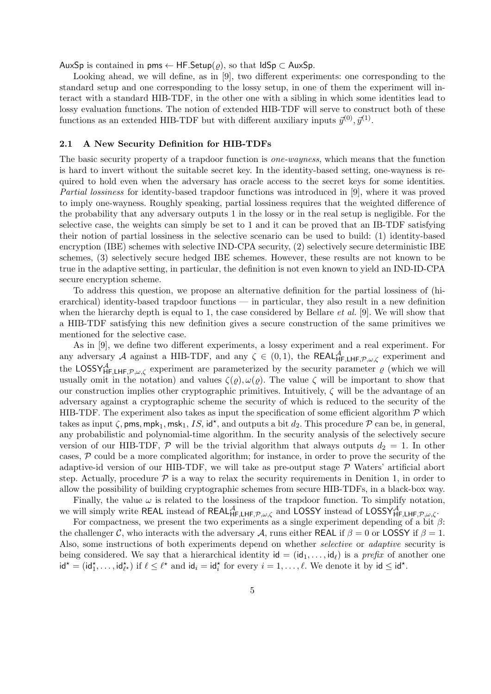AuxSp is contained in pms  $\leftarrow$  HF. Setup( $\rho$ ), so that IdSp  $\subset$  AuxSp.

Looking ahead, we will define, as in [9], two different experiments: one corresponding to the standard setup and one corresponding to the lossy setup, in one of them the experiment will interact with a standard HIB-TDF, in the other one with a sibling in which some identities lead to lossy evaluation functions. The notion of extended HIB-TDF will serve to construct both of these functions as an extended HIB-TDF but with different auxiliary inputs  $\vec{y}^{(0)}, \vec{y}^{(1)}$ .

# 2.1 A New Security Definition for HIB-TDFs

The basic security property of a trapdoor function is one-wayness, which means that the function is hard to invert without the suitable secret key. In the identity-based setting, one-wayness is required to hold even when the adversary has oracle access to the secret keys for some identities. Partial lossiness for identity-based trapdoor functions was introduced in [9], where it was proved to imply one-wayness. Roughly speaking, partial lossiness requires that the weighted difference of the probability that any adversary outputs 1 in the lossy or in the real setup is negligible. For the selective case, the weights can simply be set to 1 and it can be proved that an IB-TDF satisfying their notion of partial lossiness in the selective scenario can be used to build: (1) identity-based encryption (IBE) schemes with selective IND-CPA security, (2) selectively secure deterministic IBE schemes, (3) selectively secure hedged IBE schemes. However, these results are not known to be true in the adaptive setting, in particular, the definition is not even known to yield an IND-ID-CPA secure encryption scheme.

To address this question, we propose an alternative definition for the partial lossiness of (hierarchical) identity-based trapdoor functions — in particular, they also result in a new definition when the hierarchy depth is equal to 1, the case considered by Bellare *et al.* [9]. We will show that a HIB-TDF satisfying this new definition gives a secure construction of the same primitives we mentioned for the selective case.

As in [9], we define two different experiments, a lossy experiment and a real experiment. For any adversary A against a HIB-TDF, and any  $\zeta \in (0,1)$ , the REAL $A_{HF,LHF,\mathcal{P},\omega,\zeta}$  experiment and the LOSSY<sub>HF,LHF, P, $\omega$ , $\zeta$  experiment are parameterized by the security parameter  $\varrho$  (which we will</sub> usually omit in the notation) and values  $\zeta(\varrho), \omega(\varrho)$ . The value  $\zeta$  will be important to show that our construction implies other cryptographic primitives. Intuitively,  $\zeta$  will be the advantage of an adversary against a cryptographic scheme the security of which is reduced to the security of the HIB-TDF. The experiment also takes as input the specification of some efficient algorithm  $P$  which takes as input  $\zeta$ , pms, mpk<sub>1</sub>, msk<sub>1</sub>, IS, id<sup>\*</sup>, and outputs a bit  $d_2$ . This procedure  $\mathcal P$  can be, in general, any probabilistic and polynomial-time algorithm. In the security analysis of the selectively secure version of our HIB-TDF,  $\mathcal P$  will be the trivial algorithm that always outputs  $d_2 = 1$ . In other cases,  $P$  could be a more complicated algorithm; for instance, in order to prove the security of the adaptive-id version of our HIB-TDF, we will take as pre-output stage  $P$  Waters' artificial abort step. Actually, procedure  $\mathcal P$  is a way to relax the security requirements in Denition 1, in order to allow the possibility of building cryptographic schemes from secure HIB-TDFs, in a black-box way.

Finally, the value  $\omega$  is related to the lossiness of the trapdoor function. To simplify notation, we will simply write REAL instead of REAL $A_{HF,LHF,\mathcal{P},\omega,\zeta}$  and LOSSY instead of LOSSY<sub>HF,LHF, $\mathcal{P},\omega,\zeta$ .</sub>

For compactness, we present the two experiments as a single experiment depending of a bit  $\beta$ : the challenger C, who interacts with the adversary A, runs either REAL if  $\beta = 0$  or LOSSY if  $\beta = 1$ . Also, some instructions of both experiments depend on whether *selective* or *adaptive* security is being considered. We say that a hierarchical identity  $id = (id_1, \ldots, id_\ell)$  is a prefix of another one  $\mathsf{id}^\star = (\mathsf{id}_1^\star, \ldots, \mathsf{id}_{\ell^\star}^\star)$  if  $\ell \leq \ell^\star$  and  $\mathsf{id}_i = \mathsf{id}_i^\star$  for every  $i = 1, \ldots, \ell$ . We denote it by  $\mathsf{id} \leq \mathsf{id}^\star$ .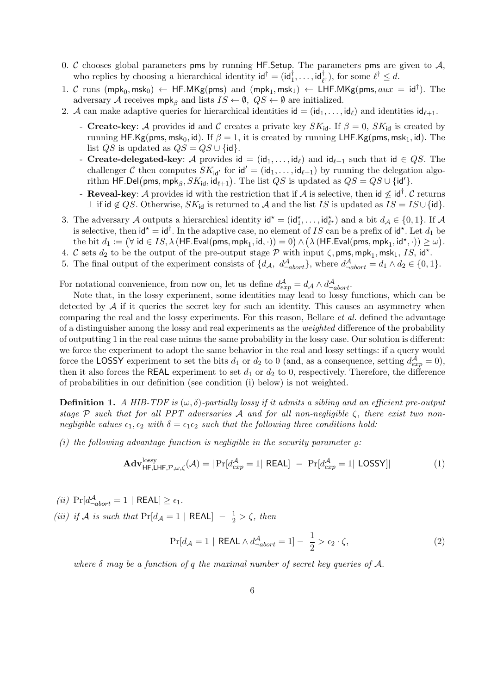- 0.  $\mathcal C$  chooses global parameters pms by running HF. Setup. The parameters pms are given to  $\mathcal A$ , who replies by choosing a hierarchical identity  $\mathsf{id}^\dagger = (\mathsf{id}_1^\dagger, \dots, \mathsf{id}_{\ell^\dagger}^\dagger)$ , for some  $\ell^\dagger \leq d$ .
- 1. C runs  $(\text{mpk}_0, \text{msk}_0) \leftarrow \text{HF.MKg(pms)}$  and  $(\text{mpk}_1, \text{msk}_1) \leftarrow \text{LHF.MKg(pms, aux = id<sup>†</sup>). The}$ adversary A receives  $mpk_{\beta}$  and lists  $IS \leftarrow \emptyset$ ,  $QS \leftarrow \emptyset$  are initialized.
- 2. A can make adaptive queries for hierarchical identities  $id = (id_1, \ldots, id_\ell)$  and identities  $id_{\ell+1}$ .
	- Create-key: A provides id and C creates a private key  $SK_{\text{id}}$ . If  $\beta = 0$ ,  $SK_{\text{id}}$  is created by running HF.Kg(pms, msk<sub>0</sub>, id). If  $\beta = 1$ , it is created by running LHF.Kg(pms, msk<sub>1</sub>, id). The list  $QS$  is updated as  $QS = QS \cup \{id\}.$
	- Create-delegated-key: A provides id =  $(id_1, \ldots, id_\ell)$  and  $id_{\ell+1}$  such that id  $\in QS$ . The challenger C then computes  $SK_{id'}$  for  $id' = (id_1, \ldots, id_{\ell+1})$  by running the delegation algorithm HF.Del(pms, mpk<sub> $\beta$ </sub>,  $SK_{\mathsf{id}}, \mathsf{id}_{\ell+1}$ ). The list  $QS$  is updated as  $QS = QS \cup \{\mathsf{id}'\}.$
	- Reveal-key: A provides id with the restriction that if A is selective, then id  $\nleq$  id<sup>†</sup>.  $\cal C$  returns  $\perp$  if id  $\notin QS$ . Otherwise,  $SK_{id}$  is returned to A and the list IS is updated as  $IS = IS \cup \{id\}.$
- 3. The adversary A outputs a hierarchical identity  $\mathsf{id}^* = (\mathsf{id}_1^*, \dots, \mathsf{id}_{\ell^*}^*)$  and a bit  $d_A \in \{0, 1\}$ . If A is selective, then  $\mathsf{id}^* = \mathsf{id}^\dagger$ . In the adaptive case, no element of IS can be a prefix of  $\mathsf{id}^*$ . Let  $d_1$  be the bit  $d_1:=(\forall \text{ id}\in IS, \lambda\ (\mathsf{HF}.\mathsf{Eval(pms, mpk_1, id},\cdot))=0) \land \big(\lambda\ (\mathsf{HF}.\mathsf{Eval(pms, mpk_1, id^\star},\cdot))\geq \omega\big).$
- 4. C sets  $d_2$  to be the output of the pre-output stage  $P$  with input  $\zeta$ , pms, mpk<sub>1</sub>, msk<sub>1</sub>, IS, id<sup>\*</sup>.
- 5. The final output of the experiment consists of  $\{d_{\mathcal{A}}, d_{-abort}^{\mathcal{A}}\}$ , where  $d_{-abort}^{\mathcal{A}} = d_1 \wedge d_2 \in \{0, 1\}$ .

For notational convenience, from now on, let us define  $d_{exp}^{\mathcal{A}} = d_{\mathcal{A}} \wedge d_{subort}^{\mathcal{A}}$ .

Note that, in the lossy experiment, some identities may lead to lossy functions, which can be detected by  $A$  if it queries the secret key for such an identity. This causes an asymmetry when comparing the real and the lossy experiments. For this reason, Bellare *et al.* defined the advantage of a distinguisher among the lossy and real experiments as the weighted difference of the probability of outputting 1 in the real case minus the same probability in the lossy case. Our solution is different: we force the experiment to adopt the same behavior in the real and lossy settings: if a query would force the LOSSY experiment to set the bits  $d_1$  or  $d_2$  to 0 (and, as a consequence, setting  $d_{exp}^{\mathcal{A}} = 0$ ), then it also forces the REAL experiment to set  $d_1$  or  $d_2$  to 0, respectively. Therefore, the difference of probabilities in our definition (see condition (i) below) is not weighted.

**Definition 1.** A HIB-TDF is  $(\omega, \delta)$ -partially lossy if it admits a sibling and an efficient pre-output stage P such that for all PPT adversaries A and for all non-negligible  $\zeta$ , there exist two nonnegligible values  $\epsilon_1, \epsilon_2$  with  $\delta = \epsilon_1 \epsilon_2$  such that the following three conditions hold:

(i) the following advantage function is negligible in the security parameter  $\rho$ :

$$
\mathbf{Adv}_{\mathsf{HF},\mathsf{LHF},\mathcal{P},\omega,\zeta}^{\mathrm{lossy}}(\mathcal{A}) = |\Pr[d_{exp}^{\mathcal{A}} = 1| \ \mathsf{REAL}] - \Pr[d_{exp}^{\mathcal{A}} = 1| \ \mathsf{LOSSY}]| \tag{1}
$$

(*ii*)  $Pr[d_{\neg abort}^{\mathcal{A}} = 1 | REAL] \ge \epsilon_1$ .

(iii) if A is such that  $Pr[d_A = 1 | REAL] - \frac{1}{2} > \zeta$ , then

$$
\Pr[d_{\mathcal{A}} = 1 \mid \text{REAL} \land d_{\neg abort}^{\mathcal{A}} = 1] - \frac{1}{2} > \epsilon_2 \cdot \zeta,
$$
\n(2)

where  $\delta$  may be a function of q the maximal number of secret key queries of A.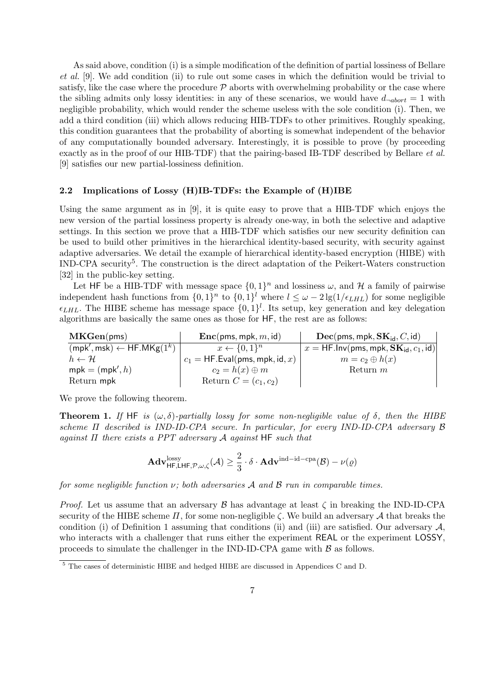As said above, condition (i) is a simple modification of the definition of partial lossiness of Bellare et al. [9]. We add condition (ii) to rule out some cases in which the definition would be trivial to satisfy, like the case where the procedure  $P$  aborts with overwhelming probability or the case where the sibling admits only lossy identities: in any of these scenarios, we would have  $d_{\neg abort} = 1$  with negligible probability, which would render the scheme useless with the sole condition (i). Then, we add a third condition (iii) which allows reducing HIB-TDFs to other primitives. Roughly speaking, this condition guarantees that the probability of aborting is somewhat independent of the behavior of any computationally bounded adversary. Interestingly, it is possible to prove (by proceeding exactly as in the proof of our HIB-TDF) that the pairing-based IB-TDF described by Bellare *et al.* [9] satisfies our new partial-lossiness definition.

#### 2.2 Implications of Lossy (H)IB-TDFs: the Example of (H)IBE

Using the same argument as in [9], it is quite easy to prove that a HIB-TDF which enjoys the new version of the partial lossiness property is already one-way, in both the selective and adaptive settings. In this section we prove that a HIB-TDF which satisfies our new security definition can be used to build other primitives in the hierarchical identity-based security, with security against adaptive adversaries. We detail the example of hierarchical identity-based encryption (HIBE) with IND-CPA security<sup>5</sup>. The construction is the direct adaptation of the Peikert-Waters construction [32] in the public-key setting.

Let HF be a HIB-TDF with message space  $\{0,1\}^n$  and lossiness  $\omega$ , and  $\mathcal H$  a family of pairwise independent hash functions from  $\{0,1\}^n$  to  $\{0,1\}^l$  where  $l \leq \omega - 2\lg(1/\epsilon_{LHL})$  for some negligible  $\epsilon_{LHL}$ . The HIBE scheme has message space  $\{0,1\}^l$ . Its setup, key generation and key delegation algorithms are basically the same ones as those for HF, the rest are as follows:

| MKGen(pms)                                                      | $\mathbf{Enc}(\mathsf{pms}, \mathsf{mpk}, m, \mathsf{id})$ | $\rm{Dec}$ (pms, mpk, $\rm{SK}_{\rm id}$ , C, id) |
|-----------------------------------------------------------------|------------------------------------------------------------|---------------------------------------------------|
| $(\mathsf{mpk}', \mathsf{msk}) \leftarrow \mathsf{HF.MKg}(1^k)$ | $x \leftarrow \{0,1\}^n$                                   | $x = HFu$ . Inv(pms, mpk, $SK_{id}, c_1$ , id)    |
| $h \leftarrow H$                                                | $c_1 = HF.Eval(pms, mpk, id, x)$                           | $m = c_2 \oplus h(x)$                             |
| $mpk = (mpk', h)$                                               | $c_2 = h(x) \oplus m$                                      | Return $m$                                        |
| Return mpk                                                      | Return $C=(c_1,c_2)$                                       |                                                   |

We prove the following theorem.

**Theorem 1.** If HF is  $(\omega, \delta)$ -partially lossy for some non-negligible value of  $\delta$ , then the HIBE scheme Π described is IND-ID-CPA secure. In particular, for every IND-ID-CPA adversary B against  $\Pi$  there exists a PPT adversary  $\mathcal A$  against HF such that

$$
\mathbf{Adv}_{\mathsf{HF},\mathsf{LHF},\mathcal{P},\omega,\zeta}^{\mathrm{lossy}}(\mathcal{A})\geq \frac{2}{3}\cdot\delta\cdot\mathbf{Adv}^{\mathrm{ind-id-cpa}}(\mathcal{B})-\nu(\varrho)
$$

for some negligible function  $\nu$ ; both adversaries A and B run in comparable times.

*Proof.* Let us assume that an adversary  $\beta$  has advantage at least  $\zeta$  in breaking the IND-ID-CPA security of the HIBE scheme  $\Pi$ , for some non-negligible  $\zeta$ . We build an adversary  $\mathcal A$  that breaks the condition (i) of Definition 1 assuming that conditions (ii) and (iii) are satisfied. Our adversary  $A$ , who interacts with a challenger that runs either the experiment REAL or the experiment LOSSY, proceeds to simulate the challenger in the IND-ID-CPA game with  $\beta$  as follows.

<sup>5</sup> The cases of deterministic HIBE and hedged HIBE are discussed in Appendices C and D.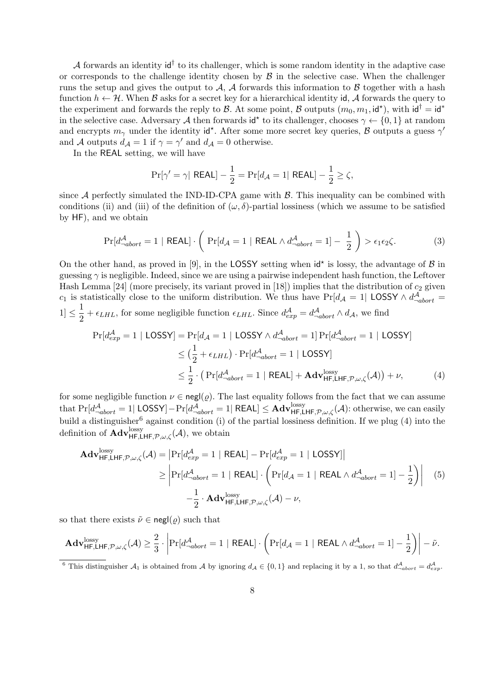A forwards an identity  $\mathsf{id}^\dagger$  to its challenger, which is some random identity in the adaptive case or corresponds to the challenge identity chosen by  $\beta$  in the selective case. When the challenger runs the setup and gives the output to A, A forwards this information to B together with a hash function  $h \leftarrow \mathcal{H}$ . When  $\mathcal{B}$  asks for a secret key for a hierarchical identity id,  $\mathcal{A}$  forwards the query to the experiment and forwards the reply to  $\mathcal{B}$ . At some point,  $\mathcal{B}$  outputs  $(m_0, m_1, id^*)$ , with  $id^{\dagger} = id^*$ in the selective case. Adversary A then forwards  $\mathsf{id}^*$  to its challenger, chooses  $\gamma \leftarrow \{0,1\}$  at random and encrypts  $m_{\gamma}$  under the identity id<sup>\*</sup>. After some more secret key queries, B outputs a guess  $\gamma'$ and A outputs  $d_A = 1$  if  $\gamma = \gamma'$  and  $d_A = 0$  otherwise.

In the REAL setting, we will have

$$
\Pr[\gamma' = \gamma | \ \mathsf{REAL}] - \frac{1}{2} = \Pr[d_{\mathcal{A}} = 1 | \ \mathsf{REAL}] - \frac{1}{2} \ge \zeta,
$$

since  $A$  perfectly simulated the IND-ID-CPA game with  $B$ . This inequality can be combined with conditions (ii) and (iii) of the definition of  $(\omega, \delta)$ -partial lossiness (which we assume to be satisfied by HF), and we obtain

$$
\Pr[d_{\neg abort}^{\mathcal{A}} = 1 \mid \mathsf{REAL}] \cdot \left( \Pr[d_{\mathcal{A}} = 1 \mid \mathsf{REAL} \land d_{\neg abort}^{\mathcal{A}} = 1] - \frac{1}{2} \right) > \epsilon_1 \epsilon_2 \zeta. \tag{3}
$$

On the other hand, as proved in [9], in the LOSSY setting when  $\mathsf{id}^*$  is lossy, the advantage of  $\mathcal B$  in guessing  $\gamma$  is negligible. Indeed, since we are using a pairwise independent hash function, the Leftover Hash Lemma [24] (more precisely, its variant proved in [18]) implies that the distribution of  $c_2$  given c<sub>1</sub> is statistically close to the uniform distribution. We thus have Pr[ $d_A = 1$ | LOSSY  $\wedge d_{\neg abort}^A =$  $|1| \leq \frac{1}{2}$  $\frac{1}{2} + \epsilon_{LHL}$ , for some negligible function  $\epsilon_{LHL}$ . Since  $d_{exp}^{\mathcal{A}} = d_{-abort}^{\mathcal{A}} \wedge d_{\mathcal{A}}$ , we find

$$
\Pr[d_{exp}^{\mathcal{A}} = 1 | \text{LOSSY}] = \Pr[d_{\mathcal{A}} = 1 | \text{LOSSY} \land d_{\neg abort}^{\mathcal{A}} = 1] \Pr[d_{\neg abort}^{\mathcal{A}} = 1 | \text{LOSSY}]
$$
  
\n
$$
\leq (\frac{1}{2} + \epsilon_{LHL}) \cdot \Pr[d_{\neg abort}^{\mathcal{A}} = 1 | \text{LOSSY}]
$$
  
\n
$$
\leq \frac{1}{2} \cdot (\Pr[d_{\neg abort}^{\mathcal{A}} = 1 | \text{ REAL}] + \text{Adv}_{\text{HF,LHF},\mathcal{P},\omega,\zeta}^{\text{lossy}}(\mathcal{A})) + \nu,
$$
 (4)

for some negligible function  $\nu \in \text{negl}(\rho)$ . The last equality follows from the fact that we can assume that  $Pr[d_{\neg abort}^{\mathcal{A}} = 1 |$  LOSSY]−Pr $[d_{\neg abort}^{\mathcal{A}} = 1 |$  REAL]  $\leq$  Adv $_{\mathsf{HF},\mathsf{LHF},\mathcal{P},\omega,\zeta}^{\text{lossy}}(\mathcal{A})$ : otherwise, we can easily build a distinguisher<sup>6</sup> against condition (i) of the partial lossiness definition. If we plug  $(4)$  into the definition of  $\mathbf{Adv}_{\mathsf{HF},\mathsf{LHF},\mathcal{P},\omega,\zeta}^{\text{lossy}}(\mathcal{A})$ , we obtain

$$
\mathbf{Adv}_{\mathsf{HF},\mathsf{LHF},\mathcal{P},\omega,\zeta}^{\text{lossy}}(\mathcal{A}) = \left| \Pr[d_{exp}^{\mathcal{A}} = 1 \mid \mathsf{REAL}] - \Pr[d_{exp}^{\mathcal{A}} = 1 \mid \mathsf{LOSSY}] \right|
$$
  
\n
$$
\geq \left| \Pr[d_{\neg abort}^{\mathcal{A}} = 1 \mid \mathsf{REAL}] \cdot \left( \Pr[d_{\mathcal{A}} = 1 \mid \mathsf{REAL} \wedge d_{\neg abort}^{\mathcal{A}} = 1] - \frac{1}{2} \right) \right| \quad (5)
$$
  
\n
$$
-\frac{1}{2} \cdot \mathbf{Adv}_{\mathsf{HF},\mathsf{LHF},\mathcal{P},\omega,\zeta}^{\text{lossy}}(\mathcal{A}) - \nu,
$$

so that there exists  $\tilde{\nu} \in \text{negl}(\rho)$  such that

$$
\mathbf{Adv}_{\mathsf{HF},\mathsf{LHF},\mathcal{P},\omega,\zeta}^{\mathrm{lossy}}(\mathcal{A}) \geq \frac{2}{3} \cdot \left| \Pr[d_{\neg abort}^{\mathcal{A}} = 1 \mid \mathsf{REAL}] \cdot \left( \Pr[d_{\mathcal{A}} = 1 \mid \mathsf{REAL} \wedge d_{\neg abort}^{\mathcal{A}} = 1] - \frac{1}{2} \right) \right| - \tilde{\nu}.
$$

<sup>6</sup> This distinguisher  $A_1$  is obtained from A by ignoring  $d_A \in \{0,1\}$  and replacing it by a 1, so that  $d_{-abort}^{\mathcal{A}} = d_{exp}^{\mathcal{A}}$ .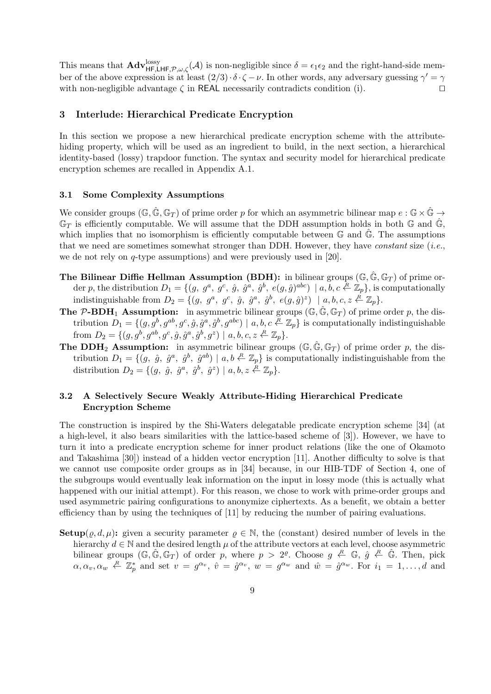This means that  $\mathbf{Adv}_{\mathsf{HF},\mathsf{LHF},\mathcal{P},\omega,\zeta}^{\text{lossy}}(\mathcal{A})$  is non-negligible since  $\delta = \epsilon_1 \epsilon_2$  and the right-hand-side member of the above expression is at least  $(2/3) \cdot \delta \cdot \zeta - \nu$ . In other words, any adversary guessing  $\gamma' = \gamma$ with non-negligible advantage  $\zeta$  in REAL necessarily contradicts condition (i).

# 3 Interlude: Hierarchical Predicate Encryption

In this section we propose a new hierarchical predicate encryption scheme with the attributehiding property, which will be used as an ingredient to build, in the next section, a hierarchical identity-based (lossy) trapdoor function. The syntax and security model for hierarchical predicate encryption schemes are recalled in Appendix A.1.

# 3.1 Some Complexity Assumptions

We consider groups  $(\mathbb{G}, \hat{\mathbb{G}}, \mathbb{G}_T)$  of prime order p for which an asymmetric bilinear map  $e : \mathbb{G} \times \hat{\mathbb{G}} \to$  $\mathbb{G}_T$  is efficiently computable. We will assume that the DDH assumption holds in both  $\mathbb{G}$  and  $\hat{\mathbb{G}}$ , which implies that no isomorphism is efficiently computable between  $\mathbb G$  and  $\hat{\mathbb G}$ . The assumptions that we need are sometimes somewhat stronger than DDH. However, they have *constant* size (*i.e.*, we de not rely on q-type assumptions) and were previously used in [20].

- **The Bilinear Diffie Hellman Assumption (BDH):** in bilinear groups ( $\mathbb{G}, \hat{\mathbb{G}}, \mathbb{G}_T$ ) of prime order p, the distribution  $D_1 = \{(g, g^a, g^c, \hat{g}, \hat{g}^a, \hat{g}^b, e(g, \hat{g})^{abc}) \mid a, b, c \stackrel{R}{\leftarrow} \mathbb{Z}_p\}$ , is computationally indistinguishable from  $D_2 = \{(g, g^a, g^c, \hat{g}, \hat{g}^a, \hat{g}^b, e(g, \hat{g})^z) \mid a, b, c, z \stackrel{R}{\leftarrow} \mathbb{Z}_p\}.$
- **The P-BDH<sub>1</sub> Assumption:** in asymmetric bilinear groups  $(\mathbb{G}, \hat{\mathbb{G}}, \mathbb{G}_T)$  of prime order p, the distribution  $D_1 = \{(g, g^b, g^{ab}, g^c, \hat{g}, \hat{g}^a, \hat{g}^b, g^{abc}) \mid a, b, c \stackrel{R}{\leftarrow} \mathbb{Z}_p\}$  is computationally indistinguishable from  $D_2 = \{ (g, g^b, g^{ab}, g^c, \hat{g}, \hat{g}^a, \hat{g}^b, g^z) \mid a, b, c, z \stackrel{R}{\leftarrow} \mathbb{Z}_p \}.$
- **The DDH<sub>2</sub> Assumption:** in asymmetric bilinear groups  $(\mathbb{G}, \hat{\mathbb{G}}, \mathbb{G}_T)$  of prime order p, the distribution  $D_1 = \{(g, \hat{g}, \hat{g}^a, \hat{g}^b, \hat{g}^{ab}) \mid a, b \in \mathbb{Z}_p\}$  is computationally indistinguishable from the distribution  $D_2 = \{ (g, \hat{g}, \hat{g}^a, \hat{g}^b, \hat{g}^z) \mid a, b, z \stackrel{R}{\leftarrow} \mathbb{Z}_p \}.$

# 3.2 A Selectively Secure Weakly Attribute-Hiding Hierarchical Predicate Encryption Scheme

The construction is inspired by the Shi-Waters delegatable predicate encryption scheme [34] (at a high-level, it also bears similarities with the lattice-based scheme of [3]). However, we have to turn it into a predicate encryption scheme for inner product relations (like the one of Okamoto and Takashima [30]) instead of a hidden vector encryption [11]. Another difficulty to solve is that we cannot use composite order groups as in [34] because, in our HIB-TDF of Section 4, one of the subgroups would eventually leak information on the input in lossy mode (this is actually what happened with our initial attempt). For this reason, we chose to work with prime-order groups and used asymmetric pairing configurations to anonymize ciphertexts. As a benefit, we obtain a better efficiency than by using the techniques of [11] by reducing the number of pairing evaluations.

**Setup**( $\rho, d, \mu$ ): given a security parameter  $\rho \in \mathbb{N}$ , the (constant) desired number of levels in the hierarchy  $d \in \mathbb{N}$  and the desired length  $\mu$  of the attribute vectors at each level, choose asymmetric bilinear groups  $(\mathbb{G}, \hat{\mathbb{G}}, \mathbb{G}_T)$  of order p, where  $p > 2^{\varrho}$ . Choose  $g \stackrel{R}{\leftarrow} \mathbb{G}, \hat{g} \stackrel{R}{\leftarrow} \hat{\mathbb{G}}$ . Then, pick  $\alpha, \alpha_v, \alpha_w \stackrel{R}{\leftarrow} \mathbb{Z}_p^*$  and set  $v = g^{\alpha_v}, \hat{v} = \hat{g}^{\alpha_v}, w = g^{\alpha_w}$  and  $\hat{w} = \hat{g}^{\alpha_w}$ . For  $i_1 = 1, \ldots, d$  and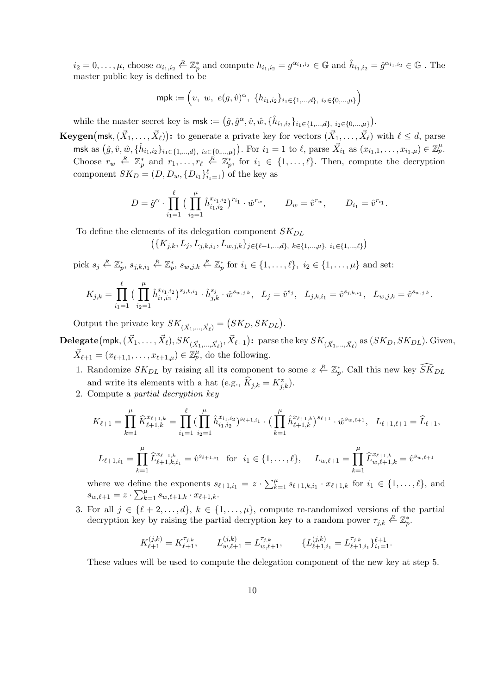$i_2 = 0, \ldots, \mu$ , choose  $\alpha_{i_1, i_2} \stackrel{R}{\leftarrow} \mathbb{Z}_p^*$  and compute  $h_{i_1, i_2} = g^{\alpha_{i_1, i_2}} \in \mathbb{G}$  and  $\hat{h}_{i_1, i_2} = \hat{g}^{\alpha_{i_1, i_2}} \in \mathbb{G}$ . The master public key is defined to be

$$
\mathsf{mpk} := \left(v, w, e(g, \hat{v})^{\alpha}, \{h_{i_1, i_2}\}_{i_1 \in \{1, \dots, d\}, i_2 \in \{0, \dots, \mu\}}\right)
$$

while the master secret key is  $\textsf{msk} := (\hat{g}, \hat{g}^{\alpha}, \hat{v}, \hat{w}, \{\hat{h}_{i_1, i_2}\}_{i_1 \in \{1, ..., d\}, i_2 \in \{0, ..., \mu\}}).$ 

**Keygen**(msk,  $(\vec{X}_1, \ldots, \vec{X}_\ell)$ ): to generate a private key for vectors  $(\vec{X}_1, \ldots, \vec{X}_\ell)$  with  $\ell \leq d$ , parse msk as  $(\hat{g}, \hat{v}, \hat{w}, \{\hat{h}_{i_1, i_2}\}_{i_1 \in \{1, ..., d\}, i_2 \in \{0, ..., \mu\}})$ . For  $i_1 = 1$  to  $\ell$ , parse  $\vec{X}_{i_1}$  as  $(x_{i_1,1}, \ldots, x_{i_1, \mu}) \in \mathbb{Z}_p^{\mu}$ . Choose  $r_w \leftarrow \mathbb{Z}_p^*$  and  $r_1, \ldots, r_\ell \leftarrow \mathbb{Z}_p^*$ , for  $i_1 \in \{1, \ldots, \ell\}$ . Then, compute the decryption component  $SK_D = (D, D_w, \{D_{i_1}\}_{i_1=1}^{\ell})$  of the key as

$$
D = \hat{g}^{\alpha} \cdot \prod_{i_1=1}^{\ell} \Big( \prod_{i_2=1}^{\mu} \hat{h}_{i_1, i_2}^{x_{i_1, i_2}} \Big)^{r_{i_1}} \cdot \hat{w}^{r_w}, \qquad D_w = \hat{v}^{r_w}, \qquad D_{i_1} = \hat{v}^{r_{i_1}}.
$$

To define the elements of its delegation component  $SK_{DL}$ 

$$
(\{K_{j,k}, L_j, L_{j,k,i_1}, L_{w,j,k}\}_{j \in \{\ell+1,\ldots,d\},\ k \in \{1,\ldots,\mu\},\ i_1 \in \{1,\ldots,\ell\}})
$$

pick  $s_j \in \mathbb{Z}_p^*, s_{j,k,i_1} \in \mathbb{Z}_p^*, s_{w,j,k} \in \mathbb{Z}_p^*$  for  $i_1 \in \{1, \ldots, \ell\}, i_2 \in \{1, \ldots, \mu\}$  and set:

$$
K_{j,k} = \prod_{i_1=1}^{\ell} \Big( \prod_{i_2=1}^{\mu} \hat{h}_{i_1, i_2}^{x_{i_1, i_2}} \Big)^{s_{j,k,i_1}} \cdot \hat{h}_{j,k}^{s_j} \cdot \hat{w}^{s_{w,j,k}}, \quad L_j = \hat{v}^{s_j}, \quad L_{j,k,i_1} = \hat{v}^{s_{j,k,i_1}}, \quad L_{w,j,k} = \hat{v}^{s_{w,j,k}}.
$$

Output the private key  $SK_{(\vec{X}_1, ..., \vec{X}_\ell)} = (SK_D, SK_{DL}).$ 

 ${\bf Delegate}(\mathsf{mpk},(\vec{X}_1,\dots,\vec{X}_\ell),SK_{(\vec{X}_1,...,\vec{X}_\ell)},\vec{X}_{\ell+1}) {\bf{:}} \text{ parse the key } SK_{(\vec{X}_1,...,\vec{X}_\ell)} \text{ as } (SK_D,SK_{DL}). \text{ Given,}$  $\vec{X}_{\ell+1} = (x_{\ell+1,1}, \ldots, x_{\ell+1,\mu}) \in \mathbb{Z}_p^{\mu}$ , do the following.

- 1. Randomize  $SK_{DL}$  by raising all its component to some  $z \stackrel{R}{\leftarrow} \mathbb{Z}_p^*$ . Call this new key  $\widehat{SK}_{DL}$ and write its elements with a hat (e.g.,  $\widehat{K}_{j,k} = K_{j,k}^z$ ).
- 2. Compute a partial decryption key

$$
K_{\ell+1} = \prod_{k=1}^{\mu} \widehat{K}_{\ell+1,k}^{x_{\ell+1,k}} = \prod_{i_1=1}^{\ell} \left( \prod_{i_2=1}^{\mu} \widehat{h}_{i_1,i_2}^{x_{i_1,i_2}} \right)^{s_{\ell+1,i_1}} \cdot \left( \prod_{k=1}^{\mu} \widehat{h}_{\ell+1,k}^{x_{\ell+1,k}} \right)^{s_{\ell+1}} \cdot \widehat{w}^{s_{w,\ell+1}}, \quad L_{\ell+1,\ell+1} = \widehat{L}_{\ell+1},
$$
  

$$
L_{\ell+1,i_1} = \prod_{k=1}^{\mu} \widehat{L}_{\ell+1,k,i_1}^{x_{\ell+1,k}} = \widehat{v}^{s_{\ell+1,i_1}} \quad \text{for} \quad i_1 \in \{1, \ldots, \ell\}, \quad L_{w,\ell+1} = \prod_{k=1}^{\mu} \widehat{L}_{w,\ell+1,k}^{x_{\ell+1,k}} = \widehat{v}^{s_{w,\ell+1}}
$$

where we define the exponents  $s_{\ell+1,i_1} = z \cdot \sum_{k=1}^{\mu} s_{\ell+1,k,i_1} \cdot x_{\ell+1,k}$  for  $i_1 \in \{1,\ldots,\ell\}$ , and  $s_{w,\ell+1} = z \cdot \sum_{k=1}^{\mu} s_{w,\ell+1,k} \cdot x_{\ell+1,k}.$ 

3. For all  $j \in \{\ell + 2, \ldots, d\}, k \in \{1, \ldots, \mu\},$  compute re-randomized versions of the partial decryption key by raising the partial decryption key to a random power  $\tau_{j,k} \stackrel{R}{\leftarrow} \mathbb{Z}_p^*$ .

$$
K_{\ell+1}^{(j,k)}=K_{\ell+1}^{\tau_{j,k}},\qquad L_{w,\ell+1}^{(j,k)}=L_{w,\ell+1}^{\tau_{j,k}},\qquad \{L_{\ell+1,i_1}^{(j,k)}=L_{\ell+1,i_1}^{\tau_{j,k}}\}_{i_1=1}^{\ell+1}.
$$

These values will be used to compute the delegation component of the new key at step 5.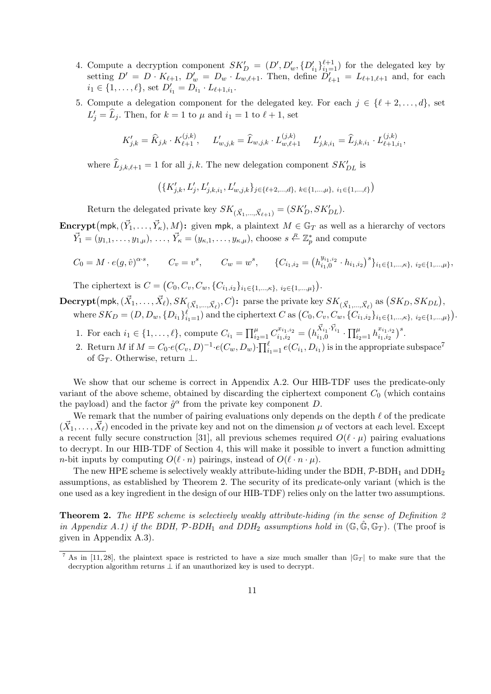- 4. Compute a decryption component  $SK'_D = (D', D'_w, \{D'_{i_1}\}_{i_1=1}^{\ell+1})$  for the delegated key by setting  $D' = D \cdot K_{\ell+1}$ ,  $D'_w = D_w \cdot L_{w,\ell+1}$ . Then, define  $D'_{\ell+1} = L_{\ell+1,\ell+1}$  and, for each  $i_1 \in \{1, ..., \ell\}$ , set  $D'_{i_1} = D_{i_1} \cdot L_{\ell+1, i_1}$ .
- 5. Compute a delegation component for the delegated key. For each  $j \in \{\ell + 2, \ldots, d\}$ , set  $L'_j = \widehat{L}_j$ . Then, for  $k = 1$  to  $\mu$  and  $i_1 = 1$  to  $\ell + 1$ , set

$$
K'_{j,k} = \widehat{K}_{j,k} \cdot K_{\ell+1}^{(j,k)}, \quad L'_{w,j,k} = \widehat{L}_{w,j,k} \cdot L_{w,\ell+1}^{(j,k)} \quad L'_{j,k,i_1} = \widehat{L}_{j,k,i_1} \cdot L_{\ell+1,i_1}^{(j,k)},
$$

where  $\widehat{L}_{j,k,\ell+1} = 1$  for all  $j, k$ . The new delegation component  $SK_{DL}'$  is

$$
\left(\{K_{j,k}',L_j',L_{j,k,i_1}',L_{w,j,k}'\}_{j\in\{\ell+2,\ldots,d\},\ k\in\{1,\ldots,\mu\},\ i_1\in\{1,\ldots,\ell\}}\right)
$$

Return the delegated private key  $SK_{(\vec{X}_1, ..., \vec{X}_{\ell+1})} = (SK'_D, SK'_{DL})$ .

# **Encrypt**(mpk,  $(\vec{Y}_1, \ldots, \vec{Y}_\kappa), M$ ): given mpk, a plaintext  $M \in \mathbb{G}_T$  as well as a hierarchy of vectors  $\vec{Y}_1 = (y_{1,1}, \ldots, y_{1,\mu}), \ldots, \vec{Y}_\kappa = (y_{\kappa,1}, \ldots, y_{\kappa,\mu}),$  choose  $s \stackrel{R}{\leftarrow} \mathbb{Z}_p^*$  and compute

$$
C_0 = M \cdot e(g, \hat{v})^{\alpha \cdot s}, \qquad C_v = v^s, \qquad C_w = w^s, \qquad \{C_{i_1, i_2} = (h_{i_1, 0}^{y_{i_1, i_2}} \cdot h_{i_1, i_2})^s\}_{i_1 \in \{1, \dots, \kappa\}, i_2 \in \{1, \dots, \mu\}},
$$

The ciphertext is  $C = (C_0, C_v, C_w, \{C_{i_1,i_2}\}_{i_1 \in \{1,\dots,\kappa\}, i_2 \in \{1,\dots,\mu\}}).$ 

 $\mathbf{Decrypt}\big(\mathsf{mpk}, (\vec{X}_1, \dots, \vec{X}_{\ell}), SK_{(\vec{X}_1, \dots, \vec{X}_{\ell})}, C \big) \mathbf{:} \ \ \text{parse the private key } SK_{(\vec{X}_1, \dots, \vec{X}_{\ell})} \ \text{as} \ \big(SK_D, SK_{DL}\big),$ where  $SK_D = (D, D_w, \{D_{i_1}\}_{i_1=1}^{\ell})$  and the ciphertext  $C$  as  $(C_0, C_v, C_w, \{C_{i_1,i_2}\}_{i_1 \in \{1,...,K\}, i_2 \in \{1,...,\mu\}})$ .

- 1. For each  $i_1 \in \{1, ..., \ell\}$ , compute  $C_{i_1} = \prod_{i_2=1}^{\mu} C_{i_1, i_2}^{x_{i_1, i_2}}$  $\bar{h}^{x_{i_1,i_2}}_{i_1,i_2} = \big(h^{\vec{X}_{i_1}\cdot \vec{Y}_{i_1}}_{i_1,0}\cdot \prod_{i_2=1}^{\mu} h^{x_{i_1,i_2}}_{i_1,i_2}$  $\frac{x_{i_1,i_2}}{x_{1,i_2}}$ ,
- 2. Return M if  $M = C_0 \cdot e(C_v, D)^{-1} \cdot e(C_w, D_w) \cdot \prod_{i=1}^{\ell} e(C_{i_1}, D_{i_1})$  is in the appropriate subspace<sup>7</sup> of  $\mathbb{G}_T$ . Otherwise, return  $\perp$ .

We show that our scheme is correct in Appendix A.2. Our HIB-TDF uses the predicate-only variant of the above scheme, obtained by discarding the ciphertext component  $C_0$  (which contains the payload) and the factor  $\hat{g}^{\alpha}$  from the private key component D.

We remark that the number of pairing evaluations only depends on the depth  $\ell$  of the predicate  $(\vec{X}_1,\ldots,\vec{X}_\ell)$  encoded in the private key and not on the dimension  $\mu$  of vectors at each level. Except a recent fully secure construction [31], all previous schemes required  $O(\ell \cdot \mu)$  pairing evaluations to decrypt. In our HIB-TDF of Section 4, this will make it possible to invert a function admitting *n*-bit inputs by computing  $O(\ell \cdot n)$  pairings, instead of  $O(\ell \cdot n \cdot \mu)$ .

The new HPE scheme is selectively weakly attribute-hiding under the BDH,  $\mathcal{P}\text{-}BDH_1$  and  $DDH_2$ assumptions, as established by Theorem 2. The security of its predicate-only variant (which is the one used as a key ingredient in the design of our HIB-TDF) relies only on the latter two assumptions.

**Theorem 2.** The HPE scheme is selectively weakly attribute-hiding (in the sense of Definition 2) in Appendix A.1) if the BDH,  $P$ -BDH<sub>1</sub> and DDH<sub>2</sub> assumptions hold in  $(\mathbb{G}, \mathbb{G}, \mathbb{G}_T)$ . (The proof is given in Appendix A.3).

<sup>&</sup>lt;sup>7</sup> As in [11, 28], the plaintext space is restricted to have a size much smaller than  $|\mathbb{G}_T|$  to make sure that the decryption algorithm returns  $\perp$  if an unauthorized key is used to decrypt.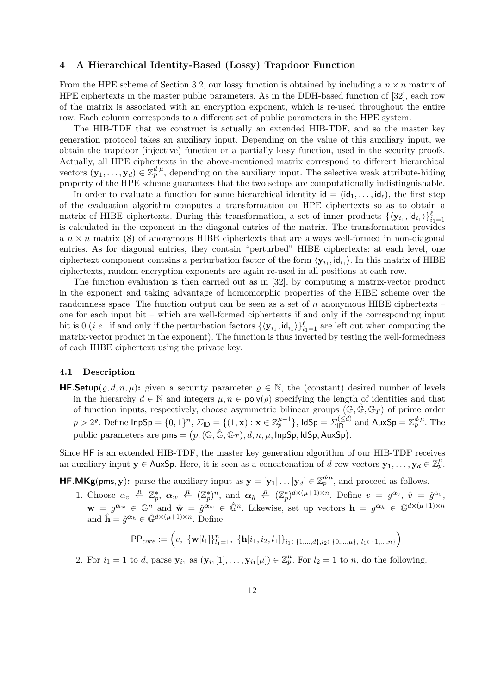## 4 A Hierarchical Identity-Based (Lossy) Trapdoor Function

From the HPE scheme of Section 3.2, our lossy function is obtained by including a  $n \times n$  matrix of HPE ciphertexts in the master public parameters. As in the DDH-based function of [32], each row of the matrix is associated with an encryption exponent, which is re-used throughout the entire row. Each column corresponds to a different set of public parameters in the HPE system.

The HIB-TDF that we construct is actually an extended HIB-TDF, and so the master key generation protocol takes an auxiliary input. Depending on the value of this auxiliary input, we obtain the trapdoor (injective) function or a partially lossy function, used in the security proofs. Actually, all HPE ciphertexts in the above-mentioned matrix correspond to different hierarchical vectors  $(\mathbf{y}_1,\ldots,\mathbf{y}_d)\in\mathbb{Z}_p^{d\cdot\mu}$ , depending on the auxiliary input. The selective weak attribute-hiding property of the HPE scheme guarantees that the two setups are computationally indistinguishable.

In order to evaluate a function for some hierarchical identity  $id = (id_1, \ldots, id_\ell)$ , the first step of the evaluation algorithm computes a transformation on HPE ciphertexts so as to obtain a matrix of HIBE ciphertexts. During this transformation, a set of inner products  $\{\langle y_{i_1}, id_{i_1}\rangle\}_{i_1=1}^{\ell}$ is calculated in the exponent in the diagonal entries of the matrix. The transformation provides a  $n \times n$  matrix (8) of anonymous HIBE ciphertexts that are always well-formed in non-diagonal entries. As for diagonal entries, they contain "perturbed" HIBE ciphertexts: at each level, one ciphertext component contains a perturbation factor of the form  $\langle y_{i_1}, id_{i_1} \rangle$ . In this matrix of HIBE ciphertexts, random encryption exponents are again re-used in all positions at each row.

The function evaluation is then carried out as in [32], by computing a matrix-vector product in the exponent and taking advantage of homomorphic properties of the HIBE scheme over the randomness space. The function output can be seen as a set of  $n$  anonymous HIBE ciphertexts – one for each input bit – which are well-formed ciphertexts if and only if the corresponding input bit is 0 (*i.e.*, if and only if the perturbation factors  ${\langle \mathbf{y}_{i_1}, \mathsf{id}_{i_1} \rangle \}_{i_1=1}^{\ell}$  are left out when computing the matrix-vector product in the exponent). The function is thus inverted by testing the well-formedness of each HIBE ciphertext using the private key.

#### 4.1 Description

**HF.Setup**( $\varrho, d, n, \mu$ ): given a security parameter  $\rho \in \mathbb{N}$ , the (constant) desired number of levels in the hierarchy  $d \in \mathbb{N}$  and integers  $\mu, n \in \text{poly}(\rho)$  specifying the length of identities and that of function inputs, respectively, choose asymmetric bilinear groups  $(\mathbb{G}, \hat{\mathbb{G}}, \mathbb{G}_T)$  of prime order  $p>2^\varrho$ . Define  $\mathsf{InpSp}=\{0,1\}^n,$   $\Sigma_{\mathsf{ID}}=\{(1,\mathbf{x}):\mathbf{x}\in\mathbb{Z}_p^{\mu-1}\},$   $\mathsf{IdSp}=\Sigma_{\mathsf{ID}}^{(\le d)}$  and  $\mathsf{AuxSp}=\mathbb{Z}_p^{d^2\mu}.$  The public parameters are  $\mathsf{pms} = \bigl(p, (\mathbb{G}, \hat{\mathbb{G}}, \mathbb{G}_T), d, n, \mu, \mathsf{InpSp}, \mathsf{IdSp}, \mathsf{AuxSp}\bigr).$ 

Since HF is an extended HIB-TDF, the master key generation algorithm of our HIB-TDF receives an auxiliary input  $y \in \mathsf{AuxSp}$ . Here, it is seen as a concatenation of d row vectors  $y_1, \ldots, y_d \in \mathbb{Z}_p^{\mu}$ .

**HF.MKg**(pms, y): parse the auxiliary input as  $\mathbf{y} = [\mathbf{y}_1 | \dots | \mathbf{y}_d] \in \mathbb{Z}_p^{d^l \mu}$ , and proceed as follows.

1. Choose  $\alpha_v \leftarrow \mathbb{Z}_p^*, \ \alpha_w \leftarrow (\mathbb{Z}_p^*)^n$ , and  $\alpha_h \leftarrow (\mathbb{Z}_p^*)^{d \times (\mu+1) \times n}$ . Define  $v = g^{\alpha_v}, \ \hat{v} = \hat{g}^{\alpha_v}$ ,  $\mathbf{w} = g^{\alpha_w} \in \mathbb{G}^n$  and  $\hat{\mathbf{w}} = \hat{g}^{\alpha_w} \in \hat{\mathbb{G}}^n$ . Likewise, set up vectors  $\mathbf{h} = g^{\alpha_h} \in \mathbb{G}^{d \times (\mu+1) \times n}$ and  $\hat{\mathbf{h}} = \hat{g}^{\alpha_h} \in \hat{\mathbb{G}}^{d \times (\mu+1) \times n}$ . Define

$$
\mathsf{PP}_{core} := \left(v, \ \{\mathbf{w}[l_1]\}_{l_1=1}^n, \ \{\mathbf{h}[i_1, i_2, l_1]\}_{i_1 \in \{1, \dots, d\}, i_2 \in \{0, \dots, \mu\}, \ l_1 \in \{1, \dots, n\}}\right)
$$

2. For  $i_1 = 1$  to d, parse  $\mathbf{y}_{i_1}$  as  $(\mathbf{y}_{i_1}[1], \ldots, \mathbf{y}_{i_1}[\mu]) \in \mathbb{Z}_p^{\mu}$ . For  $l_2 = 1$  to n, do the following.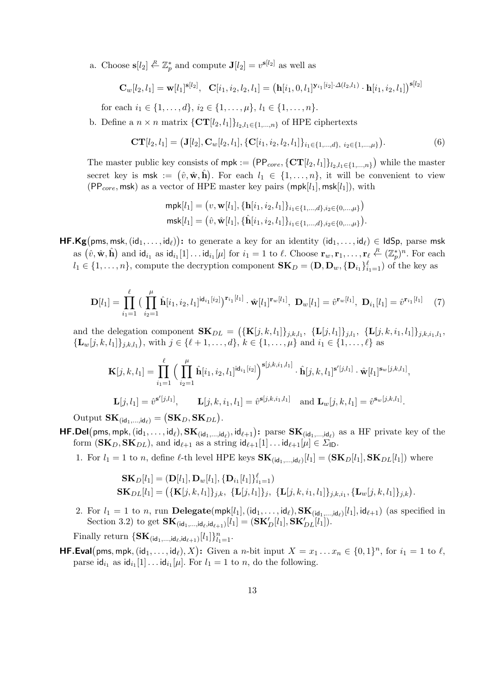a. Choose  $\mathbf{s}[l_2] \stackrel{R}{\leftarrow} \mathbb{Z}_p^*$  and compute  $\mathbf{J}[l_2] = v^{\mathbf{s}[l_2]}$  as well as

$$
\mathbf{C}_w[l_2, l_1] = \mathbf{w}[l_1]^{\mathbf{s}[l_2]}, \quad \mathbf{C}[i_1, i_2, l_2, l_1] = \left(\mathbf{h}[i_1, 0, l_1]^{\mathbf{y}_{i_1}[i_2] \cdot \Delta(l_2, l_1)} \cdot \mathbf{h}[i_1, i_2, l_1]\right)^{\mathbf{s}[l_2]}
$$

for each  $i_1 \in \{1, \ldots, d\}, i_2 \in \{1, \ldots, \mu\}, i_1 \in \{1, \ldots, n\}.$ 

b. Define a  $n \times n$  matrix  $\{CT[l_2, l_1]\}_{l_2, l_1 \in \{1,\ldots,n\}}$  of HPE ciphertexts

$$
\mathbf{CT}[l_2, l_1] = (\mathbf{J}[l_2], \mathbf{C}_w[l_2, l_1], \{\mathbf{C}[i_1, i_2, l_2, l_1]\}_{i_1 \in \{1, \dots, d\}, i_2 \in \{1, \dots, \mu\}}). \tag{6}
$$

The master public key consists of  $mpk := (PP_{core}, \{CT[l_2, l_1]\}_{l_2, l_1 \in \{1,...,n\}})$  while the master secret key is msk :=  $(\hat{v}, \hat{\mathbf{w}}, \hat{\mathbf{h}})$ . For each  $l_1 \in \{1, ..., n\}$ , it will be convenient to view (PP<sub>core</sub>, msk) as a vector of HPE master key pairs (mpk[l<sub>1</sub>], msk[l<sub>1</sub>]), with

$$
\begin{aligned} \mathsf{mpk}[l_1] &= \left( v, \mathbf{w}[l_1], \{ \mathbf{h}[i_1, i_2, l_1] \}_{i_1 \in \{1, \dots, d\}, i_2 \in \{0, \dots, \mu\}} \right) \\ \mathsf{msk}[l_1] &= \left( \hat{v}, \hat{\mathbf{w}}[l_1], \{ \hat{\mathbf{h}}[i_1, i_2, l_1] \}_{i_1 \in \{1, \dots, d\}, i_2 \in \{0, \dots, \mu\}} \right). \end{aligned}
$$

**HF.Kg**(pms, msk,  $(id_1, \ldots, id_\ell)$ ): to generate a key for an identity  $(id_1, \ldots, id_\ell) \in IdSp$ , parse msk as  $(\hat{v}, \hat{\mathbf{w}}, \hat{\mathbf{h}})$  and  $\mathsf{id}_{i_1}$  as  $\mathsf{id}_{i_1}[1] \dots \mathsf{id}_{i_1}[\mu]$  for  $i_1 = 1$  to  $\ell$ . Choose  $\mathbf{r}_w, \mathbf{r}_1, \dots, \mathbf{r}_\ell \stackrel{R}{\leftarrow} (\mathbb{Z}_p^*)^n$ . For each  $l_1 \in \{1, \ldots, n\}$ , compute the decryption component  $\mathbf{SK}_D = (\mathbf{D}, \mathbf{D}_w, {\{\mathbf{D}_{i_1}\}}_{i_1=1}^{\ell})$  of the key as

$$
\mathbf{D}[l_1] = \prod_{i_1=1}^{\ell} \big( \prod_{i_2=1}^{\mu} \hat{\mathbf{h}}[i_1, i_2, l_1]^{\mathsf{id}_{i_1}[i_2]} \big)^{\mathbf{r}_{i_1}[l_1]} \cdot \hat{\mathbf{w}}[l_1]^{\mathbf{r}_w[l_1]}, \ \mathbf{D}_w[l_1] = \hat{v}^{\mathbf{r}_w[l_1]}, \ \mathbf{D}_{i_1}[l_1] = \hat{v}^{\mathbf{r}_{i_1}[l_1]} \tag{7}
$$

and the delegation component  $\mathbf{SK}_{DL} = (\{\mathbf{K}[j,k,l_1]\}_{j,k,l_1}, \{\mathbf{L}[j,l_1]\}_{j,l_1}, \{\mathbf{L}[j,k,i_1,l_1]\}_{j,k,i_1,l_1},\$  $\{\mathbf L_w[j,k,l_1]\}_{j,k,l_1}$ , with  $j \in \{\ell+1,\ldots,d\}, k \in \{1,\ldots,\mu\}$  and  $i_1 \in \{1,\ldots,\ell\}$  as

$$
\mathbf{K}[j,k,l_1] = \prod_{i_1=1}^{\ell} \Big( \prod_{i_2=1}^{\mu} \hat{\mathbf{h}}[i_1, i_2, l_1]^{\mathsf{id}_{i_1}[i_2]} \Big)^{\mathbf{s}[j,k,i_1,l_1]} \cdot \hat{\mathbf{h}}[j,k,l_1]^{\mathbf{s}'[j,l_1]} \cdot \hat{\mathbf{w}}[l_1]^{\mathbf{s}_w[j,k,l_1]},
$$
  

$$
\mathbf{L}[j,l_1] = \hat{v}^{\mathbf{s}'[j,l_1]}, \qquad \mathbf{L}[j,k,i_1,l_1] = \hat{v}^{\mathbf{s}[j,k,i_1,l_1]} \quad \text{and } \mathbf{L}_w[j,k,l_1] = \hat{v}^{\mathbf{s}_w[j,k,l_1]}.
$$

Output  $\mathbf{SK}_{(\mathsf{id}_1,\dots,\mathsf{id}_\ell)} = (\mathbf{SK}_D, \mathbf{SK}_{DL}).$ 

- $HF.Del(pms, mpk, (id_1, \ldots, id_\ell), SK_{(id_1,\ldots, id_\ell)}, id_{\ell+1})$ : parse  $\mathbf{SK}_{(id_1,\ldots, id_\ell)}$  as a HF private key of the form  $(\mathbf{SK}_D, \mathbf{SK}_{DL})$ , and  $\mathsf{id}_{\ell+1}$  as a string  $\mathsf{id}_{\ell+1}[1] \dots \mathsf{id}_{\ell+1}[\mu] \in \Sigma_{\mathsf{ID}}$ .
	- 1. For  $l_1 = 1$  to n, define  $\ell$ -th level HPE keys  $\mathbf{SK}_{(id_1,...,id_\ell)}[l_1] = (\mathbf{SK}_D[l_1], \mathbf{SK}_{DL}[l_1])$  where

$$
\mathbf{SK}_D[l_1] = (\mathbf{D}[l_1], \mathbf{D}_w[l_1], \{\mathbf{D}_{i_1}[l_1]\}_{i_1=1}^{\ell})
$$
  
\n
$$
\mathbf{SK}_{DL}[l_1] = (\{\mathbf{K}[j,k,l_1]\}_{j,k}, \{\mathbf{L}[j,l_1]\}_j, \{\mathbf{L}[j,k,i_1,l_1]\}_{j,k,i_1}, \{\mathbf{L}_w[j,k,l_1]\}_{j,k}).
$$

2. For  $l_1 = 1$  to n, run **Delegate**(mpk[ $l_1$ ], (id<sub>1</sub>,...,id<sub> $l$ </sub>), **SK**<sub>(id<sub>1</sub>,...,id<sub> $l$ </sub>)[ $l_1$ ], id<sub> $l+1$ </sub>) (as specified in</sub> Section 3.2) to get  $\mathbf{SK}_{(\mathsf{id}_1,\dots,\mathsf{id}_\ell,\mathsf{id}_{\ell+1})}[l_1] = (\mathbf{SK}_D'[l_1], \mathbf{SK}_{DL}'[l_1]).$ 

Finally return  $\{SK_{(\mathsf{id}_1,\ldots,\mathsf{id}_\ell,\mathsf{id}_{\ell+1})}[l_1]\}_{l_1=1}^n$ .

**HF. Eval** (pms, mpk,  $(id_1, ..., id_\ell), X$ ): Given a *n*-bit input  $X = x_1 ... x_n \in \{0, 1\}^n$ , for  $i_1 = 1$  to  $\ell$ , parse  $\mathsf{id}_{i_1}$  as  $\mathsf{id}_{i_1}[1] \dots \mathsf{id}_{i_1}[\mu]$ . For  $l_1 = 1$  to n, do the following.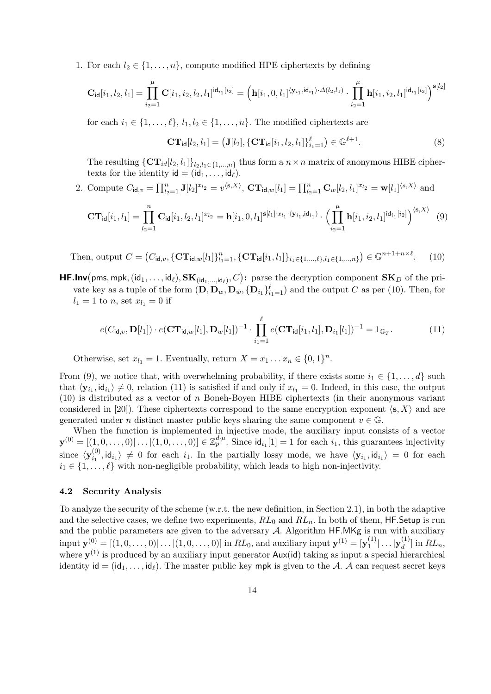1. For each  $l_2 \in \{1, \ldots, n\}$ , compute modified HPE ciphertexts by defining

$$
\mathbf{C}_{\mathsf{id}}[i_1,l_2,l_1] = \prod_{i_2=1}^{\mu} \mathbf{C}[i_1,i_2,l_2,l_1]^{\mathsf{id}_{i_1}[i_2]} = \left(\mathbf{h}[i_1,0,l_1]^{\langle \mathbf{y}_{i_1},\mathsf{id}_{i_1} \rangle \cdot \Delta(l_2,l_1)} \cdot \prod_{i_2=1}^{\mu} \mathbf{h}[i_1,i_2,l_1]^{\mathsf{id}_{i_1}[i_2]}\right)^{\mathbf{s}[l_2]}
$$

for each  $i_1 \in \{1, \ldots, \ell\}, l_1, l_2 \in \{1, \ldots, n\}.$  The modified ciphertexts are

$$
CT_{\mathsf{id}}[l_2, l_1] = (\mathbf{J}[l_2], \{CT_{\mathsf{id}}[i_1, l_2, l_1]\}_{i_1=1}^{\ell}) \in \mathbb{G}^{\ell+1}.
$$
 (8)

The resulting  $\{CT_{id}[l_2, l_1]\}_{l_2, l_1\in\{1,\ldots,n\}}$  thus form a  $n \times n$  matrix of anonymous HIBE ciphertexts for the identity  $id = (id_1, \ldots, id_\ell).$ 

2. Compute  $C_{\mathsf{id},v} = \prod_{l_2=1}^n \mathbf{J}[l_2]^{x_{l_2}} = v^{\langle \mathbf{s},X \rangle}, \mathbf{CT}_{\mathsf{id},w}[l_1] = \prod_{l_2=1}^n \mathbf{C}_w[l_2, l_1]^{x_{l_2}} = \mathbf{w}[l_1]^{\langle s,X\rangle}$  and

$$
\mathbf{CT}_{\mathsf{id}}[i_1, l_1] = \prod_{l_2=1}^n \mathbf{C}_{\mathsf{id}}[i_1, l_2, l_1]^{x_{l_2}} = \mathbf{h}[i_1, 0, l_1]^{s[l_1] \cdot x_{l_1} \cdot \langle \mathbf{y}_{i_1}, \mathsf{id}_{i_1} \rangle} \cdot \left(\prod_{i_2=1}^\mu \mathbf{h}[i_1, i_2, l_1]^{\mathsf{id}_{i_1}[i_2]}\right)^{\langle \mathbf{s}, X \rangle} \tag{9}
$$

Then, output  $C = (C_{\mathsf{id},v}, {\{\mathbf{CT}_{\mathsf{id},w}[l_1]\}}_{l_1=1}^n, {\{\mathbf{CT}_{\mathsf{id}}[i_1, l_1]\}}_{i_1 \in \{1,...,\ell\}, l_1 \in \{1,...,n\}}) \in \mathbb{G}^{n+1+n \times \ell}$  $(10)$ 

**HF.Inv**(pms, mpk,  $(id_1, \ldots, id_\ell), \mathbf{SK}_{(id_1, \ldots, id_\ell)}, C)$ : parse the decryption component  $\mathbf{SK}_D$  of the private key as a tuple of the form  $(D, D_w, D_{\bar{w}}, \{D_{i_1}\}_{i_1=1}^{\ell})$  and the output C as per (10). Then, for  $l_1 = 1$  to n, set  $x_{l_1} = 0$  if

$$
e(C_{\mathsf{id},v},\mathbf{D}[l_1]) \cdot e(\mathbf{CT}_{\mathsf{id},w}[l_1],\mathbf{D}_w[l_1])^{-1} \cdot \prod_{i_1=1}^{\ell} e(\mathbf{CT}_{\mathsf{id}}[i_1,l_1],\mathbf{D}_{i_1}[l_1])^{-1} = 1_{\mathbb{G}_T}.
$$
 (11)

Otherwise, set  $x_{l_1} = 1$ . Eventually, return  $X = x_1 \dots x_n \in \{0, 1\}^n$ .

From (9), we notice that, with overwhelming probability, if there exists some  $i_1 \in \{1, \ldots, d\}$  such that  $\langle \mathbf{y}_{i_1}, \mathbf{id}_{i_1} \rangle \neq 0$ , relation (11) is satisfied if and only if  $x_{l_1} = 0$ . Indeed, in this case, the output  $(10)$  is distributed as a vector of n Boneh-Boyen HIBE ciphertexts (in their anonymous variant considered in [20]). These ciphertexts correspond to the same encryption exponent  $\langle s, X \rangle$  and are generated under n distinct master public keys sharing the same component  $v \in \mathbb{G}$ .

When the function is implemented in injective mode, the auxiliary input consists of a vector  $\mathbf{y}^{(0)} = [(1,0,\ldots,0)|\ldots|(1,0,\ldots,0)] \in \mathbb{Z}_p^{d\cdot\mu}$ . Since  $\mathsf{id}_{i_1}[1] = 1$  for each  $i_1$ , this guarantees injectivity since  $\langle y_{i_1}^{(0)} \rangle$  $\langle u_1^{\{0\}}, \mathsf{id}_{i_1} \rangle \neq 0$  for each  $i_1$ . In the partially lossy mode, we have  $\langle y_{i_1}, \mathsf{id}_{i_1} \rangle = 0$  for each  $i_1 \in \{1, \ldots, \ell\}$  with non-negligible probability, which leads to high non-injectivity.

#### 4.2 Security Analysis

To analyze the security of the scheme (w.r.t. the new definition, in Section 2.1), in both the adaptive and the selective cases, we define two experiments,  $RL_0$  and  $RL_n$ . In both of them, HF. Setup is run and the public parameters are given to the adversary  $A$ . Algorithm  $HF.MKg$  is run with auxiliary  $\text{input } \mathbf{y}^{(0)} = [(1,0,\ldots,0)|\ldots|(1,0,\ldots,0)] \text{ in } RL_0\text{, and auxiliary input } \mathbf{y}^{(1)} = [\mathbf{y}_1^{(1)}]$  $|\mathbf{y}_1^{(1)}| \ldots |\mathbf{y}_d^{(1)}$  $\left[\begin{smallmatrix} 1 & 1 \\ d & \end{smallmatrix}\right]$  in  $RL_n$ , where  $y^{(1)}$  is produced by an auxiliary input generator  $\mathsf{Aux}(\mathsf{id})$  taking as input a special hierarchical identity  $id = (id_1, \ldots, id_\ell)$ . The master public key mpk is given to the A. A can request secret keys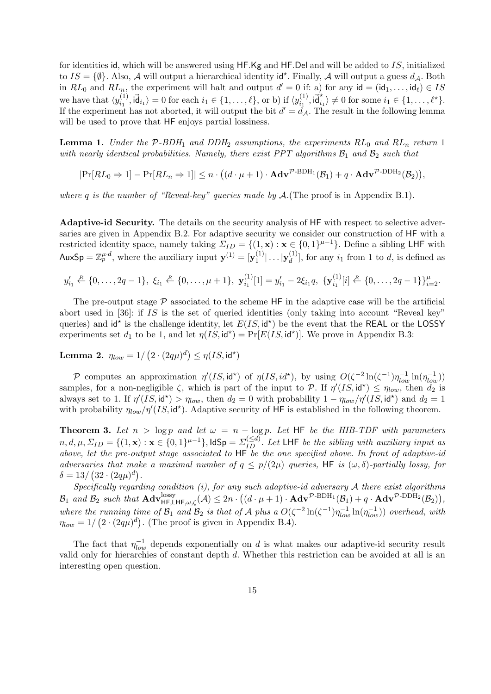for identities id, which will be answered using HF.Kg and HF.Del and will be added to IS, initialized to  $IS = \{\emptyset\}$ . Also, A will output a hierarchical identity id<sup>\*</sup>. Finally, A will output a guess  $d_{\mathcal{A}}$ . Both in  $RL_0$  and  $RL_n$ , the experiment will halt and output  $d' = 0$  if: a) for any  $id = (id_1, \ldots, id_\ell) \in IS$ we have that  $\langle y_i^{(1)} \rangle$  $\langle i_1^{(1)}, \mathsf{id}_{i_1} \rangle = 0$  for each  $i_1 \in \{1, ..., \ell\}$ , or b) if  $\langle y_{i_1}^{(1)} \rangle$  $\vec{a}_{i_1}^{(1)}, \vec{a}_{i_1}^* \rangle \neq 0$  for some  $i_1 \in \{1, \ldots, \ell^* \}.$ If the experiment has not aborted, it will output the bit  $d' = d_A$ . The result in the following lemma will be used to prove that  $HF$  enjoys partial lossiness.

**Lemma 1.** Under the  $P$ -BDH<sub>1</sub> and DDH<sub>2</sub> assumptions, the experiments  $RL_0$  and  $RL_n$  return 1 with nearly identical probabilities. Namely, there exist PPT algorithms  $B_1$  and  $B_2$  such that

 $|\Pr[RL_0 \Rightarrow 1] - \Pr[RL_n \Rightarrow 1]| \leq n \cdot ((d \cdot \mu + 1) \cdot \mathbf{Adv}^{\mathcal{P}\text{-BDH}_1}(\mathcal{B}_1) + q \cdot \mathbf{Adv}^{\mathcal{P}\text{-DDH}_2}(\mathcal{B}_2)),$ 

where q is the number of "Reveal-key" queries made by  $\mathcal{A}$ . (The proof is in Appendix B.1).

Adaptive-id Security. The details on the security analysis of HF with respect to selective adversaries are given in Appendix B.2. For adaptive security we consider our construction of HF with a restricted identity space, namely taking  $\Sigma_{ID} = \{(1, \mathbf{x}) : \mathbf{x} \in \{0, 1\}^{\mu-1}\}\.$  Define a sibling LHF with AuxSp =  $\mathbb{Z}_p^{\mu d}$ , where the auxiliary input  $\mathbf{y}^{(1)} = [\mathbf{y}_1^{(1)}]$  $|\mathbf{y}_1^{(1)}| \ldots |\mathbf{y}_d^{(1)}$  $\binom{1}{d}$ , for any  $i_1$  from 1 to d, is defined as

$$
y'_{i_1} \stackrel{R}{\leftarrow} \{0, \ldots, 2q-1\}, \xi_{i_1} \stackrel{R}{\leftarrow} \{0, \ldots, \mu+1\}, \mathbf{y}_{i_1}^{(1)}[1] = y'_{i_1} - 2\xi_{i_1}q, \{\mathbf{y}_{i_1}^{(1)}[i] \stackrel{R}{\leftarrow} \{0, \ldots, 2q-1\}\}_{i=2}^{\mu}.
$$

The pre-output stage  $P$  associated to the scheme HF in the adaptive case will be the artificial abort used in [36]: if IS is the set of queried identities (only taking into account "Reveal key" queries) and  $\mathsf{id}^*$  is the challenge identity, let  $E(IS, \mathsf{id}^*)$  be the event that the REAL or the LOSSY experiments set  $d_1$  to be 1, and let  $\eta(IS, id^*) = \Pr[E(IS, id^*)]$ . We prove in Appendix B.3:

Lemma 2.  $\eta_{low}=1/\left(2\cdot(2q\mu)^d\right)\leq \eta(I S, \mathsf{id}^\star)$ 

P computes an approximation  $\eta'(IS, id^*)$  of  $\eta(IS, id^*)$ , by using  $O(\zeta^{-2}\ln(\zeta^{-1})\eta_{low}^{-1}\ln(\eta_{low}^{-1}))$ samples, for a non-negligible  $\zeta$ , which is part of the input to P. If  $\eta'(IS, id^*) \leq \eta_{low}$ , then  $d_2$  is always set to 1. If  $\eta'(IS, id^*) > \eta_{low}$ , then  $d_2 = 0$  with probability  $1 - \eta_{low}/\eta'(IS, id^*)$  and  $d_2 = 1$ with probability  $\eta_{low}/\eta'(IS, id^*)$ . Adaptive security of HF is established in the following theorem.

**Theorem 3.** Let  $n > log p$  and let  $\omega = n - log p$ . Let HF be the HIB-TDF with parameters  $n, d, \mu, \Sigma_{ID} = \{(1, \mathbf{x}) : \mathbf{x} \in \{0, 1\}^{\mu-1}\}, \text{IdSp} = \Sigma_{ID}^{(\leq d)}$ . Let LHF be the sibling with auxiliary input as above, let the pre-output stage associated to HF be the one specified above. In front of adaptive-id adversaries that make a maximal number of  $q \leq p/(2\mu)$  queries, HF is  $(\omega, \delta)$ -partially lossy, for  $\delta = 13 / (32 \cdot (2q\mu)^d).$ 

Specifically regarding condition  $(i)$ , for any such adaptive-id adversary  $A$  there exist algorithms  $\mathcal{B}_1$  and  $\mathcal{B}_2$  such that  $\mathbf{Adv}_{\mathsf{HF},\mathsf{LHF},\omega,\zeta}^{lossy}(\mathcal{A}) \leq 2n \cdot ((d \cdot \mu + 1) \cdot \mathbf{Adv}^{\mathcal{P}\text{-}\mathrm{DDH}_1}(\mathcal{B}_1) + q \cdot \mathbf{Adv}^{\mathcal{P}\text{-}\mathrm{DDH}_2}(\mathcal{B}_2)),$ where the running time of  $\mathcal{B}_1$  and  $\mathcal{B}_2$  is that of A plus a  $O(\zeta^{-2}\ln(\zeta^{-1})\eta_{low}^{-1}\ln(\eta_{low}^{-1}))$  overhead, with  $\eta_{low} = 1/\left(2 \cdot (2q\mu)^d\right)$ . (The proof is given in Appendix B.4).

The fact that  $\eta_{low}^{-1}$  depends exponentially on d is what makes our adaptive-id security result valid only for hierarchies of constant depth d. Whether this restriction can be avoided at all is an interesting open question.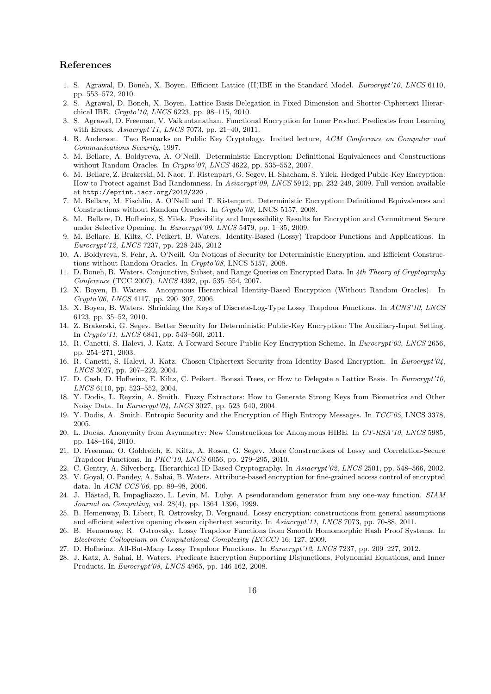# References

- 1. S. Agrawal, D. Boneh, X. Boyen. Efficient Lattice (H)IBE in the Standard Model. Eurocrypt'10, LNCS 6110, pp. 553–572, 2010.
- 2. S. Agrawal, D. Boneh, X. Boyen. Lattice Basis Delegation in Fixed Dimension and Shorter-Ciphertext Hierarchical IBE. Crypto'10, LNCS 6223, pp. 98–115, 2010.
- 3. S. Agrawal, D. Freeman, V. Vaikuntanathan. Functional Encryption for Inner Product Predicates from Learning with Errors. Asiacrypt'11, LNCS 7073, pp. 21–40, 2011.
- 4. R. Anderson. Two Remarks on Public Key Cryptology. Invited lecture, ACM Conference on Computer and Communications Security, 1997.
- 5. M. Bellare, A. Boldyreva, A. O'Neill. Deterministic Encryption: Definitional Equivalences and Constructions without Random Oracles. In Crypto'07, LNCS 4622, pp. 535-552, 2007.
- 6. M. Bellare, Z. Brakerski, M. Naor, T. Ristenpart, G. Segev, H. Shacham, S. Yilek. Hedged Public-Key Encryption: How to Protect against Bad Randomness. In Asiacrypt'09, LNCS 5912, pp. 232-249, 2009. Full version available at http://eprint.iacr.org/2012/220 .
- 7. M. Bellare, M. Fischlin, A. O'Neill and T. Ristenpart. Deterministic Encryption: Definitional Equivalences and Constructions without Random Oracles. In Crypto'08, LNCS 5157, 2008.
- 8. M. Bellare, D. Hofheinz, S. Yilek. Possibility and Impossibility Results for Encryption and Commitment Secure under Selective Opening. In Eurocrypt'09, LNCS 5479, pp. 1-35, 2009.
- 9. M. Bellare, E. Kiltz, C. Peikert, B. Waters. Identity-Based (Lossy) Trapdoor Functions and Applications. In Eurocrypt'12, LNCS 7237, pp. 228-245, 2012
- 10. A. Boldyreva, S. Fehr, A. O'Neill. On Notions of Security for Deterministic Encryption, and Efficient Constructions without Random Oracles. In Crypto'08, LNCS 5157, 2008.
- 11. D. Boneh, B. Waters. Conjunctive, Subset, and Range Queries on Encrypted Data. In 4th Theory of Cryptography Conference (TCC 2007), LNCS 4392, pp. 535–554, 2007.
- 12. X. Boyen, B. Waters. Anonymous Hierarchical Identity-Based Encryption (Without Random Oracles). In Crypto'06, LNCS 4117, pp. 290–307, 2006.
- 13. X. Boyen, B. Waters. Shrinking the Keys of Discrete-Log-Type Lossy Trapdoor Functions. In ACNS'10, LNCS 6123, pp. 35–52, 2010.
- 14. Z. Brakerski, G. Segev. Better Security for Deterministic Public-Key Encryption: The Auxiliary-Input Setting. In Crypto'11, LNCS 6841, pp. 543–560, 2011.
- 15. R. Canetti, S. Halevi, J. Katz. A Forward-Secure Public-Key Encryption Scheme. In Eurocrypt'03, LNCS 2656, pp. 254–271, 2003.
- 16. R. Canetti, S. Halevi, J. Katz. Chosen-Ciphertext Security from Identity-Based Encryption. In Eurocrypt'04, LNCS 3027, pp. 207–222, 2004.
- 17. D. Cash, D. Hofheinz, E. Kiltz, C. Peikert. Bonsai Trees, or How to Delegate a Lattice Basis. In Eurocrypt'10, LNCS 6110, pp. 523–552, 2004.
- 18. Y. Dodis, L. Reyzin, A. Smith. Fuzzy Extractors: How to Generate Strong Keys from Biometrics and Other Noisy Data. In Eurocrypt'04, LNCS 3027, pp. 523–540, 2004.
- 19. Y. Dodis, A. Smith. Entropic Security and the Encryption of High Entropy Messages. In TCC'05, LNCS 3378, 2005.
- 20. L. Ducas. Anonymity from Asymmetry: New Constructions for Anonymous HIBE. In CT-RSA'10, LNCS 5985, pp. 148–164, 2010.
- 21. D. Freeman, O. Goldreich, E. Kiltz, A. Rosen, G. Segev. More Constructions of Lossy and Correlation-Secure Trapdoor Functions. In PKC'10, LNCS 6056, pp. 279–295, 2010.
- 22. C. Gentry, A. Silverberg. Hierarchical ID-Based Cryptography. In Asiacrypt'02, LNCS 2501, pp. 548–566, 2002.
- 23. V. Goyal, O. Pandey, A. Sahai, B. Waters. Attribute-based encryption for fine-grained access control of encrypted data. In ACM CCS'06, pp. 89–98, 2006.
- 24. J. Håstad, R. Impagliazzo, L. Levin, M. Luby. A pseudorandom generator from any one-way function. SIAM Journal on Computing, vol. 28(4), pp. 1364–1396, 1999.
- 25. B. Hemenway, B. Libert, R. Ostrovsky, D. Vergnaud. Lossy encryption: constructions from general assumptions and efficient selective opening chosen ciphertext security. In Asiacrypt'11, LNCS 7073, pp. 70-88, 2011.
- 26. B. Hemenway, R. Ostrovsky. Lossy Trapdoor Functions from Smooth Homomorphic Hash Proof Systems. In Electronic Colloquium on Computational Complexity (ECCC) 16: 127, 2009.
- 27. D. Hofheinz. All-But-Many Lossy Trapdoor Functions. In Eurocrypt'12, LNCS 7237, pp. 209–227, 2012.
- 28. J. Katz, A. Sahai, B. Waters. Predicate Encryption Supporting Disjunctions, Polynomial Equations, and Inner Products. In Eurocrypt'08, LNCS 4965, pp. 146-162, 2008.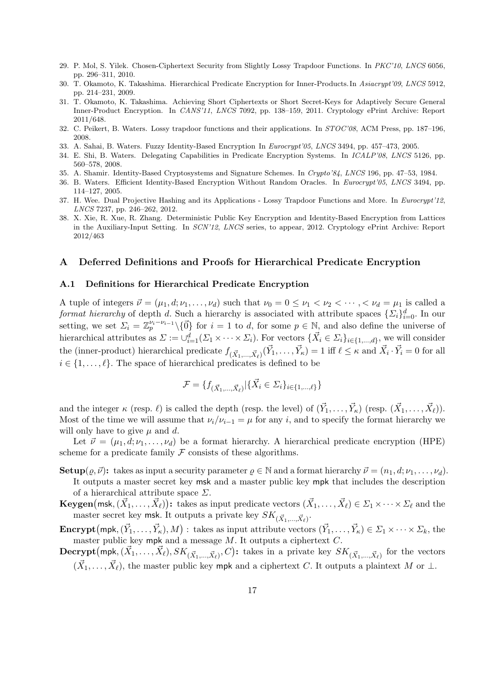- 29. P. Mol, S. Yilek. Chosen-Ciphertext Security from Slightly Lossy Trapdoor Functions. In PKC'10, LNCS 6056, pp. 296–311, 2010.
- 30. T. Okamoto, K. Takashima. Hierarchical Predicate Encryption for Inner-Products. In Asiacrypt'09, LNCS 5912, pp. 214–231, 2009.
- 31. T. Okamoto, K. Takashima. Achieving Short Ciphertexts or Short Secret-Keys for Adaptively Secure General Inner-Product Encryption. In CANS'11, LNCS 7092, pp. 138–159, 2011. Cryptology ePrint Archive: Report 2011/648.
- 32. C. Peikert, B. Waters. Lossy trapdoor functions and their applications. In STOC'08, ACM Press, pp. 187–196, 2008.
- 33. A. Sahai, B. Waters. Fuzzy Identity-Based Encryption In Eurocrypt'05, LNCS 3494, pp. 457–473, 2005.
- 34. E. Shi, B. Waters. Delegating Capabilities in Predicate Encryption Systems. In ICALP'08, LNCS 5126, pp. 560–578, 2008.
- 35. A. Shamir. Identity-Based Cryptosystems and Signature Schemes. In Crypto'84, LNCS 196, pp. 47–53, 1984.
- 36. B. Waters. Efficient Identity-Based Encryption Without Random Oracles. In Eurocrypt'05, LNCS 3494, pp. 114–127, 2005.
- 37. H. Wee. Dual Projective Hashing and its Applications Lossy Trapdoor Functions and More. In Eurocrypt'12, LNCS 7237, pp. 246–262, 2012.
- 38. X. Xie, R. Xue, R. Zhang. Deterministic Public Key Encryption and Identity-Based Encryption from Lattices in the Auxiliary-Input Setting. In SCN'12, LNCS series, to appear, 2012. Cryptology ePrint Archive: Report 2012/463

#### A Deferred Definitions and Proofs for Hierarchical Predicate Encryption

#### A.1 Definitions for Hierarchical Predicate Encryption

A tuple of integers  $\vec{\nu} = (\mu_1, d; \nu_1, \dots, \nu_d)$  such that  $\nu_0 = 0 \leq \nu_1 < \nu_2 < \dots, < \nu_d = \mu_1$  is called a format hierarchy of depth d. Such a hierarchy is associated with attribute spaces  $\{\Sigma_i\}_{i=0}^d$ . In our setting, we set  $\Sigma_i = \mathbb{Z}_p^{\nu_i-\nu_{i-1}}\setminus\{\vec{0}\}\}$  for  $i=1$  to d, for some  $p\in\mathbb{N}$ , and also define the universe of hierarchical attributes as  $\Sigma := \cup_{i=1}^d (\Sigma_1 \times \cdots \times \Sigma_i)$ . For vectors  $\{\vec{X}_i \in \Sigma_i\}_{i \in \{1,\dots,d\}}$ , we will consider the (inner-product) hierarchical predicate  $f_{(\vec{X}_1,...,\vec{X}_\ell)}(\vec{Y}_1,...,\vec{Y}_\kappa) = 1$  iff  $\ell \leq \kappa$  and  $\vec{X}_i \cdot \vec{Y}_i = 0$  for all  $i \in \{1, \ldots, \ell\}$ . The space of hierarchical predicates is defined to be

$$
\mathcal{F} = \{ f_{(\vec{X}_1, ..., \vec{X}_\ell)} | \{ \vec{X}_i \in \Sigma_i \}_{i \in \{1, ..., \ell\}} \}
$$

and the integer  $\kappa$  (resp.  $\ell$ ) is called the depth (resp. the level) of  $(\vec{Y}_1, \ldots, \vec{Y}_\kappa)$  (resp.  $(\vec{X}_1, \ldots, \vec{X}_\ell)$ ). Most of the time we will assume that  $\nu_i/\nu_{i-1} = \mu$  for any i, and to specify the format hierarchy we will only have to give  $\mu$  and  $d$ .

Let  $\vec{\nu} = (\mu_1, d; \nu_1, \dots, \nu_d)$  be a format hierarchy. A hierarchical predicate encryption (HPE) scheme for a predicate family  $\mathcal F$  consists of these algorithms.

- **Setup** $(\varrho, \vec{\nu})$ : takes as input a security parameter  $\varrho \in \mathbb{N}$  and a format hierarchy  $\vec{\nu} = (n_1, d; \nu_1, \dots, \nu_d)$ . It outputs a master secret key msk and a master public key mpk that includes the description of a hierarchical attribute space  $\Sigma$ .
- ${\bf Keygen}({\sf msk},(\vec{X}_1,\ldots,\vec{X}_\ell))$ : takes as input predicate vectors  $(\vec{X}_1,\ldots,\vec{X}_\ell)\in \Sigma_1\times\cdots\times \Sigma_\ell$  and the master secret key  ${\sf m}{\sf sk}.$  It outputs a private key  $SK_{(\vec{X}_{1},\ldots,\vec{X}_{\ell})}.$
- **Encrypt**  $(\text{mpk}, (\vec{Y}_1, \ldots, \vec{Y}_\kappa), M)$ : takes as input attribute vectors  $(\vec{Y}_1, \ldots, \vec{Y}_\kappa) \in \Sigma_1 \times \cdots \times \Sigma_k$ , the master public key mpk and a message  $M$ . It outputs a ciphertext  $C$ .
- $\mathbf{Decrypt}\big(\mathsf{mpk},(\vec{X}_1,\ldots,\vec{X}_{\ell}),SK_{(\vec{X}_1,\ldots,\vec{X}_{\ell})},C\big)$ : takes in a private key  $SK_{(\vec{X}_1,\ldots,\vec{X}_{\ell})}$  for the vectors  $(\vec{X}_1, \ldots, \vec{X}_\ell)$ , the master public key mpk and a ciphertext C. It outputs a plaintext M or  $\perp$ .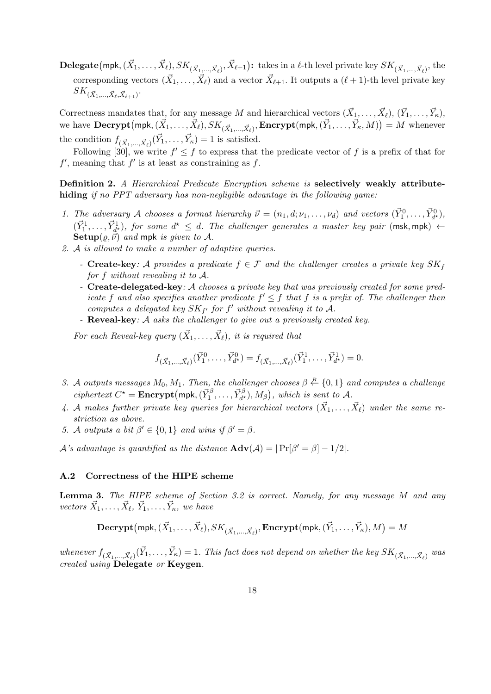${\bf Delegate}(\mathsf{mpk},(\vec{X}_1,\dots,\vec{X}_\ell),SK_{(\vec{X}_1,...,\vec{X}_\ell)},\vec{X}_{\ell+1})$ : takes in a  $\ell$ -th level private key  $SK_{(\vec{X}_1,...,\vec{X}_\ell)},$  the corresponding vectors  $(\vec{X}_1,\ldots,\vec{X}_\ell)$  and a vector  $\vec{X}_{\ell+1}$ . It outputs a  $(\ell+1)$ -th level private key  $SK_{(\vec{X}_1,...,\vec{X}_{\ell},\vec{X}_{\ell+1})}.$ 

Correctness mandates that, for any message M and hierarchical vectors  $(\vec{X}_1, \ldots, \vec{X}_\ell), (\vec{Y}_1, \ldots, \vec{Y}_\kappa)$ , we have  $\mathbf{Decrypt}\big(\mathsf{mpk},(\vec{X}_1,\ldots,\vec{X}_{\ell}),SK_{(\vec{X}_1,...,\vec{X}_{\ell})},\mathbf{Encrypt}(\mathsf{mpk},(\vec{Y}_1,\ldots,\vec{Y}_{\kappa},M)\big)=M$  whenever the condition  $f_{(\vec{X}_1, ..., \vec{X}_\ell)}(\vec{Y}_1, ..., \vec{Y}_\kappa) = 1$  is satisfied.

Following [30], we write  $f' \leq f$  to express that the predicate vector of f is a prefix of that for  $f'$ , meaning that  $f'$  is at least as constraining as  $f$ .

Definition 2. A Hierarchical Predicate Encryption scheme is selectively weakly attributehiding if no PPT adversary has non-negligible advantage in the following game:

- 1. The adversary A chooses a format hierarchy  $\vec{\nu} = (n_1, d; \nu_1, \dots, \nu_d)$  and vectors  $(\vec{Y}_1^0, \dots, \vec{Y}_{d^*}^0)$ ,  $(\vec{Y}_1^1,\ldots,\vec{Y}_{d^{\star}}^1)$ , for some  $d^{\star} \leq d$ . The challenger generates a master key pair (msk, mpk)  $\leftarrow$ Setup $(\rho, \vec{\nu})$  and mpk is given to A.
- 2. A is allowed to make a number of adaptive queries.
	- Create-key: A provides a predicate  $f \in \mathcal{F}$  and the challenger creates a private key  $SK_f$ for f without revealing it to A.
	- Create-delegated-key: A chooses a private key that was previously created for some predicate f and also specifies another predicate  $f' \leq f$  that f is a prefix of. The challenger then computes a delegated key  $SK_{f'}$  for  $f'$  without revealing it to A.
	- Reveal-key: A asks the challenger to give out a previously created key.

For each Reveal-key query  $(\vec{X}_1, \ldots, \vec{X}_\ell)$ , it is required that

$$
f_{(\vec{X}_1,\ldots,\vec{X}_\ell)}(\vec{Y}_1^0,\ldots,\vec{Y}_{d^*}^0) = f_{(\vec{X}_1,\ldots,\vec{X}_\ell)}(\vec{Y}_1^1,\ldots,\vec{Y}_{d^*}^1) = 0.
$$

- 3. A outputs messages  $M_0, M_1$ . Then, the challenger chooses  $\beta \stackrel{R}{\leftarrow} \{0,1\}$  and computes a challenge ciphertext  $C^* =$ **Encrypt**(mpk,  $(\vec{Y}_1^{\beta}, \ldots, \vec{Y}_{d^*}^{\beta}), M_{\beta})$ , which is sent to A.
- 4. A makes further private key queries for hierarchical vectors  $(\vec{X}_1, \ldots, \vec{X}_\ell)$  under the same restriction as above.
- 5. A outputs a bit  $\beta' \in \{0,1\}$  and wins if  $\beta' = \beta$ .

*A*'s advantage is quantified as the distance  $\text{Adv}(\mathcal{A}) = |\Pr[\beta' = \beta] - 1/2|$ .

### A.2 Correctness of the HIPE scheme

Lemma 3. The HIPE scheme of Section 3.2 is correct. Namely, for any message M and any vectors  $\vec{X}_1, \ldots, \vec{X}_{\ell}, \vec{Y}_1, \ldots, \vec{Y}_{\kappa},$  we have

$$
\textbf{Decrypt}\big(\textsf{mpk}, (\vec{X}_1, \ldots, \vec{X}_{\ell}), SK_{(\vec{X}_1, \ldots, \vec{X}_{\ell})}, \textbf{Encrypt}\big(\textsf{mpk}, (\vec{Y}_1, \ldots, \vec{Y}_{\kappa}), M\big) = M
$$

whenever  $f_{(\vec{X}_1,...,\vec{X}_\ell)}(\vec{Y}_1,...,\vec{Y}_\kappa) = 1$ . This fact does not depend on whether the key  $SK_{(\vec{X}_1,...,\vec{X}_\ell)}$  was created using Delegate or Keygen.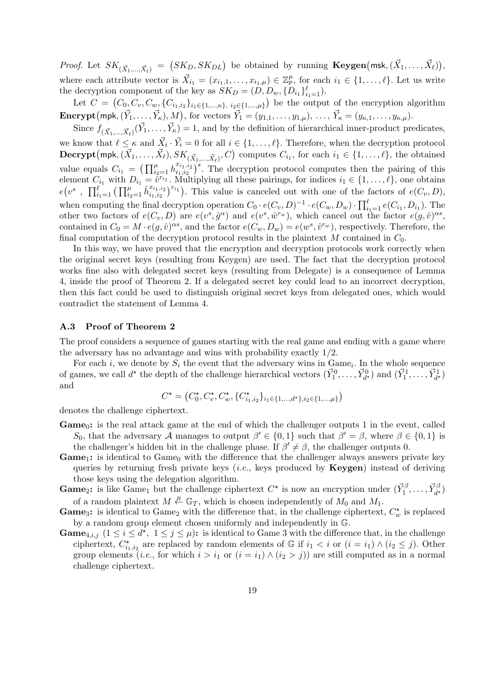*Proof.* Let  $SK_{(\vec{X}_1,...,\vec{X}_\ell)} = (SK_D, SK_{DL})$  be obtained by running  $\textbf{Keygen}(\textsf{msk},(\vec{X}_1,...,\vec{X}_\ell)),$ where each attribute vector is  $\vec{X}_{i_1} = (x_{i_1,1}, \ldots, x_{i_1,\mu}) \in \mathbb{Z}_p^{\mu}$ , for each  $i_1 \in \{1, \ldots, \ell\}$ . Let us write the decryption component of the key as  $SK_D = (D, D_w, \{D_{i_1}\}_{i_1=1}^{\ell}).$ 

Let  $C = (C_0, C_v, C_w, \{C_{i_1,i_2}\}_{i_1 \in \{1,..., \kappa\}, i_2 \in \{1,..., \mu\}})$  be the output of the encryption algorithm **Encrypt**  $(mpk, (\vec{Y}_1, ..., \vec{Y}_\kappa), M)$ , for vectors  $\vec{Y}_1 = (y_{1,1}, ..., y_{1,\mu}), ..., \vec{Y}_\kappa = (y_{\kappa,1}, ..., y_{\kappa,\mu}).$ 

Since  $f_{(\vec{X}_1,\ldots,\vec{X}_\ell)}(\vec{Y}_1,\ldots,\vec{Y}_\kappa) = 1$ , and by the definition of hierarchical inner-product predicates, we know that  $\ell \leq \kappa$  and  $\vec{X}_i \cdot \vec{Y}_i = 0$  for all  $i \in \{1, \ldots, \ell\}$ . Therefore, when the decryption protocol  $\mathbf{Decrypt}\big(\mathsf{mpk}, (\vec{X}_1, \ldots, \vec{X}_{\ell}), SK_{(\vec{X}_1, \ldots, \vec{X}_{\ell})}, C\big)$  computes  $C_{i_1}$ , for each  $i_1 \in \{1, \ldots, \ell\}$ , the obtained value equals  $C_{i_1} = \left( \prod_{i_2=1}^{\mu} h_{i_1, i_2}^{x_{i_1, i_2}} \right)$  $\left(x_{i_1,i_2}\right)^s$ . The decryption protocol computes then the pairing of this element  $C_{i_1}$  with  $D_{i_1} = \hat{v}^{r_{i_1}}$ . Multiplying all these pairings, for indices  $i_1 \in \{1, \ldots, \ell\}$ , one obtains  $e(v^s \; , \; \prod_{i_1=1}^{\ell} \big( \prod_{i_2=1}^{\mu} \hat{h}_{i_1,i_2}^{x_{i_1,i_2}}$  $\binom{x_{i_1,i_2}}{i_1,i_2}^{r_{i_1}}$ . This value is canceled out with one of the factors of  $e(C_v, D)$ , when computing the final decryption operation  $C_0 \cdot e(C_v, D)^{-1} \cdot e(C_w, D_w) \cdot \prod_{i=1}^{\ell} e(C_{i_1}, D_{i_1})$ . The other two factors of  $e(C_v, D)$  are  $e(v^s, \hat{g}^{\alpha})$  and  $e(v^s, \hat{w}^{r_w})$ , which cancel out the factor  $e(g, \hat{v})^{\alpha s}$ , contained in  $C_0 = M \cdot e(g, \hat{v})^{\alpha s}$ , and the factor  $e(C_w, D_w) = e(w^s, \hat{v}^{r_w})$ , respectively. Therefore, the final computation of the decryption protocol results in the plaintext  $M$  contained in  $C_0$ .

In this way, we have proved that the encryption and decryption protocols work correctly when the original secret keys (resulting from Keygen) are used. The fact that the decryption protocol works fine also with delegated secret keys (resulting from Delegate) is a consequence of Lemma 4, inside the proof of Theorem 2. If a delegated secret key could lead to an incorrect decryption, then this fact could be used to distinguish original secret keys from delegated ones, which would contradict the statement of Lemma 4.

#### A.3 Proof of Theorem 2

The proof considers a sequence of games starting with the real game and ending with a game where the adversary has no advantage and wins with probability exactly 1/2.

For each i, we denote by  $S_i$  the event that the adversary wins in Game<sub>i</sub>. In the whole sequence of games, we call  $d^*$  the depth of the challenge hierarchical vectors  $(\vec{Y}_1^0, \ldots, \vec{Y}_{d^*}^0)$  and  $(\vec{Y}_1^1, \ldots, \vec{Y}_{d^*}^1)$ and

$$
C^{\star} = \left( C_{0}^{\star}, C_{v}^{\star}, C_{w}^{\star}, \{ C_{i_1, i_2}^{\star} \}_{i_1 \in \{1, \ldots, d^{\star}\}, i_2 \in \{1, \ldots, \mu\}} \right)
$$

denotes the challenge ciphertext.

- **Game**<sub>0</sub>: is the real attack game at the end of which the challenger outputs 1 in the event, called S<sub>0</sub>, that the adversary A manages to output  $\beta' \in \{0,1\}$  such that  $\beta' = \beta$ , where  $\beta \in \{0,1\}$  is the challenger's hidden bit in the challenge phase. If  $\beta' \neq \beta$ , the challenger outputs 0.
- **Game**<sub>1</sub>: is identical to Game<sub>0</sub> with the difference that the challenger always answers private key queries by returning fresh private keys (*i.e.*, keys produced by  $Keygen$ ) instead of deriving those keys using the delegation algorithm.
- **Game**<sub>2</sub>: is like Game<sub>1</sub> but the challenge ciphertext  $C^*$  is now an encryption under  $(\vec{Y}_1^{\beta}, \ldots, \vec{Y}_{d^*}^{\beta})$ of a random plaintext  $M \stackrel{R}{\leftarrow} \mathbb{G}_T$ , which is chosen independently of  $M_0$  and  $M_1$ .
- **Game**<sub>3</sub>: is identical to Game<sub>2</sub> with the difference that, in the challenge ciphertext,  $C_w^*$  is replaced by a random group element chosen uniformly and independently in G.
- **Game**<sub>4,*i,j*  $(1 \le i \le d^*$ ,  $1 \le j \le \mu)$ : is identical to Game 3 with the difference that, in the challenge</sub> ciphertext,  $C_{i_1,i_2}^{\star}$  are replaced by random elements of G if  $i_1 < i$  or  $(i = i_1) \wedge (i_2 \leq j)$ . Other group elements (*i.e.*, for which  $i > i_1$  or  $(i = i_1) \wedge (i_2 > j)$ ) are still computed as in a normal challenge ciphertext.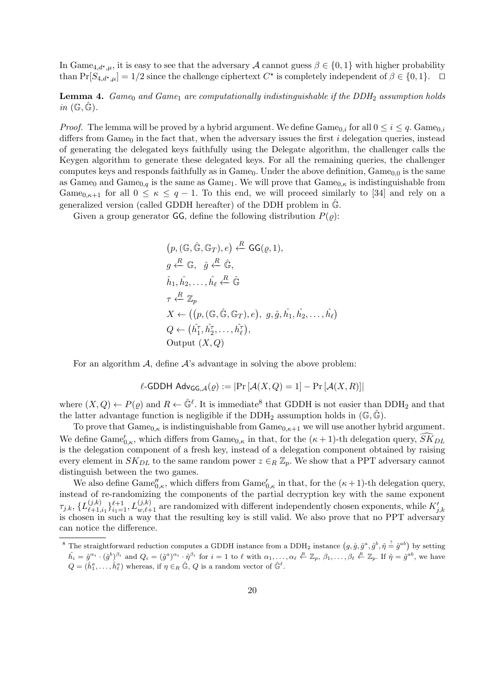In Game<sub>4,d\*,u</sub>, it is easy to see that the adversary A cannot guess  $\beta \in \{0,1\}$  with higher probability than  $Pr[S_{4,d^*,\mu}] = 1/2$  since the challenge ciphertext  $C^*$  is completely independent of  $\beta \in \{0,1\}$ .

**Lemma 4.** Game<sub>0</sub> and Game<sub>1</sub> are computationally indistinguishable if the DDH<sub>2</sub> assumption holds  $in \ (\mathbb{G}, \mathbb{G}).$ 

*Proof.* The lemma will be proved by a hybrid argument. We define  $\text{Game}_{0,i}$  for all  $0 \le i \le q$ .  $\text{Game}_{0,i}$ differs from Game<sub>0</sub> in the fact that, when the adversary issues the first i delegation queries, instead of generating the delegated keys faithfully using the Delegate algorithm, the challenger calls the Keygen algorithm to generate these delegated keys. For all the remaining queries, the challenger computes keys and responds faithfully as in  $Game_0$ . Under the above definition,  $Game_{0,0}$  is the same as Game<sub>0</sub> and Game<sub>0,q</sub> is the same as Game<sub>1</sub>. We will prove that  $\text{Game}_{0,\kappa}$  is indistinguishable from Game<sub>0,<sup>k+1</sup></sub> for all  $0 \le \kappa \le q-1$ . To this end, we will proceed similarly to [34] and rely on a generalized version (called GDDH hereafter) of the DDH problem in  $\mathbb{G}$ .

Given a group generator GG, define the following distribution  $P(\varrho)$ :

$$
(p, (\mathbb{G}, \hat{\mathbb{G}}, \mathbb{G}_T), e) \stackrel{R}{\leftarrow} \mathsf{GG}(\varrho, 1),
$$
  
\n
$$
g \stackrel{R}{\leftarrow} \mathbb{G}, \quad \hat{g} \stackrel{R}{\leftarrow} \hat{\mathbb{G}},
$$
  
\n
$$
\hat{h}_1, \hat{h}_2, \dots, \hat{h}_\ell \stackrel{R}{\leftarrow} \hat{\mathbb{G}}
$$
  
\n
$$
\tau \stackrel{R}{\leftarrow} \mathbb{Z}_p
$$
  
\n
$$
X \leftarrow ((p, (\mathbb{G}, \hat{\mathbb{G}}, \mathbb{G}_T), e), g, \hat{g}, \hat{h}_1, \hat{h}_2, \dots, \hat{h}_\ell)
$$
  
\n
$$
Q \leftarrow (\hat{h}_1^{\tau}, \hat{h}_2^{\tau}, \dots, \hat{h}_\ell^{\tau}),
$$
  
\nOutput  $(X, Q)$ 

For an algorithm  $\mathcal{A}$ , define  $\mathcal{A}$ 's advantage in solving the above problem:

$$
\ell\text{-GDDH Adv}_{\mathsf{GG},\mathcal{A}}(\varrho) := \left| \Pr\left[\mathcal{A}(X,Q) = 1 \right] - \Pr\left[\mathcal{A}(X,R)\right] \right|
$$

where  $(X,Q) \leftarrow P(\varrho)$  and  $R \leftarrow \hat{\mathbb{G}}^{\ell}$ . It is immediate<sup>8</sup> that GDDH is not easier than DDH<sub>2</sub> and that the latter advantage function is negligible if the DDH<sub>2</sub> assumption holds in  $(\mathbb{G}, \hat{\mathbb{G}})$ .

To prove that  $\text{Game}_{0,\kappa}$  is indistinguishable from  $\text{Game}_{0,\kappa+1}$  we will use another hybrid argument. We define  $\text{Game}_{0,\kappa}^{\prime}$ , which differs from  $\text{Game}_{0,\kappa}$  in that, for the  $(\kappa+1)$ -th delegation query,  $\widetilde{SK}_{DL}$ is the delegation component of a fresh key, instead of a delegation component obtained by raising every element in  $SK_{DL}$  to the same random power  $z \in_R \mathbb{Z}_p$ . We show that a PPT adversary cannot distinguish between the two games.

We also define  $\text{Game}_{0,\kappa}^{\prime\prime}$ , which differs from  $\text{Game}_{0,\kappa}^{\prime}$  in that, for the  $(\kappa+1)$ -th delegation query, instead of re-randomizing the components of the partial decryption key with the same exponent  $\tau_{j.k}, \{L^{(j,k)}_{\ell+1.}$  $\{j,k\}_{\ell+1,i_1}^{(j,k)}\}_{i_1=1}^{\ell+1}, L_{w,\ell+1}^{(j,k)}$  are randomized with different independently chosen exponents, while  $K'_{j,k}$ is chosen in such a way that the resulting key is still valid. We also prove that no PPT adversary can notice the difference.

<sup>&</sup>lt;sup>8</sup> The straightforward reduction computes a GDDH instance from a DDH<sub>2</sub> instance  $(g, \hat{g}, \hat{g}^a, \hat{g}^b, \hat{\eta} \stackrel{?}{=} \hat{g}^{ab})$  by setting  $\hat{h}_i = \hat{g}^{\alpha_i} \cdot (\hat{g}^b)^{\beta_i}$  and  $Q_i = (\hat{g}^a)^{\alpha_i} \cdot \hat{\eta}^{\beta_i}$  for  $i = 1$  to  $\ell$  with  $\alpha_1, \ldots, \alpha_\ell \stackrel{R}{\leftarrow} \mathbb{Z}_p$ ,  $\beta_1, \ldots, \beta_\ell \stackrel{R}{\leftarrow} \mathbb{Z}_p$ . If  $\hat{\eta} = \hat{g}^{ab}$ , we have  $Q = (\hat{h}_1^a, \dots, \hat{h}_\ell^a)$  whereas, if  $\eta \in_R \hat{\mathbb{G}}$ , Q is a random vector of  $\hat{\mathbb{G}}^{\ell}$ .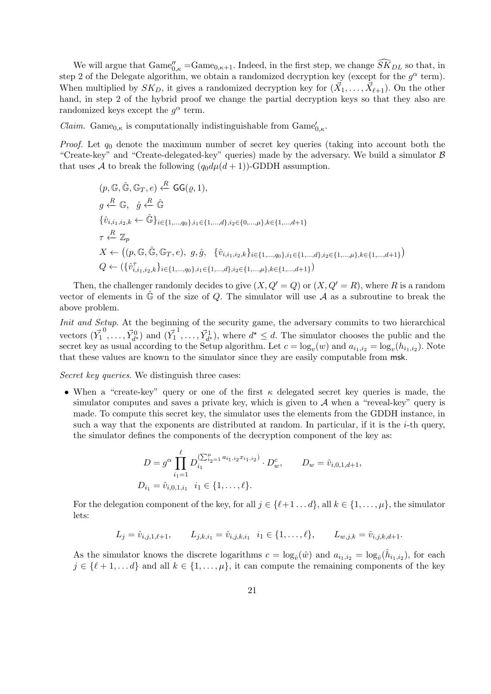We will argue that  $\text{Game}_{0,\kappa}^{\prime} = \text{Game}_{0,\kappa+1}$ . Indeed, in the first step, we change  $\widetilde{SK}_{DL}$  so that, in step 2 of the Delegate algorithm, we obtain a randomized decryption key (except for the  $g^{\alpha}$  term). When multiplied by  $SK_D$ , it gives a randomized decryption key for  $(\vec{X}_1, \ldots, \vec{X}_{\ell+1})$ . On the other hand, in step 2 of the hybrid proof we change the partial decryption keys so that they also are randomized keys except the  $g^{\alpha}$  term.

*Claim.* Game<sub>0,<sup>κ</sup></sub> is computationally indistinguishable from  $\text{Game}_{0,\kappa}'$ .

*Proof.* Let  $q_0$  denote the maximum number of secret key queries (taking into account both the "Create-key" and "Create-delegated-key" queries) made by the adversary. We build a simulator B that uses A to break the following  $(q_0 d\mu(d+1))$ -GDDH assumption.

$$
(p, \mathbb{G}, \hat{\mathbb{G}}, \mathbb{G}_T, e) \stackrel{R}{\leftarrow} \mathsf{GG}(\varrho, 1),
$$
  
\n
$$
g \stackrel{R}{\leftarrow} \mathbb{G}, \quad \hat{g} \stackrel{R}{\leftarrow} \hat{\mathbb{G}}
$$
  
\n
$$
\{\hat{v}_{i,i_1,i_2,k} \leftarrow \hat{\mathbb{G}}\}_{i \in \{1,\dots,q_0\}, i_1 \in \{1,\dots,d\}, i_2 \in \{0,\dots,\mu\}, k \in \{1,\dots,d+1\}
$$
  
\n
$$
\tau \stackrel{R}{\leftarrow} \mathbb{Z}_p
$$
  
\n
$$
X \leftarrow ((p, \mathbb{G}, \hat{\mathbb{G}}, \mathbb{G}_T, e), g, \hat{g}, \{\hat{v}_{i,i_1,i_2,k}\}_{i \in \{1,\dots,q_0\}, i_1 \in \{1,\dots,d\}, i_2 \in \{1,\dots,\mu\}, k \in \{1,\dots,d+1\})
$$
  
\n
$$
Q \leftarrow (\{\hat{v}_{i,i_1,i_2,k}^T\}_{i \in \{1,\dots,q_0\}, i_1 \in \{1,\dots,d\}, i_2 \in \{1,\dots,d+1\})
$$

Then, the challenger randomly decides to give  $(X, Q' = Q)$  or  $(X, Q' = R)$ , where R is a random vector of elements in  $\hat{\mathbb{G}}$  of the size of Q. The simulator will use A as a subroutine to break the above problem.

Init and Setup. At the beginning of the security game, the adversary commits to two hierarchical vectors  $(\vec{Y_1})$  $\overrightarrow{Y}_{d^{\star}}^{0}$  and  $(\overrightarrow{Y}_{1}^{0})$  $\overrightarrow{Y}_{d}^{1}, \ldots, \overrightarrow{Y}_{d}^{1}$ , where  $d^{\star} \leq d$ . The simulator chooses the public and the secret key as usual according to the Setup algorithm. Let  $c = \log_v(w)$  and  $a_{i_1,i_2} = \log_v(h_{i_1,i_2})$ . Note that these values are known to the simulator since they are easily computable from msk.

Secret key queries. We distinguish three cases:

• When a "create-key" query or one of the first  $\kappa$  delegated secret key queries is made, the simulator computes and saves a private key, which is given to  $A$  when a "reveal-key" query is made. To compute this secret key, the simulator uses the elements from the GDDH instance, in such a way that the exponents are distributed at random. In particular, if it is the  $i$ -th query, the simulator defines the components of the decryption component of the key as:

$$
D = g^{\alpha} \prod_{i_1=1}^{\ell} D_{i_1}^{(\sum_{i_2=1}^{\mu} a_{i_1, i_2} x_{i_1, i_2})} \cdot D_w^c, \qquad D_w = \hat{v}_{i,0,1,d+1},
$$
  

$$
D_{i_1} = \hat{v}_{i,0,1,i_1} \quad i_1 \in \{1,\ldots,\ell\}.
$$

For the delegation component of the key, for all  $j \in \{\ell+1 \dots d\}$ , all  $k \in \{1, \dots, \mu\}$ , the simulator lets:

$$
L_j = \hat{v}_{i,j,1,\ell+1}, \qquad L_{j,k,i_1} = \hat{v}_{i,j,k,i_1} \quad i_1 \in \{1,\ldots,\ell\}, \qquad L_{w,j,k} = \hat{v}_{i,j,k,d+1}.
$$

As the simulator knows the discrete logarithms  $c = \log_{\hat{v}}(\hat{w})$  and  $a_{i_1,i_2} = \log_{\hat{v}}(\hat{h}_{i_1,i_2})$ , for each  $j \in {\ell + 1, \ldots d}$  and all  $k \in \{1, \ldots, \mu\}$ , it can compute the remaining components of the key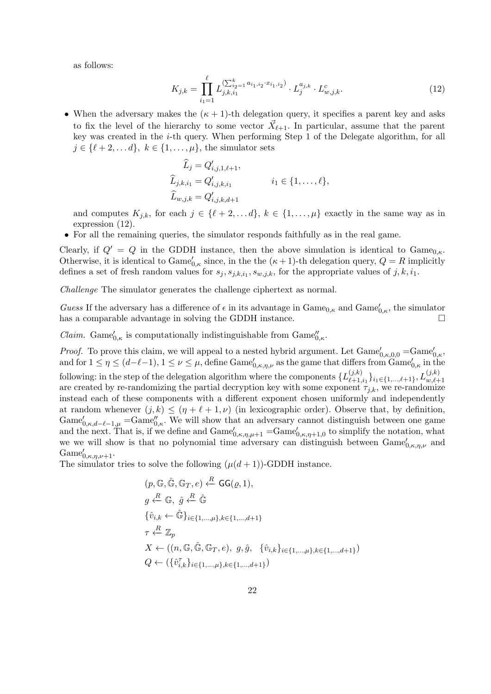as follows:

$$
K_{j,k} = \prod_{i_1=1}^{\ell} L_{j,k,i_1}^{(\sum_{i_2=1}^k a_{i_1,i_2} \cdot x_{i_1,i_2})} \cdot L_j^{a_{j,k}} \cdot L_{w,j,k}^c.
$$
 (12)

• When the adversary makes the  $(\kappa + 1)$ -th delegation query, it specifies a parent key and asks to fix the level of the hierarchy to some vector  $\vec{X}_{\ell+1}$ . In particular, assume that the parent key was created in the i-th query. When performing Step 1 of the Delegate algorithm, for all  $j \in {\ell + 2, \ldots d}$ ,  $k \in \{1, \ldots, \mu\}$ , the simulator sets

$$
\widehat{L}_j = Q'_{i,j,1,\ell+1}, \n\widehat{L}_{j,k,i_1} = Q'_{i,j,k,i_1} \qquad i_1 \in \{1, ..., \ell\}, \n\widehat{L}_{w,j,k} = Q'_{i,j,k,d+1}
$$

and computes  $K_{j,k}$ , for each  $j \in \{\ell + 2, \ldots d\}, k \in \{1, \ldots, \mu\}$  exactly in the same way as in expression (12).

• For all the remaining queries, the simulator responds faithfully as in the real game.

Clearly, if  $Q' = Q$  in the GDDH instance, then the above simulation is identical to Game<sub>0. $\kappa$ </sub>. Otherwise, it is identical to  $\text{Game}_{0,\kappa}'$  since, in the the  $(\kappa+1)$ -th delegation query,  $Q = R$  implicitly defines a set of fresh random values for  $s_j, s_{j,k,i_1}, s_{w,j,k}$ , for the appropriate values of  $j, k, i_1$ .

Challenge The simulator generates the challenge ciphertext as normal.

Guess If the adversary has a difference of  $\epsilon$  in its advantage in  $\text{Game}_{0,\kappa}$  and  $\text{Game}_{0,\kappa}'$ , the simulator has a comparable advantage in solving the GDDH instance.

*Claim.* Game $'_{0,\kappa}$  is computationally indistinguishable from  $\text{Game}''_{0,\kappa}$ .

*Proof.* To prove this claim, we will appeal to a nested hybrid argument. Let  $\text{Game}_{0,\kappa,0,0}' = \text{Game}_{0,\kappa}'$ and for  $1 \leq \eta \leq (d-\ell-1), 1 \leq \nu \leq \mu$ , define  $\text{Game}_{0,\kappa,\eta,\nu}^{\prime}$  as the game that differs from  $\text{Game}_{0,\kappa}^{\prime}$  in the following: in the step of the delegation algorithm where the components  $\{L_{\ell+1}^{(j,k)}\}$  $\{^{(j,k)}_{\ell+1,i_1}\}_{i_1\in\{1,...,\ell+1\}}, L^{(j,k)}_{w,\ell+1}$ are created by re-randomizing the partial decryption key with some exponent  $\tau_{j,k}$ , we re-randomize instead each of these components with a different exponent chosen uniformly and independently at random whenever  $(j, k) \leq (\eta + \ell + 1, \nu)$  (in lexicographic order). Observe that, by definition,  $\text{Game}_{0,\kappa,d-\ell-1,\mu}$  = $\text{Game}_{0,\kappa}''$ . We will show that an adversary cannot distinguish between one game and the next. That is, if we define and  $\text{Game}_{0,\kappa,\eta,\mu+1}' = \text{Game}_{0,\kappa,\eta+1,0}'$  to simplify the notation, what we we will show is that no polynomial time adversary can distinguish between  $\text{Game}_{0,\kappa,\eta,\nu}$  and  $\text{Game}_{0,\kappa,\eta,\nu+1}^{\prime}$ .

The simulator tries to solve the following  $(\mu(d+1))$ -GDDH instance.

R

$$
(p, \mathbb{G}, \hat{\mathbb{G}}, \mathbb{G}_T, e) \stackrel{R}{\leftarrow} \mathsf{GG}(\varrho, 1),
$$
  
\n
$$
g \stackrel{R}{\leftarrow} \mathbb{G}, \hat{g} \stackrel{R}{\leftarrow} \hat{\mathbb{G}}
$$
  
\n
$$
\{\hat{v}_{i,k} \leftarrow \hat{\mathbb{G}}\}_{i \in \{1, \dots, \mu\}, k \in \{1, \dots, d+1\}}
$$
  
\n
$$
\tau \stackrel{R}{\leftarrow} \mathbb{Z}_p
$$
  
\n
$$
X \leftarrow ((n, \mathbb{G}, \hat{\mathbb{G}}, \mathbb{G}_T, e), g, \hat{g}, \{\hat{v}_{i,k}\}_{i \in \{1, \dots, \mu\}, k \in \{1, \dots, d+1\}})
$$
  
\n
$$
Q \leftarrow (\{\hat{v}_{i,k}^{\tau}\}_{i \in \{1, \dots, \mu\}, k \in \{1, \dots, d+1\}})
$$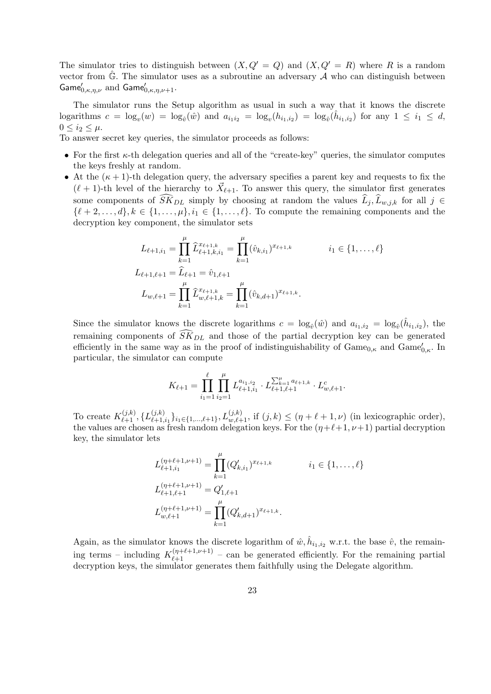The simulator tries to distinguish between  $(X, Q' = Q)$  and  $(X, Q' = R)$  where R is a random vector from  $\hat{\mathbb{G}}$ . The simulator uses as a subroutine an adversary  $A$  who can distinguish between Game $'_{0,\kappa,\eta,\nu}$  and Game $'_{0,\kappa,\eta,\nu+1}$ .

The simulator runs the Setup algorithm as usual in such a way that it knows the discrete logarithms  $c = \log_v(w) = \log_{\hat{v}}(\hat{w})$  and  $a_{i_1 i_2} = \log_v(h_{i_1, i_2}) = \log_{\hat{v}}(\hat{h}_{i_1, i_2})$  for any  $1 \leq i_1 \leq d$ ,  $0 \leq i_2 \leq \mu$ .

To answer secret key queries, the simulator proceeds as follows:

- For the first  $\kappa$ -th delegation queries and all of the "create-key" queries, the simulator computes the keys freshly at random.
- At the  $(\kappa + 1)$ -th delegation query, the adversary specifies a parent key and requests to fix the  $(\ell + 1)$ -th level of the hierarchy to  $\vec{X}_{\ell+1}$ . To answer this query, the simulator first generates some components of  $\widehat{SK}_{DL}$  simply by choosing at random the values  $\widehat{L}_j$ ,  $\widehat{L}_{w,j,k}$  for all  $j \in$  $\{\ell + 2, \ldots, d\}, k \in \{1, \ldots, \mu\}, i_1 \in \{1, \ldots, \ell\}.$  To compute the remaining components and the decryption key component, the simulator sets

$$
L_{\ell+1,i_1} = \prod_{k=1}^{\mu} \hat{L}_{\ell+1,k,i_1}^{x_{\ell+1,k}} = \prod_{k=1}^{\mu} (\hat{v}_{k,i_1})^{x_{\ell+1,k}} \qquad i_1 \in \{1, \ldots, \ell\}
$$
  

$$
L_{\ell+1,\ell+1} = \hat{L}_{\ell+1} = \hat{v}_{1,\ell+1}
$$
  

$$
L_{w,\ell+1} = \prod_{k=1}^{\mu} \hat{L}_{w,\ell+1,k}^{x_{\ell+1,k}} = \prod_{k=1}^{\mu} (\hat{v}_{k,d+1})^{x_{\ell+1,k}}.
$$

Since the simulator knows the discrete logarithms  $c = \log_{\hat{v}}(\hat{w})$  and  $a_{i_1,i_2} = \log_{\hat{v}}(\hat{h}_{i_1,i_2})$ , the remaining components of  $\widetilde{SK}_{DL}$  and those of the partial decryption key can be generated efficiently in the same way as in the proof of indistinguishability of  $\text{Game}_{0,\kappa}$  and  $\text{Game}_{0,\kappa}^{\prime}$ . In particular, the simulator can compute

$$
K_{\ell+1} = \prod_{i_1=1}^{\ell} \prod_{i_2=1}^{\mu} L_{\ell+1,i_1}^{a_{i_1,i_2}} \cdot L_{\ell+1,\ell+1}^{\sum_{k=1}^{\mu} a_{\ell+1,k}} \cdot L_{w,\ell+1}^c.
$$

To create  $K_{\ell+1}^{(j,k)}, \{L_{\ell+1}^{(j,k)}\}$  $\{j,k\}_{\ell+1,i_1}\}_{i_1\in\{1,\ldots,\ell+1\}}, L_{w,\ell+1}^{(j,k)}$ , if  $(j,k) \leq (\eta + \ell + 1, \nu)$  (in lexicographic order), the values are chosen as fresh random delegation keys. For the  $(\eta+\ell+1, \nu+1)$  partial decryption key, the simulator lets

$$
L_{\ell+1,i_1}^{(\eta+\ell+1,\nu+1)} = \prod_{k=1}^{\mu} (Q'_{k,i_1})^{x_{\ell+1,k}} \qquad i_1 \in \{1,\ldots,\ell\}
$$
  

$$
L_{\ell+1,\ell+1}^{(\eta+\ell+1,\nu+1)} = Q'_{1,\ell+1}
$$
  

$$
L_{w,\ell+1}^{(\eta+\ell+1,\nu+1)} = \prod_{k=1}^{\mu} (Q'_{k,d+1})^{x_{\ell+1,k}}.
$$

Again, as the simulator knows the discrete logarithm of  $\hat{w}, \hat{h}_{i_1, i_2}$  w.r.t. the base  $\hat{v}$ , the remaining terms – including  $K_{\ell+1}^{(\eta+\ell+1,\nu+1)}$  – can be generated efficiently. For the remaining partial decryption keys, the simulator generates them faithfully using the Delegate algorithm.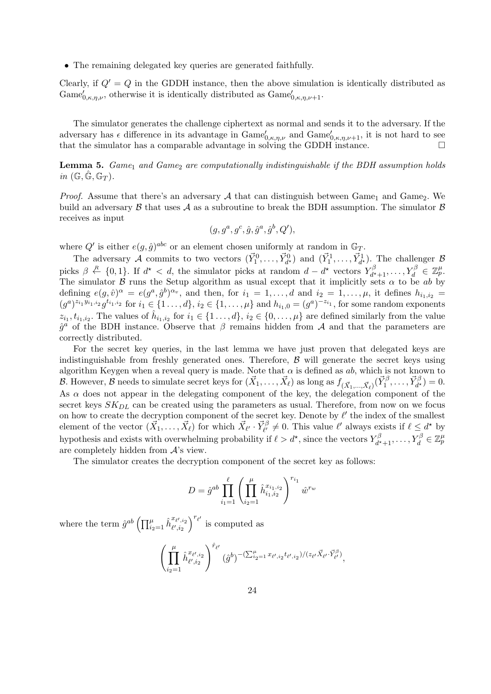• The remaining delegated key queries are generated faithfully.

Clearly, if  $Q' = Q$  in the GDDH instance, then the above simulation is identically distributed as Game $'_{0,\kappa,\eta,\nu}$ , otherwise it is identically distributed as  $\text{Game}_{0,\kappa,\eta,\nu+1}'$ .

The simulator generates the challenge ciphertext as normal and sends it to the adversary. If the adversary has  $\epsilon$  difference in its advantage in  $\text{Game}_{0,\kappa,\eta,\nu}^{\prime}$  and  $\text{Game}_{0,\kappa,\eta,\nu+1}^{\prime}$ , it is not hard to see that the simulator has a comparable advantage in solving the GDDH instance.  $\square$ 

**Lemma 5.** Game<sub>1</sub> and Game<sub>2</sub> are computationally indistinguishable if the BDH assumption holds in  $(\mathbb{G}, \hat{\mathbb{G}}, \mathbb{G}_T)$ .

*Proof.* Assume that there's an adversary A that can distinguish between Game<sub>1</sub> and Game<sub>2</sub>. We build an adversary  $\beta$  that uses  $\mathcal A$  as a subroutine to break the BDH assumption. The simulator  $\beta$ receives as input

$$
(g, g^a, g^c, \hat{g}, \hat{g}^a, \hat{g}^b, Q'),
$$

where  $Q'$  is either  $e(g, \hat{g})^{abc}$  or an element chosen uniformly at random in  $\mathbb{G}_T$ .

The adversary A commits to two vectors  $(\vec{Y}_1^0, \ldots, \vec{Y}_{d^*}^0)$  and  $(\vec{Y}_1^1, \ldots, \vec{Y}_{d^*}^1)$ . The challenger B picks  $\beta \stackrel{R}{\leftarrow} \{0,1\}$ . If  $d^* < d$ , the simulator picks at random  $d - d^*$  vectors  $Y_{d^*}^{\beta}$  $X_d^{\beta} X_{d^*+1}, \ldots, Y_d^{\beta} \in \mathbb{Z}_p^{\mu}.$ The simulator  $\beta$  runs the Setup algorithm as usual except that it implicitly sets  $\alpha$  to be ab by defining  $e(g, \hat{v})^{\alpha} = e(g^a, \hat{g}^b)^{\alpha_v}$ , and then, for  $i_1 = 1, \ldots, d$  and  $i_2 = 1, \ldots, \mu$ , it defines  $h_{i_1, i_2} =$  $(g^{a})^{z_{i_1}y_{i_1,i_2}}g^{t_{i_1,i_2}}$  for  $i_1 \in \{1, ..., d\}$ ,  $i_2 \in \{1, ..., \mu\}$  and  $h_{i_1,0} = (g^{a})^{-z_{i_1}}$ , for some random exponents  $z_{i_1}, t_{i_1,i_2}$ . The values of  $\hat{h}_{i_1,i_2}$  for  $i_1 \in \{1 \ldots, d\}$ ,  $i_2 \in \{0, \ldots, \mu\}$  are defined similarly from the value  $\hat{g}^a$  of the BDH instance. Observe that  $\beta$  remains hidden from A and that the parameters are correctly distributed.

For the secret key queries, in the last lemma we have just proven that delegated keys are indistinguishable from freshly generated ones. Therefore,  $\beta$  will generate the secret keys using algorithm Keygen when a reveal query is made. Note that  $\alpha$  is defined as ab, which is not known to B. However, B needs to simulate secret keys for  $(\vec{X}_1, \ldots, \vec{X}_\ell)$  as long as  $f_{(\vec{X}_1, \ldots, \vec{X}_\ell)}(\vec{Y}_1^{\beta}, \ldots, \vec{Y}_{d^*}^{\beta}) = 0$ . As  $\alpha$  does not appear in the delegating component of the key, the delegation component of the secret keys  $SK_{DL}$  can be created using the parameters as usual. Therefore, from now on we focus on how to create the decryption component of the secret key. Denote by  $\ell'$  the index of the smallest element of the vector  $(\vec{X}_1, \ldots, \vec{X}_\ell)$  for which  $\vec{X}_{\ell'} \cdot \vec{Y}_{\ell'}^{\beta} \neq 0$ . This value  $\ell'$  always exists if  $\ell \leq d^*$  by hypothesis and exists with overwhelming probability if  $\ell > d^*$ , since the vectors  $Y_{d^*}^{\beta}$  $\chi^\beta_{d^\star+1},\ldots,Y^\beta_{d}\in\mathbb{Z}_p^\mu$ are completely hidden from  $A$ 's view.

The simulator creates the decryption component of the secret key as follows:

$$
D = \hat{g}^{ab} \prod_{i_1=1}^{\ell} \left( \prod_{i_2=1}^{\mu} \hat{h}_{i_1, i_2}^{x_{i_1, i_2}} \right)^{r_{i_1}} \hat{w}^{r_w}
$$

where the term  $\hat{g}^{ab} \left( \prod_{i_2=1}^{\mu} \hat{h}^{x_{\ell',i_2}}_{\ell',i_2} \right)^{r_{\ell'}}$  is computed as

$$
\left(\prod_{i_2=1}^{\mu} \hat{h}_{\ell',i_2}^{x_{\ell',i_2}}\right)^{\hat{r}_{\ell'}}(\hat{g}^b)^{-(\sum_{i_2=1}^{\mu} x_{\ell',i_2}t_{\ell',i_2})/(z_{\ell'}\vec{X}_{\ell'}\cdot\vec{Y}_{\ell'}^{\beta})},
$$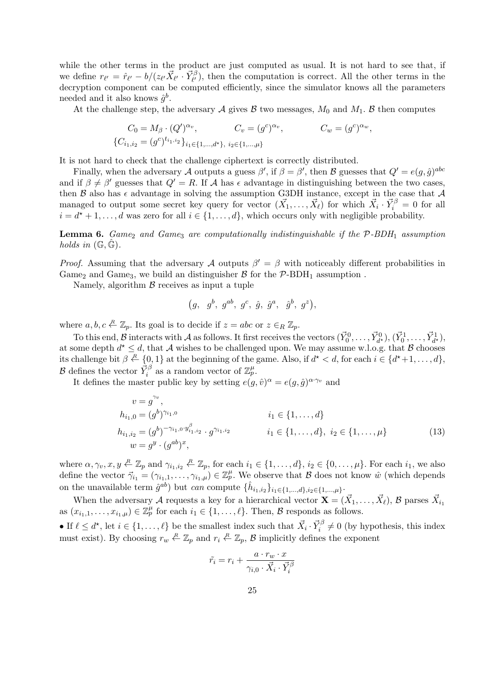while the other terms in the product are just computed as usual. It is not hard to see that, if we define  $r_{\ell'} = \hat{r}_{\ell'} - b/(z_{\ell'}\vec{X}_{\ell'} \cdot \vec{Y}_{\ell'}^{\beta})$ , then the computation is correct. All the other terms in the decryption component can be computed efficiently, since the simulator knows all the parameters needed and it also knows  $\hat{g}^b$ .

At the challenge step, the adversary A gives B two messages,  $M_0$  and  $M_1$ . B then computes

$$
C_0 = M_{\beta} \cdot (Q')^{\alpha_v}, \qquad C_v = (g^c)^{\alpha_v}, \qquad C_w = (g^c)^{\alpha_w},
$$
  

$$
\{C_{i_1, i_2} = (g^c)^{t_{i_1, i_2}}\}_{i_1 \in \{1, \dots, d^*\}, i_2 \in \{1, \dots, \mu\}}
$$

It is not hard to check that the challenge ciphertext is correctly distributed.

Finally, when the adversary A outputs a guess  $\beta'$ , if  $\beta = \beta'$ , then B guesses that  $Q' = e(g, \hat{g})^{abc}$ and if  $\beta \neq \beta'$  guesses that  $Q' = R$ . If A has  $\epsilon$  advantage in distinguishing between the two cases, then  $\beta$  also has  $\epsilon$  advantage in solving the assumption G3DH instance, except in the case that  $\mathcal A$ managed to output some secret key query for vector  $(\vec{X_1}, \ldots, \vec{X_{\ell}})$  for which  $\vec{X_i} \cdot \vec{Y_i}^{\beta} = 0$  for all  $i = d^* + 1, \ldots, d$  was zero for all  $i \in \{1, \ldots, d\}$ , which occurs only with negligible probability.

**Lemma 6.** Game<sub>2</sub> and Game<sub>3</sub> are computationally indistinguishable if the  $P$ -BDH<sub>1</sub> assumption holds in  $(\mathbb{G}, \mathbb{G})$ .

*Proof.* Assuming that the adversary A outputs  $\beta' = \beta$  with noticeably different probabilities in Game<sub>2</sub> and Game<sub>3</sub>, we build an distinguisher  $\beta$  for the  $\mathcal{P}\text{-BDH}_1$  assumption.

Namely, algorithm  $\beta$  receives as input a tuple

$$
(g, g^b, g^{ab}, g^c, \hat{g}, \hat{g}^a, \hat{g}^b, g^z),
$$

where  $a, b, c \stackrel{R}{\leftarrow} \mathbb{Z}_p$ . Its goal is to decide if  $z = abc$  or  $z \in_R \mathbb{Z}_p$ .

To this end,  $\mathcal{B}$  interacts with  $\mathcal{A}$  as follows. It first receives the vectors  $(\vec{Y}_0^0, \ldots, \vec{Y}_{d^*}^0), (\vec{Y}_0^1, \ldots, \vec{Y}_{d^*}^1)$ at some depth  $d^* \leq d$ , that A wishes to be challenged upon. We may assume w.l.o.g. that B chooses its challenge bit  $\beta \stackrel{R}{\leftarrow} \{0,1\}$  at the beginning of the game. Also, if  $d^* < d$ , for each  $i \in \{d^*+1,\ldots,d\}$ , B defines the vector  $\vec{Y}_i^{\beta}$  as a random vector of  $\mathbb{Z}_p^{\mu}$ .

It defines the master public key by setting  $e(g, \hat{v})^{\alpha} = e(g, \hat{g})^{\alpha \gamma_v}$  and

$$
v = g^{\gamma_v},
$$
  
\n
$$
h_{i_1,0} = (g^b)^{\gamma_{i_1,0}} \t i_1 \in \{1, ..., d\}
$$
  
\n
$$
h_{i_1,i_2} = (g^b)^{-\gamma_{i_1,0} \cdot y_{i_1,i_2}^{\beta}} \cdot g^{\gamma_{i_1,i_2}} \t i_1 \in \{1, ..., d\}, i_2 \in \{1, ..., \mu\}
$$
  
\n
$$
w = g^y \cdot (g^{ab})^x,
$$
\n(13)

where  $\alpha, \gamma_v, x, y \in \mathbb{Z}_p$  and  $\gamma_{i_1,i_2} \in \mathbb{Z}_p$ , for each  $i_1 \in \{1, \ldots, d\}$ ,  $i_2 \in \{0, \ldots, \mu\}$ . For each  $i_1$ , we also define the vector  $\vec{\gamma}_{i_1} = (\gamma_{i_1,1}, \ldots, \gamma_{i_1,\mu}) \in \mathbb{Z}_p^{\mu}$ . We observe that  $\mathcal B$  does not know  $\hat w$  (which depends on the unavailable term  $\hat{g}^{ab}$ ) but can compute  $\{\hat{h}_{i_1,i_2}\}_{i_1 \in \{1,\dots,d\}, i_2 \in \{1,\dots,\mu\}}$ .

When the adversary A requests a key for a hierarchical vector  $\mathbf{X} = (\vec{X}_1, \dots, \vec{X}_\ell)$ , B parses  $\vec{X}_{i_1}$ as  $(x_{i_1,1},\ldots,x_{i_1,\mu})\in\mathbb{Z}_p^{\mu}$  for each  $i_1\in\{1,\ldots,\ell\}$ . Then,  $\mathcal B$  responds as follows.

• If  $\ell \leq d^*$ , let  $i \in \{1, \ldots, \ell\}$  be the smallest index such that  $\vec{X}_i \cdot \vec{Y}_i^{\beta} \neq 0$  (by hypothesis, this index must exist). By choosing  $r_w \stackrel{R}{\leftarrow} \mathbb{Z}_p$  and  $r_i \stackrel{R}{\leftarrow} \mathbb{Z}_p$ ,  $\beta$  implicitly defines the exponent

$$
\tilde{r_i} = r_i + \frac{a \cdot r_w \cdot x}{\gamma_{i,0} \cdot \vec{X_i} \cdot \vec{Y_i^{\beta}}}
$$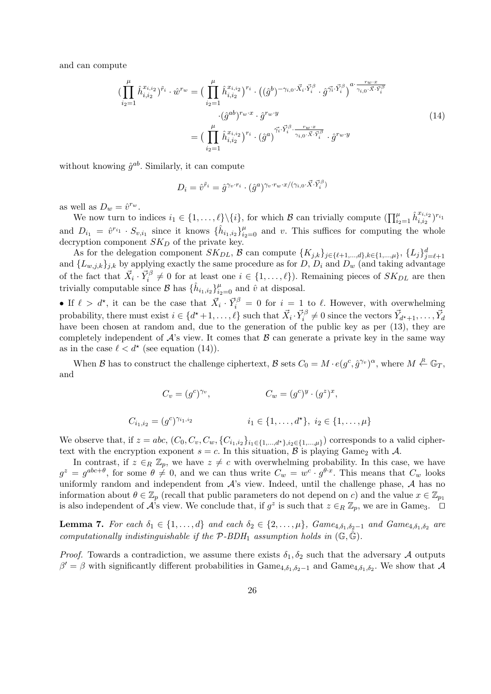and can compute

$$
\begin{split}\n(\prod_{i_{2}=1}^{\mu} \hat{h}_{i,i_{2}}^{x_{i,i_{2}}})^{\tilde{r}_{i}} \cdot \hat{w}^{r_{w}} &= \left(\prod_{i_{2}=1}^{\mu} \hat{h}_{i,i_{2}}^{x_{i,i_{2}}}\right)^{r_{i}} \cdot \left((\hat{g}^{b})^{-\gamma_{i,0} \cdot \vec{X}_{i} \cdot \vec{Y}_{i}^{\beta}} \cdot \hat{g}^{\vec{\gamma_{i}} \cdot \vec{Y}_{i}^{\beta}}\right)^{a \cdot \frac{r_{w} \cdot x}{\gamma_{i,0} \cdot \vec{X} \cdot \vec{Y}_{i}^{\beta}} \\
&\quad \cdot (\hat{g}^{ab})^{r_{w} \cdot x} \cdot \hat{g}^{r_{w} \cdot y} \\
&= \left(\prod_{i_{2}=1}^{\mu} \hat{h}_{i,i_{2}}^{x_{i,i_{2}}}\right)^{r_{i}} \cdot (\hat{g}^{a})^{\vec{\gamma_{i}} \cdot \vec{Y}_{i}^{\beta} \cdot \frac{r_{w} \cdot x}{\gamma_{i,0} \cdot \vec{X} \cdot \vec{Y}_{i}^{\beta}} \cdot \hat{g}^{r_{w} \cdot y}\n\end{split} \tag{14}
$$

without knowing  $\hat{g}^{ab}$ . Similarly, it can compute

$$
D_i = \hat{v}^{\tilde{r}_i} = \hat{g}^{\gamma_v \cdot r_i} \cdot (\hat{g}^a)^{\gamma_v \cdot r_w \cdot x / (\gamma_{i,0} \cdot \vec{X} \cdot \vec{Y}_i^{\beta})}
$$

as well as  $D_w = \hat{v}^{r_w}$ .

We now turn to indices  $i_1 \in \{1, ..., \ell\} \setminus \{i\}$ , for which  $\mathcal{B}$  can trivially compute  $(\prod_{i_2=1}^{\mu} \hat{h}_{i,i_2}^{x_{i,i_2}})$  $\frac{x_{i,i_2}}{i,i_2}$  ) $^{r_{i_1}}$ and  $D_{i_1} = \hat{v}^{r_{i_1}} \cdot S_{v,i_1}$  since it knows  $\{\hat{h}_{i_1,i_2}\}_{i_2=0}^{\mu}$  and v. This suffices for computing the whole decryption component  $SK_D$  of the private key.

As for the delegation component  $SK_{DL}$ , B can compute  $\{K_{j,k}\}_{j\in\{\ell+1,\ldots,d\},k\in\{1,\ldots,\mu\}},\ \{L_j\}_{j=\ell+1}^d$ and  $\{L_{w,j,k}\}_{j,k}$  by applying exactly the same procedure as for D,  $D_i$  and  $D_w$  (and taking advantage of the fact that  $\vec{X}_i \cdot \vec{Y}_i^{\beta} \neq 0$  for at least one  $i \in \{1, \ldots, \ell\}$ . Remaining pieces of  $SK_{DL}$  are then trivially computable since  $\mathcal{B}$  has  $\{\hat{h}_{i_1,i_2}\}_{i_2=0}^{\mu}$  and  $\hat{v}$  at disposal.

• If  $\ell > d^*$ , it can be the case that  $\vec{X}_i \cdot \vec{Y}_i^{\beta} = 0$  for  $i = 1$  to  $\ell$ . However, with overwhelming probability, there must exist  $i \in \{d^*+1,\ldots,\ell\}$  such that  $\vec{X}_i \cdot \vec{Y}_i^{\beta} \neq 0$  since the vectors  $\vec{Y}_{d^*+1}, \ldots, \vec{Y}_d$ have been chosen at random and, due to the generation of the public key as per  $(13)$ , they are completely independent of  $A$ 's view. It comes that  $B$  can generate a private key in the same way as in the case  $\ell < d^*$  (see equation (14)).

When B has to construct the challenge ciphertext, B sets  $C_0 = M \cdot e(g^c, \hat{g}^{\gamma_v})^{\alpha}$ , where  $M \stackrel{R}{\leftarrow} \mathbb{G}_T$ , and

$$
C_v = (g^c)^{\gamma_v}, \qquad \qquad C_w = (g^c)^y \cdot (g^z)^x,
$$

$$
C_{i_1,i_2} = (g^c)^{\gamma_{i_1,i_2}} \qquad \qquad i_1 \in \{1,\ldots,d^{\star}\}, \ i_2 \in \{1,\ldots,\mu\}
$$

We observe that, if  $z = abc$ ,  $(C_0, C_v, C_w, \{C_{i_1,i_2}\}_{i_1 \in \{1,\dots,d^*\}, i_2 \in \{1,\dots,\mu\}})$  corresponds to a valid ciphertext with the encryption exponent  $s = c$ . In this situation,  $\beta$  is playing Game<sub>2</sub> with  $\mathcal{A}$ .

In contrast, if  $z \in_R \mathbb{Z}_p$ , we have  $z \neq c$  with overwhelming probability. In this case, we have  $g^z = g^{abc+\theta}$ , for some  $\theta \neq 0$ , and we can thus write  $C_w = w^c \cdot g^{\theta \cdot x}$ . This means that  $C_w$  looks uniformly random and independent from  $A$ 's view. Indeed, until the challenge phase,  $A$  has no information about  $\theta \in \mathbb{Z}_p$  (recall that public parameters do not depend on c) and the value  $x \in \mathbb{Z}_{p_1}$ is also independent of  $\mathcal{A}$ 's view. We conclude that, if  $g^z$  is such that  $z \in_R \mathbb{Z}_p$ , we are in Game<sub>3</sub>.  $\Box$ 

**Lemma 7.** For each  $\delta_1 \in \{1, ..., d\}$  and each  $\delta_2 \in \{2, ..., \mu\}$ , Game<sub>4, $\delta_1$ , $\delta_2$ -1 and Game<sub>4, $\delta_1$ , $\delta_2$  are</sub></sub> computationally indistinguishable if the  $P$ -BDH<sub>1</sub> assumption holds in  $(\mathbb{G}, \tilde{\mathbb{G}})$ .

*Proof.* Towards a contradiction, we assume there exists  $\delta_1, \delta_2$  such that the adversary A outputs  $\beta' = \beta$  with significantly different probabilities in Game<sub>4, $\delta_1, \delta_2-1$ </sub> and Game<sub>4, $\delta_1, \delta_2$ </sub>. We show that A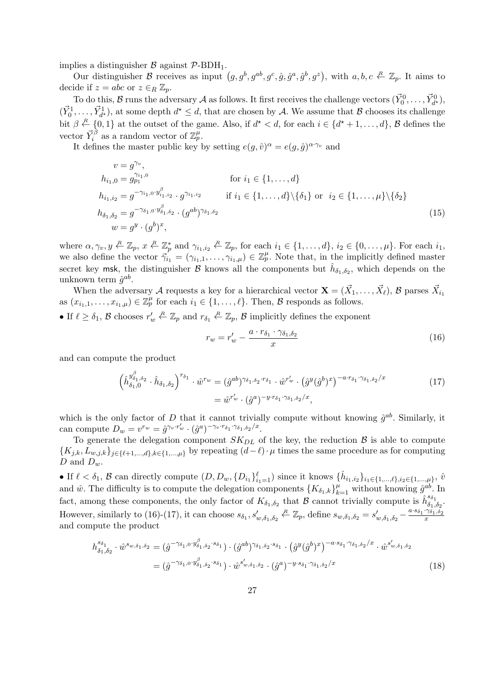implies a distinguisher  $\beta$  against  $\mathcal{P}\text{-}BDH_1$ .

Our distinguisher B receives as input  $(g, g^b, g^{ab}, g^c, \hat{g}, \hat{g}^a, \hat{g}^b, g^z)$ , with  $a, b, c \stackrel{R}{\leftarrow} \mathbb{Z}_p$ . It aims to decide if  $z = abc$  or  $z \in_R \mathbb{Z}_p$ .

To do this,  $B$  runs the adversary  $A$  as follows. It first receives the challenge vectors  $(\vec{Y}_0^0, \ldots, \vec{Y}_{d^*}^0)$ ,  $(\vec{Y}_0^1,\ldots,\vec{Y}_{d^*}^1)$ , at some depth  $d^* \leq d$ , that are chosen by A. We assume that B chooses its challenge bit  $\beta \stackrel{R}{\leftarrow} \{0,1\}$  at the outset of the game. Also, if  $d^* < d$ , for each  $i \in \{d^*+1,\ldots,d\}$ ,  $\beta$  defines the vector  $\vec{Y}_i^{\beta}$  as a random vector of  $\mathbb{Z}_p^{\mu}$ .

It defines the master public key by setting  $e(g, \hat{v})^{\alpha} = e(g, \hat{g})^{\alpha \gamma_v}$  and

$$
v = g^{\gamma_v},
$$
  
\n
$$
h_{i_1,0} = g_{p_1}^{\gamma_{i_1,0}} \qquad \text{for } i_1 \in \{1, ..., d\}
$$
  
\n
$$
h_{i_1,i_2} = g^{-\gamma_{i_1,0} \cdot y_{i_1,i_2}^{\beta}} \cdot g^{\gamma_{i_1,i_2}} \qquad \text{if } i_1 \in \{1, ..., d\} \setminus \{\delta_1\} \text{ or } i_2 \in \{1, ..., \mu\} \setminus \{\delta_2\}
$$
  
\n
$$
h_{\delta_1, \delta_2} = g^{-\gamma_{\delta_1,0} \cdot y_{\delta_1, \delta_2}^{\beta}} \cdot (g^{ab})^{\gamma_{\delta_1, \delta_2}} \qquad (15)
$$
  
\n
$$
w = g^y \cdot (g^b)^x,
$$

where  $\alpha, \gamma_v, y \in \mathbb{Z}_p$ ,  $x \in \mathbb{Z}_p^*$  and  $\gamma_{i_1, i_2} \in \mathbb{Z}_p$ , for each  $i_1 \in \{1, \ldots, d\}$ ,  $i_2 \in \{0, \ldots, \mu\}$ . For each  $i_1$ , we also define the vector  $\vec{\gamma}_{i_1}^P = (\gamma_{i_1,1}, \ldots, \gamma_{i_1,\mu}) \in \mathbb{Z}_p^{\mu}$ . Note that, in the implicitly defined master secret key msk, the distinguisher  $\mathcal B$  knows all the components but  $\hat h_{\delta_1,\delta_2}$ , which depends on the unknown term  $\hat{g}^{ab}$ .

When the adversary A requests a key for a hierarchical vector  $\mathbf{X} = (\vec{X}_1, \dots, \vec{X}_\ell)$ , B parses  $\vec{X}_{i_1}$ as  $(x_{i_1,1},\ldots,x_{i_1,\mu})\in\mathbb{Z}_p^{\mu}$  for each  $i_1\in\{1,\ldots,\ell\}$ . Then,  $\beta$  responds as follows.

• If  $\ell \geq \delta_1$ , B chooses  $r'_w \stackrel{R}{\leftarrow} \mathbb{Z}_p$  and  $r_{\delta_1} \stackrel{R}{\leftarrow} \mathbb{Z}_p$ , B implicitly defines the exponent

$$
r_w = r'_w - \frac{a \cdot r_{\delta_1} \cdot \gamma_{\delta_1, \delta_2}}{x} \tag{16}
$$

and can compute the product

$$
\left(\hat{h}_{\delta_1,0}^{y_{\delta_1,\delta_2}^{\beta}} \cdot \hat{h}_{\delta_1,\delta_2}\right)^{r_{\delta_1}} \cdot \hat{w}^{r_w} = (\hat{g}^{ab})^{\gamma_{\delta_1,\delta_2} \cdot r_{\delta_1}} \cdot \hat{w}^{r_w'} \cdot (\hat{g}^y(\hat{g}^b)^x)^{-a \cdot r_{\delta_1},\gamma_{\delta_1,\delta_2}/x}
$$
\n
$$
= \hat{w}^{r_w'} \cdot (\hat{g}^a)^{-y \cdot r_{\delta_1},\gamma_{\delta_1,\delta_2}/x},
$$
\n(17)

which is the only factor of D that it cannot trivially compute without knowing  $\hat{g}^{ab}$ . Similarly, it can compute  $D_w = v^{r_w} = \hat{g}^{\gamma_v \cdot r_w'} \cdot (\hat{g}^a)^{-\gamma_v \cdot r_{\delta_1}, \gamma_{\delta_1, \delta_2}/x}.$ 

To generate the delegation component  $SK_{DL}$  of the key, the reduction  $\beta$  is able to compute  ${K_{j,k}, L_{w,j,k}}_{j \in {\ell+1,\ldots,d},k \in {\{1,\ldots,\mu\}}}$  by repeating  $(d-\ell)\cdot\mu$  times the same procedure as for computing D and  $D_w$ .

• If  $\ell < \delta_1$ ,  $\beta$  can directly compute  $(D, D_w, \{D_{i1}\}_{i_1=1}^{\ell})$  since it knows  $\{\hat{h}_{i_1, i_2}\}_{i_1 \in \{1, ..., \ell\}, i_2 \in \{1, ..., \mu\}}, \hat{v}_{i_1, i_2}$ and  $\hat{w}$ . The difficulty is to compute the delegation components  $\{K_{\delta_1,k}\}_{k=1}^{\mu}$  without knowing  $\hat{g}^{ab}$ . In fact, among these components, the only factor of  $K_{\delta_1,\delta_2}$  that B cannot trivially compute is  $\hat{h}_{\delta_1,\delta_2}^{s_{\delta_1}}$  $\delta_1,\delta_2$ . However, similarly to (16)-(17), it can choose  $s_{\delta_1}, s'_{w,\delta_1,\delta_2} \stackrel{R}{\leftarrow} \mathbb{Z}_p$ , define  $s_{w,\delta_1,\delta_2} = s'_{w,\delta_1,\delta_2} - \frac{a \cdot s_{\delta_1} \cdot \gamma_{\delta_1,\delta_2}^2}{x}$ and compute the product

$$
h_{\delta_1, \delta_2}^{s_{\delta_1}} \cdot \hat{w}^{s_{w, \delta_1, \delta_2}} = (\hat{g}^{-\gamma_{\delta_1, 0} \cdot y^{\beta}_{\delta_1, \delta_2} \cdot s_{\delta_1}}) \cdot (\hat{g}^{ab})^{\gamma_{\delta_1, \delta_2} \cdot s_{\delta_1}} \cdot (\hat{g}^y(\hat{g}^b)^x)^{-a \cdot s_{\delta_1} \cdot \gamma_{\delta_1, \delta_2}/x} \cdot \hat{w}^{s'_{w, \delta_1, \delta_2}}
$$
  
=  $(\hat{g}^{-\gamma_{\delta_1, 0} \cdot y^{\beta}_{\delta_1, \delta_2} \cdot s_{\delta_1}}) \cdot \hat{w}^{s'_{w, \delta_1, \delta_2}} \cdot (\hat{g}^a)^{-y \cdot s_{\delta_1} \cdot \gamma_{\delta_1, \delta_2}/x}$  (18)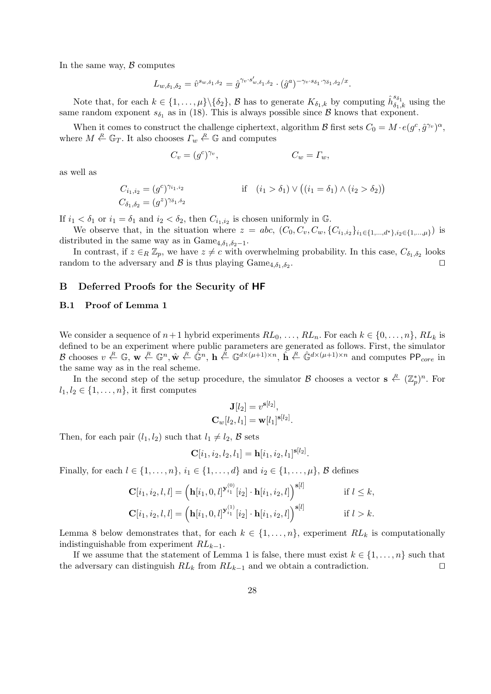In the same way,  $\beta$  computes

$$
L_{w,\delta_1,\delta_2} = \hat{v}^{s_{w,\delta_1,\delta_2}} = \hat{g}^{\gamma_v \cdot s'_{w,\delta_1,\delta_2}} \cdot (\hat{g}^a)^{-\gamma_v \cdot s_{\delta_1} \cdot \gamma_{\delta_1,\delta_2}/x}.
$$

Note that, for each  $k \in \{1, \ldots, \mu\} \setminus \{\delta_2\}$ ,  $\mathcal{B}$  has to generate  $K_{\delta_1,k}$  by computing  $\hat{h}_{\delta_1,k}^{s_{\delta_1}}$  using the same random exponent  $s_{\delta_1}$  as in (18). This is always possible since  $\beta$  knows that exponent.

When it comes to construct the challenge ciphertext, algorithm  $\mathcal B$  first sets  $C_0 = M \cdot e(g^c, \hat{g}^{\gamma_v})^{\alpha}$ , where  $M \stackrel{R}{\leftarrow} \mathbb{G}_T$ . It also chooses  $\Gamma_w \stackrel{R}{\leftarrow} \mathbb{G}$  and computes

$$
C_v = (g^c)^{\gamma_v}, \qquad \qquad C_w = \Gamma_w,
$$

as well as

$$
C_{i_1,i_2} = (g^c)^{\gamma_{i_1,i_2}} \qquad \qquad \text{if} \quad (i_1 > \delta_1) \vee ((i_1 = \delta_1) \wedge (i_2 > \delta_2))
$$
  

$$
C_{\delta_1,\delta_2} = (g^z)^{\gamma_{\delta_1,\delta_2}}
$$

If  $i_1 < \delta_1$  or  $i_1 = \delta_1$  and  $i_2 < \delta_2$ , then  $C_{i_1,i_2}$  is chosen uniformly in G.

We observe that, in the situation where  $z = abc, (C_0, C_v, C_w, \{C_{i_1,i_2}\}_{i_1 \in \{1,...,d^{\star}\}, i_2 \in \{1,...,\mu\}})$  is distributed in the same way as in Game<sub>4, $\delta_1, \delta_2-1$ </sub>.

In contrast, if  $z \in_R \mathbb{Z}_p$ , we have  $z \neq c$  with overwhelming probability. In this case,  $C_{\delta_1,\delta_2}$  looks random to the adversary and  $\mathcal{B}$  is thus playing  $\text{Game}_{4,\delta_1,\delta_2}$ . . The contract of the contract of  $\Box$ 

# B Deferred Proofs for the Security of HF

# B.1 Proof of Lemma 1

We consider a sequence of  $n+1$  hybrid experiments  $RL_0, \ldots, RL_n$ . For each  $k \in \{0, \ldots, n\}$ ,  $RL_k$  is defined to be an experiment where public parameters are generated as follows. First, the simulator B chooses  $v \stackrel{R}{\leftarrow} \mathbb{G}$ ,  $\mathbf{w} \stackrel{R}{\leftarrow} \mathbb{G}^n$ ,  $\mathbf{h} \stackrel{\hat{R}}{\leftarrow} \mathbb{G}^{d \times (\mu+1) \times n}$ ,  $\widetilde{\mathbf{h}} \stackrel{R}{\leftarrow} \mathbb{G}^{d \times (\mu+1) \times n}$  and computes PP<sub>core</sub> in the same way as in the real scheme.

In the second step of the setup procedure, the simulator  $\mathcal B$  chooses a vector  $s \stackrel{R}{\leftarrow} (\mathbb Z_p^*)^n$ . For  $l_1, l_2 \in \{1, \ldots, n\}$ , it first computes

$$
\mathbf{J}[l_2] = v^{\mathbf{s}[l_2]},\\ \mathbf{C}_w[l_2, l_1] = \mathbf{w}[l_1]^{\mathbf{s}[l_2]}.
$$

Then, for each pair  $(l_1, l_2)$  such that  $l_1 \neq l_2$ ,  $\beta$  sets

$$
\mathbf{C}[i_1, i_2, l_2, l_1] = \mathbf{h}[i_1, i_2, l_1]^{\mathbf{s}[l_2]}.
$$

Finally, for each  $l \in \{1, \ldots, n\}$ ,  $i_1 \in \{1, \ldots, d\}$  and  $i_2 \in \{1, \ldots, \mu\}$ , B defines

$$
\mathbf{C}[i_1, i_2, l, l] = (\mathbf{h}[i_1, 0, l]^{\mathbf{y}_{i_1}^{(0)}}[i_2] \cdot \mathbf{h}[i_1, i_2, l])^{\mathbf{s}[l]} \quad \text{if } l \leq k,
$$
  

$$
\mathbf{C}[i_1, i_2, l, l] = (\mathbf{h}[i_1, 0, l]^{\mathbf{y}_{i_1}^{(1)}}[i_2] \cdot \mathbf{h}[i_1, i_2, l])^{\mathbf{s}[l]} \quad \text{if } l > k.
$$

Lemma 8 below demonstrates that, for each  $k \in \{1, \ldots, n\}$ , experiment  $RL_k$  is computationally indistinguishable from experiment  $RL_{k-1}$ .

If we assume that the statement of Lemma 1 is false, there must exist  $k \in \{1, \ldots, n\}$  such that the adversary can distinguish  $RL_k$  from  $RL_{k-1}$  and we obtain a contradiction.  $\square$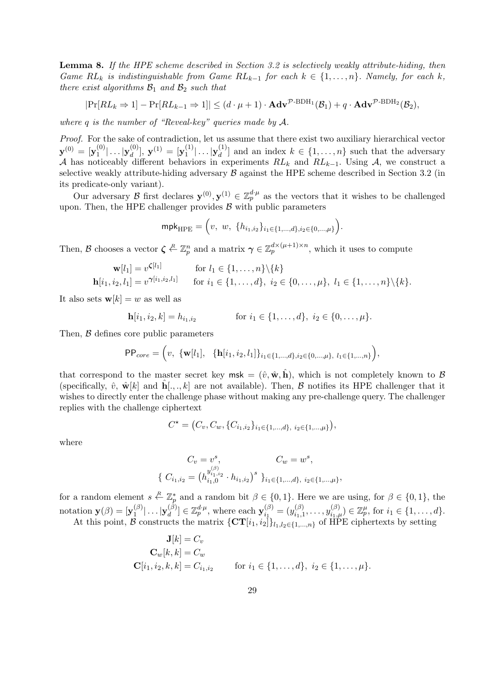Lemma 8. If the HPE scheme described in Section 3.2 is selectively weakly attribute-hiding, then Game  $RL_k$  is indistinguishable from Game  $RL_{k-1}$  for each  $k \in \{1, ..., n\}$ . Namely, for each k, there exist algorithms  $\mathcal{B}_1$  and  $\mathcal{B}_2$  such that

 $|\Pr[RL_k \Rightarrow 1] - \Pr[RL_{k-1} \Rightarrow 1]| \leq (d \cdot \mu + 1) \cdot \mathbf{Adv}^{\mathcal{P}\text{-}\mathrm{BDH}_1}(\mathcal{B}_1) + q \cdot \mathbf{Adv}^{\mathcal{P}\text{-}\mathrm{BDH}_2}(\mathcal{B}_2),$ 

where q is the number of "Reveal-key" queries made by  $A$ .

Proof. For the sake of contradiction, let us assume that there exist two auxiliary hierarchical vector  $\mathbf{y}^{(0)} = [\mathbf{y}_1^{(0)}]$  $\mathbf{y}_1^{(0)}| \ldots |\mathbf{y}_d^{(0)}$  $\mathbf{y}^{(0)}_d],\ \mathbf{y}^{(1)}_{}=\mathbf{y}_1^{(1)}_{}$  $|\mathbf{y}_1^{(1)}| \ldots |\mathbf{y}_d^{(1)}$  $\begin{bmatrix} 1 \ d \end{bmatrix}$  and an index  $k \in \{1, ..., n\}$  such that the adversary A has noticeably different behaviors in experiments  $RL_k$  and  $RL_{k-1}$ . Using A, we construct a selective weakly attribute-hiding adversary  $\beta$  against the HPE scheme described in Section 3.2 (in its predicate-only variant).

Our adversary B first declares  $\mathbf{y}^{(0)}, \mathbf{y}^{(1)} \in \mathbb{Z}_p^{d \cdot \mu}$  as the vectors that it wishes to be challenged upon. Then, the HPE challenger provides  $\beta$  with public parameters

$$
\mathsf{mpk}_{\mathrm{HPE}} = (v, w, \{h_{i_1, i_2}\}_{i_1 \in \{1, \dots, d\}, i_2 \in \{0, \dots, \mu\}}).
$$

Then, B chooses a vector  $\zeta \stackrel{R}{\leftarrow} \mathbb{Z}_p^n$  and a matrix  $\gamma \in \mathbb{Z}_p^{d \times (\mu+1) \times n}$ , which it uses to compute

$$
\mathbf{w}[l_1] = v^{\zeta[l_1]} \quad \text{for } l_1 \in \{1, ..., n\} \setminus \{k\} \n\mathbf{h}[i_1, i_2, l_1] = v^{\gamma[i_1, i_2, l_1]} \quad \text{for } i_1 \in \{1, ..., d\}, i_2 \in \{0, ..., \mu\}, i_1 \in \{1, ..., n\} \setminus \{k\}.
$$

It also sets  $\mathbf{w}[k] = w$  as well as

$$
\mathbf{h}[i_1, i_2, k] = h_{i_1, i_2} \quad \text{for } i_1 \in \{1, \dots, d\}, \ i_2 \in \{0, \dots, \mu\}.
$$

Then,  $\beta$  defines core public parameters

$$
\text{PP}_{core} = \left(v, \ \{\mathbf{w}[l_1], \ \{\mathbf{h}[i_1, i_2, l_1]\}_{i_1 \in \{1, \dots, d\}, i_2 \in \{0, \dots, \mu\}, \ l_1 \in \{1, \dots, n\}}\right),
$$

that correspond to the master secret key msk =  $(\hat{v}, \hat{\mathbf{w}}, \hat{\mathbf{h}})$ , which is not completely known to  $\mathcal{B}$ (specifically,  $\hat{v}$ ,  $\hat{\mathbf{w}}[k]$  and  $\hat{\mathbf{h}}[\dots,k]$  are not available). Then, B notifies its HPE challenger that it wishes to directly enter the challenge phase without making any pre-challenge query. The challenger replies with the challenge ciphertext

$$
C^* = (C_v, C_w, \{C_{i_1, i_2}\}_{i_1 \in \{1, \dots, d\}, i_2 \in \{1, \dots, \mu\}}),
$$

where

$$
C_v = v^s,
$$
  
\n
$$
\{ C_{i_1, i_2} = (h_{i_1, 0}^{y_{i_1, i_2}} \cdot h_{i_1, i_2})^s \}_{i_1 \in \{1, \dots, d\}, i_2 \in \{1, \dots, \mu\}},
$$

for a random element  $s \stackrel{R}{\leftarrow} \mathbb{Z}_p^*$  and a random bit  $\beta \in \{0,1\}$ . Here we are using, for  $\beta \in \{0,1\}$ , the notation  $\mathbf{y}(\beta) = [\mathbf{y}_1^{(\beta)}]$  $|\mathfrak{p}_1^{(\beta)}| \ldots |\mathbf{y}_d^{(\beta)}|$  $\mathcal{L}_d^{(\beta)}] \in \mathbb{Z}_p^{d \cdot \mu}$ , where each  $\mathbf{y}_{i_1}^{(\beta)}$  $\binom{(\beta)}{i_1} = \binom{y^{(\beta)}_{i_1,1}}{i_1}$  $y_{i_1,1}^{(\beta)}, \ldots, y_{i_1,\mu}^{(\beta)}) \in \mathbb{Z}_p^{\mu}$ , for  $i_1 \in \{1, \ldots, d\}.$ At this point, B constructs the matrix  $\{\mathbf{CT}[i_1, i_2]\}_{l_1,l_2 \in \{1,\dots,n\}}$  of HPE ciphertexts by setting

$$
\mathbf{J}[k] = C_v
$$
  
\n
$$
\mathbf{C}_w[k, k] = C_w
$$
  
\n
$$
\mathbf{C}[i_1, i_2, k, k] = C_{i_1, i_2}
$$
 for  $i_1 \in \{1, ..., d\}$ ,  $i_2 \in \{1, ..., \mu\}$ .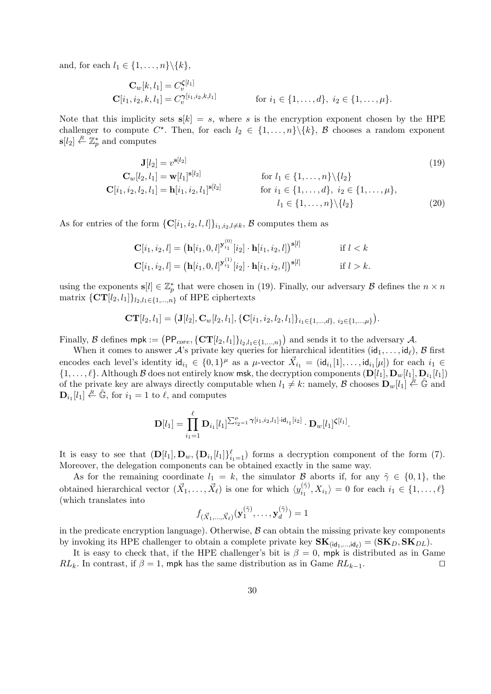and, for each  $l_1 \in \{1, \ldots, n\} \backslash \{k\},\$ 

$$
\mathbf{C}_{w}[k, l_{1}] = C_{v}^{\boldsymbol{\zeta}[l_{1}]} \n\mathbf{C}[i_{1}, i_{2}, k, l_{1}] = C_{v}^{\boldsymbol{\gamma}[i_{1}, i_{2}, k, l_{1}]} \quad \text{for } i_{1} \in \{1, \ldots, d\}, i_{2} \in \{1, \ldots, \mu\}.
$$

Note that this implicity sets  $s[k] = s$ , where s is the encryption exponent chosen by the HPE challenger to compute  $C^*$ . Then, for each  $l_2 \in \{1, ..., n\} \setminus \{k\}$ ,  $\beta$  chooses a random exponent  $\mathbf{s}[l_2] \stackrel{R}{\leftarrow} \mathbb{Z}_p^*$  and computes

$$
\mathbf{J}[l_2] = v^{\mathbf{s}[l_2]} \tag{19}
$$
\n
$$
\mathbf{C}_w[l_2, l_1] = \mathbf{w}[l_1]^{\mathbf{s}[l_2]} \qquad \text{for } l_1 \in \{1, ..., n\} \setminus \{l_2\} \tag{19}
$$
\n
$$
\mathbf{C}[i_1, i_2, l_2, l_1] = \mathbf{h}[i_1, i_2, l_1]^{\mathbf{s}[l_2]} \qquad \text{for } i_1 \in \{1, ..., d\}, i_2 \in \{1, ..., \mu\}, \quad l_1 \in \{1, ..., n\} \setminus \{l_2\} \tag{20}
$$

As for entries of the form  $\{C[i_1, i_2, l, l]\}_{i_1, i_2, l \neq k}, \mathcal{B}$  computes them as

$$
\mathbf{C}[i_1, i_2, l] = (\mathbf{h}[i_1, 0, l]^{\mathbf{y}_{i_1}^{(0)}}[i_2] \cdot \mathbf{h}[i_1, i_2, l])^{\mathbf{s}[l]} \quad \text{if } l < k
$$
\n
$$
\mathbf{C}[i_1, i_2, l] = (\mathbf{h}[i_1, 0, l]^{\mathbf{y}_{i_1}^{(1)}}[i_2] \cdot \mathbf{h}[i_1, i_2, l])^{\mathbf{s}[l]} \quad \text{if } l > k.
$$

using the exponents  $\mathbf{s}[l] \in \mathbb{Z}_p^*$  that were chosen in (19). Finally, our adversary  $\mathcal B$  defines the  $n \times n$ matrix  $\{\mathbf{CT}[l_2, l_1]\}_{l_2, l_1 \in \{1, \ldots, n\}}$  of HPE ciphertexts

$$
CT[l_2, l_1] = (J[l_2], C_w[l_2, l_1], \{C[i_1, i_2, l_2, l_1]\}_{i_1 \in \{1, \ldots, d\}, i_2 \in \{1, \ldots, \mu\}}).
$$

Finally, B defines mpk :=  $(PP_{core}, \{CT[l_2, l_1]\}_{l_2, l_1 \in \{1,...,n\}})$  and sends it to the adversary A.

When it comes to answer  $\mathcal{A}$ 's private key queries for hierarchical identities  $(id_1, \ldots, id_\ell)$ , B first encodes each level's identity  $\mathsf{id}_{i_1} \in \{0,1\}^{\mu}$  as a  $\mu$ -vector  $\vec{X}_{i_1} = (\mathsf{id}_{i_1}[1], \ldots, \mathsf{id}_{i_1}[\mu])$  for each  $i_1 \in$  $\{1,\ldots,\ell\}$ . Although  $\mathcal B$  does not entirely know msk, the decryption components  $(D[l_1], D_w[l_1], D_{i_1}[l_1])$ of the private key are always directly computable when  $l_1 \neq k$ : namely, B chooses  $\mathbf{D}_w[l_1] \leftarrow \hat{\mathbb{G}}$  and  $\mathbf{D}_{i_1}[l_1] \stackrel{R}{\leftarrow} \hat{\mathbb{G}}$ , for  $i_1 = 1$  to  $\ell$ , and computes

$$
\mathbf{D}[l_1] = \prod_{i_1=1}^{\ell} \mathbf{D}_{i_1}[l_1]^{\sum_{i_2=1}^{\mu} \gamma[i_1, i_2, l_1] \cdot \mathrm{id}_{i_1}[i_2]} \cdot \mathbf{D}_w[l_1]^{\boldsymbol{\zeta}[l_1]}.
$$

It is easy to see that  $(D[l_1], D_w, {D_{i_1}[l_1]}_{i_1=1}^{\ell})$  forms a decryption component of the form (7). Moreover, the delegation components can be obtained exactly in the same way.

As for the remaining coordinate  $l_1 = k$ , the simulator B aborts if, for any  $\tilde{\gamma} \in \{0, 1\}$ , the obtained hierarchical vector  $(\vec{X}_1, \ldots, \vec{X}_{\ell})$  is one for which  $\langle y_{i_1}^{(\tilde{\gamma})} \rangle$  $\langle i_1^{(1)}, X_{i_1} \rangle = 0$  for each  $i_1 \in \{1, ..., \ell\}$ (which translates into

$$
f_{(\vec{X}_1,\ldots,\vec{X}_\ell)}(\mathbf{y}_1^{(\tilde{\gamma})},\ldots,\mathbf{y}_d^{(\tilde{\gamma})})=1
$$

in the predicate encryption language). Otherwise,  $\beta$  can obtain the missing private key components by invoking its HPE challenger to obtain a complete private key  $\mathbf{SK}_{(id_1,...,id_\ell)} = (\mathbf{SK}_D, \mathbf{SK}_{DL}).$ 

It is easy to check that, if the HPE challenger's bit is  $\beta = 0$ , mpk is distributed as in Game  $RL_k$ . In contrast, if  $\beta = 1$ , mpk has the same distribution as in Game  $RL_{k-1}$ .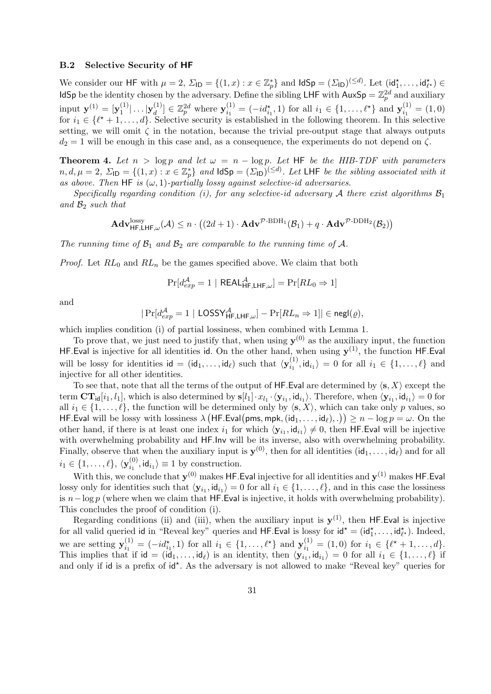#### B.2 Selective Security of HF

We consider our HF with  $\mu = 2$ ,  $\Sigma_{\text{ID}} = \{(1, x) : x \in \mathbb{Z}_p^*\}$  and  $\text{IdSp} = (\Sigma_{\text{ID}})^{(\leq d)}$ . Let  $(\text{id}_1^*, \ldots, \text{id}_{\ell^*}^*) \in$ IdSp be the identity chosen by the adversary. Define the sibling LHF with  $AuxSp = \mathbb{Z}_p^{2d}$  and auxiliary input  $y^{(1)} = [y_1^{(1)}]$  $\vert_{1}^{(1)}\vert \ldots \vert \mathbf{y}_{d}^{(1)}$  $\mathbb{Z}_{d}^{(1)} \in \mathbb{Z}_{p}^{2d}$  where  $\mathbf{y}_{i_1}^{(1)}$  $i_1^{(1)} = (-id_{i_1}^{\star}, 1)$  for all  $i_1 \in \{1, ..., \ell^{\star}\}\$ and  $\mathbf{y}_{i_1}^{(1)}$  $i_1^{(1)}=(1,0)$ for  $i_1 \in \{\ell^*+1,\ldots,d\}$ . Selective security is established in the following theorem. In this selective setting, we will omit  $\zeta$  in the notation, because the trivial pre-output stage that always outputs  $d_2 = 1$  will be enough in this case and, as a consequence, the experiments do not depend on  $\zeta$ .

**Theorem 4.** Let  $n > log p$  and let  $\omega = n - log p$ . Let HF be the HIB-TDF with parameters  $n, d, \mu = 2$ ,  $\Sigma_{\text{ID}} = \{(1, x) : x \in \mathbb{Z}_p^*\}$  and  $\text{IdSp} = (\Sigma_{\text{ID}})^{(\leq d)}$ . Let LHF be the sibling associated with it as above. Then HF is  $(\omega, 1)$ -partially lossy against selective-id adversaries.

Specifically regarding condition (i), for any selective-id adversary A there exist algorithms  $\mathcal{B}_1$ and  $\mathcal{B}_2$  such that

$$
\mathbf{Adv}_{\mathsf{HF},\mathsf{LHF},\omega}^{\mathrm{lossy}}(\mathcal{A}) \leq n \cdot \big((2d+1) \cdot \mathbf{Adv}^{\mathcal{P}\text{-}\mathrm{BDH}_1}(\mathcal{B}_1) + q \cdot \mathbf{Adv}^{\mathcal{P}\text{-}\mathrm{DDH}_2}(\mathcal{B}_2)\big)
$$

The running time of  $\mathcal{B}_1$  and  $\mathcal{B}_2$  are comparable to the running time of A.

*Proof.* Let  $RL_0$  and  $RL_n$  be the games specified above. We claim that both

$$
\Pr[d_{exp}^{\mathcal{A}} = 1 \mid \mathsf{REAL}_{\mathsf{HF}, \mathsf{LHF}, \omega}^{\mathcal{A}}] = \Pr[RL_0 \Rightarrow 1]
$$

and

$$
|\Pr[d_{exp}^{\mathcal{A}} = 1 | \text{LOSSY}_{\mathsf{HF},\mathsf{LHF},\omega}^{\mathcal{A}}] - \Pr[RL_n \Rightarrow 1]| \in \mathsf{negl}(\varrho),
$$

which implies condition (i) of partial lossiness, when combined with Lemma 1.

To prove that, we just need to justify that, when using  $y^{(0)}$  as the auxiliary input, the function HF. Eval is injective for all identities id. On the other hand, when using  $y^{(1)}$ , the function HF. Eval will be lossy for identities  $\mathsf{id} = (\mathsf{id}_1, \dots, \mathsf{id}_\ell)$  such that  $\langle \mathbf{y}_i^{(1)} \rangle$  $\langle i_1^{(1)}, \mathrm{id}_{i_1} \rangle = 0$  for all  $i_1 \in \{1, \ldots, \ell\}$  and injective for all other identities.

To see that, note that all the terms of the output of HF. Eval are determined by  $\langle s, X \rangle$  except the term  $CT_{\mathsf{id}}[i_1, l_1]$ , which is also determined by  $\mathbf{s}[l_1] \cdot x_{l_1} \cdot \langle \mathbf{y}_{i_1}, \mathsf{id}_{i_1} \rangle$ . Therefore, when  $\langle \mathbf{y}_{i_1}, \mathsf{id}_{i_1} \rangle = 0$  for all  $i_1 \in \{1, \ldots, \ell\}$ , the function will be determined only by  $\langle s, X \rangle$ , which can take only p values, so HF.Eval will be lossy with lossiness  $\lambda$  (HF.Eval(pms, mpk,  $(id_1, \ldots, id_\ell), .$ ))  $\geq n - \log p = \omega$ . On the other hand, if there is at least one index  $i_1$  for which  $\langle y_{i_1}, id_{i_1} \rangle \neq 0$ , then HF.Eval will be injective with overwhelming probability and HF. Inv will be its inverse, also with overwhelming probability. Finally, observe that when the auxiliary input is  $y^{(0)}$ , then for all identities  $(id_1, \ldots, id_\ell)$  and for all  $i_1\in \{1,\ldots,\ell\},\, \langle\mathbf{y}_{i_1}^{(0)}\rangle$  $\langle i_1^{(0)}, \mathsf{id}_{i_1} \rangle \equiv 1$  by construction.

With this, we conclude that  $y^{(0)}$  makes HF. Eval injective for all identities and  $y^{(1)}$  makes HF. Eval lossy only for identities such that  $\langle \mathbf{y}_{i_1}, \mathsf{id}_{i_1} \rangle = 0$  for all  $i_1 \in \{1, \ldots, \ell\}$ , and in this case the lossiness is  $n-\log p$  (where when we claim that HF.Eval is injective, it holds with overwhelming probability). This concludes the proof of condition (i).

Regarding conditions (ii) and (iii), when the auxiliary input is  $y^{(1)}$ , then HF.Eval is injective for all valid queried id in "Reveal key" queries and HF.Eval is lossy for  $id^* = (id_1^*, \ldots, id_{\ell^*}^*)$ . Indeed, we are setting  $y_i^{(1)}$  $i_1^{(1)} = (-id_{i_1}^{\star}, 1)$  for all  $i_1 \in \{1, ..., \ell^{\star}\}\$ and  $\mathbf{y}_{i_1}^{(1)}$  $i_1^{(1)} = (1,0)$  for  $i_1 \in \{\ell^* + 1, \ldots, d\}.$ This implies that if  $id = (id_1, \ldots, id_\ell)$  is an identity, then  $\langle y_{i_1}, id_{i_1} \rangle = 0$  for all  $i_1 \in \{1, \ldots, \ell\}$  if and only if id is a prefix of id<sup>\*</sup>. As the adversary is not allowed to make "Reveal key" queries for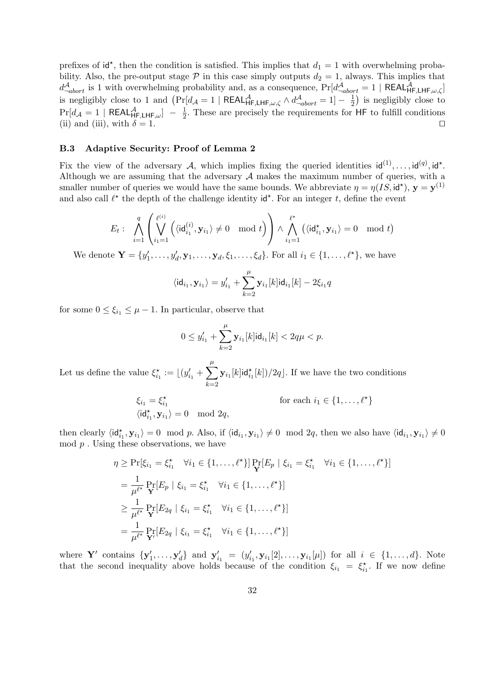prefixes of  $id^*$ , then the condition is satisfied. This implies that  $d_1 = 1$  with overwhelming probability. Also, the pre-output stage  $P$  in this case simply outputs  $d_2 = 1$ , always. This implies that  $d_{-abort}^{\mathcal{A}}$  is 1 with overwhelming probability and, as a consequence,  $Pr[d_{-abort}^{\mathcal{A}} = 1 | REAL_{HF,LHF,\omega,\zeta}^{\mathcal{A}}]$ is negligibly close to 1 and  $\left(\Pr[d_{\mathcal{A}}=1 \mid \mathsf{REAL}_{\mathsf{HF},\mathsf{LHF},\omega,\zeta}^{\mathcal{A}} \wedge d_{\neg abort}^{\mathcal{A}}=1\right]-\frac{1}{2}$  $(\frac{1}{2})$  is negligibly close to  $\Pr[d_{\mathcal{A}}=1 \mid \mathsf{REAL}^{\mathcal{A}}_{\mathsf{HF},\mathsf{LHF},\omega}]\;-\;\frac{1}{2}$  $\frac{1}{2}$ . These are precisely the requirements for HF to fulfill conditions (ii) and (iii), with  $\delta = 1$ .

#### B.3 Adaptive Security: Proof of Lemma 2

Fix the view of the adversary A, which implies fixing the queried identities  $\mathsf{id}^{(1)}, \ldots, \mathsf{id}^{(q)}$ ,  $\mathsf{id}^{\star}$ . Although we are assuming that the adversary  $A$  makes the maximum number of queries, with a smaller number of queries we would have the same bounds. We abbreviate  $\eta = \eta(IS, id^{\star}), \mathbf{y} = \mathbf{y}^{(1)}$ and also call  $\ell^*$  the depth of the challenge identity  $\mathsf{id}^*$ . For an integer t, define the event

$$
E_t: \ \bigwedge_{i=1}^q \left(\bigvee_{i_1=1}^{\ell^{(i)}} \left(\langle \mathrm{id}_{i_1}^{(i)}, \mathbf{y}_{i_1} \rangle \neq 0 \mod t\right)\right) \wedge \bigwedge_{i_1=1}^{\ell^*} \left(\langle \mathrm{id}_{i_1}^\star, \mathbf{y}_{i_1} \rangle = 0 \mod t\right)
$$

We denote  $\mathbf{Y} = \{y'_1, \ldots, y'_d, \mathbf{y}_1, \ldots, \mathbf{y}_d, \xi_1, \ldots, \xi_d\}$ . For all  $i_1 \in \{1, \ldots, \ell^{\star}\}\$ , we have

$$
\langle id_{i_1}, \mathbf{y}_{i_1} \rangle = y'_{i_1} + \sum_{k=2}^{\mu} \mathbf{y}_{i_1}[k]id_{i_1}[k] - 2\xi_{i_1}q
$$

for some  $0 \leq \xi_{i_1} \leq \mu - 1$ . In particular, observe that

$$
0 \le y'_{i_1} + \sum_{k=2}^{\mu} \mathbf{y}_{i_1}[k] \mathbf{id}_{i_1}[k] < 2q\mu < p.
$$

Let us define the value  $\xi_{i_1}^* := \lfloor (y'_{i_1} + \sum) \rfloor$  $\mu$  $k=2$  $\mathbf{y}_{i_1}[k]$ id $_{i_1}^*[k])/2q$ . If we have the two conditions

$$
\xi_{i_1} = \xi_{i_1}^{\star}
$$
 for each  $i_1 \in \{1, ..., \ell^{\star}\}$   

$$
\langle id_{i_1}^{\star}, \mathbf{y}_{i_1} \rangle = 0 \mod 2q,
$$

then clearly  $\langle id_{i_1}^*, \mathbf{y}_{i_1} \rangle = 0 \mod p$ . Also, if  $\langle id_{i_1}, \mathbf{y}_{i_1} \rangle \neq 0 \mod 2q$ , then we also have  $\langle id_{i_1}, \mathbf{y}_{i_1} \rangle \neq 0$  $\mod p$ . Using these observations, we have

$$
\eta \geq \Pr[\xi_{i_1} = \xi_{i_1}^* \quad \forall i_1 \in \{1, ..., \ell^*\}] \Pr_{\mathbf{Y}}[E_p | \xi_{i_1} = \xi_{i_1}^* \quad \forall i_1 \in \{1, ..., \ell^*\}]
$$
  
\n
$$
= \frac{1}{\mu^{\ell^*}} \Pr_{\mathbf{Y}}[E_p | \xi_{i_1} = \xi_{i_1}^* \quad \forall i_1 \in \{1, ..., \ell^*\}]
$$
  
\n
$$
\geq \frac{1}{\mu^{\ell^*}} \Pr_{\mathbf{Y}}[E_{2q} | \xi_{i_1} = \xi_{i_1}^* \quad \forall i_1 \in \{1, ..., \ell^*\}]
$$
  
\n
$$
= \frac{1}{\mu^{\ell^*}} \Pr_{\mathbf{Y}}[E_{2q} | \xi_{i_1} = \xi_{i_1}^* \quad \forall i_1 \in \{1, ..., \ell^*\}]
$$

where Y' contains  $\{y'_1, \ldots, y'_d\}$  and  $y'_{i_1} = (y'_{i_1}, y_{i_1}[2], \ldots, y_{i_1}[\mu])$  for all  $i \in \{1, \ldots, d\}$ . Note that the second inequality above holds because of the condition  $\xi_{i_1} = \xi_{i_1}^*$ . If we now define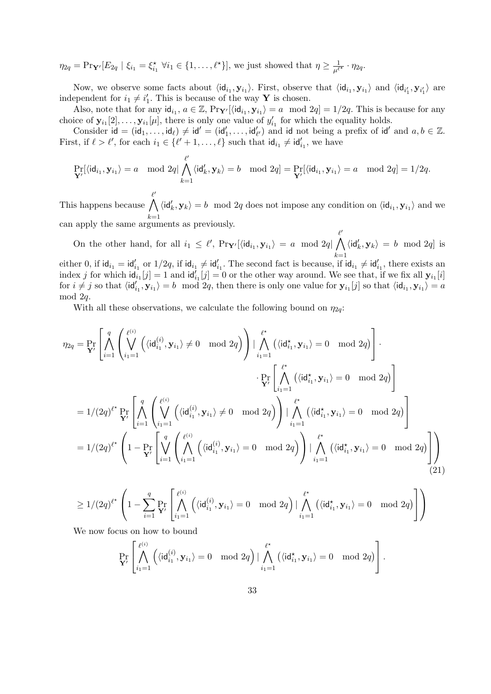$\eta_{2q} = \Pr_{\mathbf{Y}'} [E_{2q} | \xi_{i_1} = \xi_{i_1}^* \ \forall i_1 \in \{1, \ldots, \ell^* \}],$  we just showed that  $\eta \geq \frac{1}{\mu^{\ell^*}} \cdot \eta_{2q}$ .

Now, we observe some facts about  $\langle id_{i_1}, y_{i_1} \rangle$ . First, observe that  $\langle id_{i_1}, y_{i_1} \rangle$  and  $\langle id_{i'_1}, y_{i'_1} \rangle$  are independent for  $i_1 \neq i'_1$ . This is because of the way **Y** is chosen.

Also, note that for any  $\mathrm{id}_{i_1}, a \in \mathbb{Z}$ ,  $\Pr_{\mathbf{Y}'}[\langle \mathrm{id}_{i_1}, \mathbf{y}_{i_1} \rangle = a \mod 2q] = 1/2q$ . This is because for any choice of  $\mathbf{y}_{i_1}[2], \ldots, \mathbf{y}_{i_l}[\mu]$ , there is only one value of  $y'_{i_1}$  for which the equality holds.

Consider  $id = (id_1, \ldots, id_\ell) \neq id' = (id'_1, \ldots, id'_{\ell'})$  and id not being a prefix of  $id'$  and  $a, b \in \mathbb{Z}$ . First, if  $\ell > \ell'$ , for each  $i_1 \in {\ell' + 1, ..., \ell}$  such that  $\mathsf{id}_{i_1} \neq \mathsf{id}'_{i_1}$ , we have

$$
\Pr_{\mathbf{Y}'}[\langle \mathrm{id}_{i_1}, \mathbf{y}_{i_1} \rangle = a \mod 2q \mid \bigwedge_{k=1}^{\ell'} \langle \mathrm{id}'_k, \mathbf{y}_k \rangle = b \mod 2q = \Pr_{\mathbf{Y}'}[\langle \mathrm{id}_{i_1}, \mathbf{y}_{i_1} \rangle = a \mod 2q] = 1/2q.
$$

This happens because  $\ell'$  $\wedge$  $k=1$  $\langle \mathsf{id}'_k, \mathbf{y}_k \rangle = b \mod 2q$  does not impose any condition on  $\langle \mathsf{id}_{i_1}, \mathbf{y}_{i_1} \rangle$  and we can apply the same arguments as previously.

On the other hand, for all  $i_1 \leq \ell'$ ,  $Pr_{\mathbf{Y}'}[\langle id_{i_1}, y_{i_1} \rangle = a \mod 2q]$  $\ell'$  $\wedge$  $k=1$  $\langle \mathsf{id}'_k, \mathbf{y}_k \rangle = b \mod 2q$  is either 0, if  $\mathsf{id}_{i_1} = \mathsf{id}'_{i_1}$  or  $1/2q$ , if  $\mathsf{id}_{i_1} \neq \mathsf{id}'_{i_1}$ . The second fact is because, if  $\mathsf{id}_{i_1} \neq \mathsf{id}'_{i_1}$ , there exists an index j for which  $\mathsf{id}_{i_1}[j] = 1$  and  $\mathsf{id}_{i_1}'[j] = 0$  or the other way around. We see that, if we fix all  $\mathbf{y}_{i_1}[i]$ 

for  $i \neq j$  so that  $\langle id'_{i_1}, y_{i_1} \rangle = b \mod 2q$ , then there is only one value for  $y_{i_1}[j]$  so that  $\langle id_{i_1}, y_{i_1} \rangle = a$ mod 2q.

With all these observations, we calculate the following bound on  $\eta_{2q}$ :

$$
\eta_{2q} = \Pr_{\mathbf{Y}'} \left[ \bigwedge_{i=1}^{q} \left( \bigvee_{i=1}^{\ell^{(i)}} \left( \langle id_{i_1}^{(i)}, \mathbf{y}_{i_1} \rangle \neq 0 \mod 2q \right) \right) \mid \bigwedge_{i_1=1}^{\ell^*} \left( \langle id_{i_1}^*, \mathbf{y}_{i_1} \rangle = 0 \mod 2q \right) \right] \cdot \Pr_{\mathbf{Y}'} \left[ \bigwedge_{i_1=1}^{\ell^*} \left( \langle id_{i_1}^*, \mathbf{y}_{i_1} \rangle = 0 \mod 2q \right) \right]
$$
  
\n
$$
= 1/(2q)^{\ell^*} \Pr_{\mathbf{Y}'} \left[ \bigwedge_{i=1}^q \left( \bigvee_{i_1=1}^{\ell^{(i)}} \left( \langle id_{i_1}^{(i)}, \mathbf{y}_{i_1} \rangle \neq 0 \mod 2q \right) \right) \mid \bigwedge_{i_1=1}^{\ell^*} \left( \langle id_{i_1}^*, \mathbf{y}_{i_1} \rangle = 0 \mod 2q \right) \right]
$$
  
\n
$$
= 1/(2q)^{\ell^*} \left( 1 - \Pr_{\mathbf{Y}'} \left[ \bigvee_{i=1}^q \left( \bigwedge_{i_1=1}^{\ell^{(i)}} \left( \langle id_{i_1}^{(i)}, \mathbf{y}_{i_1} \rangle = 0 \mod 2q \right) \right) \mid \bigwedge_{i_1=1}^{\ell^*} \left( \langle id_{i_1}^*, \mathbf{y}_{i_1} \rangle = 0 \mod 2q \right) \right]
$$
  
\n(21)

$$
\geq 1/(2q)^{\ell^{\star}}\left(1-\sum_{i=1}^q\Pr_{\mathbf{Y}'}\left[\bigwedge_{i=1}^{\ell^{(i)}}\left(\langle\mathsf{id}_{i_1}^{(i)},\mathbf{y}_{i_1}\rangle=0\mod2q\right)|\bigwedge_{i_1=1}^{\ell^{\star}}\left(\langle\mathsf{id}_{i_1}^{\star},\mathbf{y}_{i_1}\rangle=0\mod2q\right)\right]\right)
$$

We now focus on how to bound

$$
\Pr_{\mathbf{Y}'}\left[\bigwedge_{i_1=1}^{\ell^{(i)}}\left(\langle\mathrm{id}_{i_1}^{(i)}, \mathbf{y}_{i_1}\rangle = 0 \mod 2q\right) | \bigwedge_{i_1=1}^{\ell^*}\left(\langle\mathrm{id}_{i_1}^*, \mathbf{y}_{i_1}\rangle = 0 \mod 2q\right) \right].
$$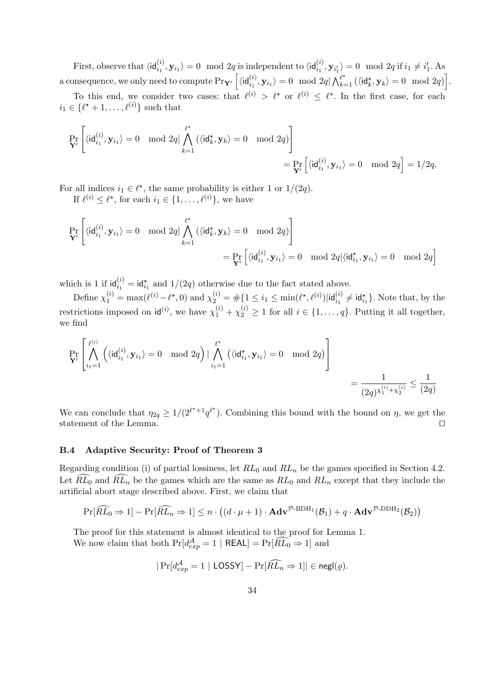First, observe that  $\langle \mathsf{id}_{i_1}^{(i)}, \mathbf{y}_{i_1} \rangle = 0 \mod 2q$  is independent to  $\langle \mathsf{id}_{i_1}^{(i)}, \mathbf{y}_{i'_1} \rangle = 0 \mod 2q$  if  $i_1 \neq i'_1$ . As a consequence, we only need to compute  $\Pr_{\mathbf{Y}'}\left[\langle \mathsf{id}_{i_1}^{(i)}, \mathbf{y}_{i_1} \rangle = 0 \mod 2q | \bigwedge_{k=1}^{\ell^\star} \left(\langle \mathsf{id}_k^\star, \mathbf{y}_k \rangle = 0 \mod 2q \right) \right]$ .

To this end, we consider two cases: that  $\ell^{(i)} > \ell^*$  or  $\ell^{(i)} \leq \ell^*$ . In the first case, for each  $i_1 \in \{\ell^* + 1, \ldots, \ell^{(i)}\}$  such that

$$
\Pr_{\mathbf{Y}'}\left[\langle \mathsf{id}_{i_1}^{(i)}, \mathbf{y}_{i_1} \rangle = 0 \mod 2q \vert \bigwedge_{k=1}^{\ell^\star} \left( \langle \mathsf{id}_k^\star, \mathbf{y}_k \rangle = 0 \mod 2q \right) \right] = \Pr_{\mathbf{Y}'}\left[\langle \mathsf{id}_{i_1}^{(i)}, \mathbf{y}_{i_1} \rangle = 0 \mod 2q \right] = 1/2q.
$$

For all indices  $i_1 \in \ell^*$ , the same probability is either 1 or  $1/(2q)$ . If  $\ell^{(i)} \leq \ell^*$ , for each  $i_1 \in \{1, \ldots, \ell^{(i)}\}$ , we have

$$
\Pr_{\mathbf{Y}'}\left[\langle \mathsf{id}^{(i)}_{i_1}, \mathbf{y}_{i_1} \rangle = 0 \mod 2q | \bigwedge_{k=1}^{\ell^\star} \left(\langle \mathsf{id}^\star_k, \mathbf{y}_k \rangle = 0 \mod 2q \right) \right] \\ = \Pr_{\mathbf{Y}'}\left[\langle \mathsf{id}^{(i)}_{i_1}, \mathbf{y}_{i_1} \rangle = 0 \mod 2q | \langle \mathsf{id}^\star_{i_1}, \mathbf{y}_{i_1} \rangle = 0 \mod 2q \right]
$$

which is 1 if  $\mathsf{id}_{i_1}^{(i)} = \mathsf{id}_{i_1}^*$  and  $1/(2q)$  otherwise due to the fact stated above.

Define  $\chi_1^{(i)} = \max(\ell^{(i)} - \ell^*, 0)$  and  $\chi_2^{(i)} = \#\{1 \le i_1 \le \min(\ell^*, \ell^{(i)}) | \mathsf{id}_{i_1}^{(i)} \neq \mathsf{id}_{i_1}^*\}$ . Note that, by the restrictions imposed on  $\mathsf{id}^{(i)}$ , we have  $\chi_1^{(i)} + \chi_2^{(i)} \ge 1$  for all  $i \in \{1, \ldots, q\}$ . Putting it all together, we find

$$
\Pr_{\mathbf{Y}'}\left[\bigwedge_{i_1=1}^{\ell^{(i)}}\left(\langle\mathrm{id}_{i_1}^{(i)},\mathbf{y}_{i_1}\rangle=0\mod2q\right)|\bigwedge_{i_1=1}^{\ell^\star}\left(\langle\mathrm{id}_{i_1}^\star,\mathbf{y}_{i_1}\rangle=0\mod2q\right)\right]\\=\frac{1}{(2q)^{\chi_1^{(i)}+\chi_2^{(i)}}}\leq\frac{1}{(2q)}
$$

We can conclude that  $\eta_{2q} \geq 1/(2^{\ell^*+1}q^{\ell^*})$ . Combining this bound with the bound on  $\eta$ , we get the statement of the Lemma.  $\hfill \Box$ 

#### B.4 Adaptive Security: Proof of Theorem 3

Regarding condition (i) of partial lossiness, let  $RL_0$  and  $RL_n$  be the games specified in Section 4.2. Let  $\widehat{RL}_0$  and  $\widehat{RL}_n$  be the games which are the same as  $RL_0$  and  $RL_n$  except that they include the artificial abort stage described above. First, we claim that

$$
\Pr[\widehat{RL}_0 \Rightarrow 1] - \Pr[\widehat{RL}_n \Rightarrow 1] \le n \cdot ((d \cdot \mu + 1) \cdot \mathbf{Adv}^{\mathcal{P}\text{-BDH}_1}(\mathcal{B}_1) + q \cdot \mathbf{Adv}^{\mathcal{P}\text{-DDH}_2}(\mathcal{B}_2))
$$

The proof for this statement is almost identical to the proof for Lemma 1. We now claim that both  $Pr[d_{exp}^{\mathcal{A}} = 1 | REAL] = Pr[\widetilde{RL_0} \Rightarrow 1]$  and

$$
|\Pr[d_{exp}^{\mathcal{A}}=1|\text{ LOSSY}] - \Pr[\widehat{RL}_n \Rightarrow 1]| \in \mathsf{negl}(\varrho).
$$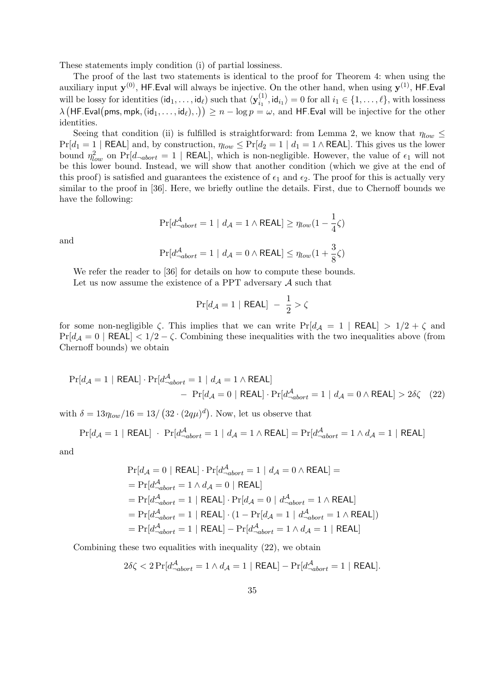These statements imply condition (i) of partial lossiness.

The proof of the last two statements is identical to the proof for Theorem 4: when using the auxiliary input  $y^{(0)}$ , HF.Eval will always be injective. On the other hand, when using  $y^{(1)}$ , HF.Eval will be lossy for identities  $(\mathsf{id}_1, \dots, \mathsf{id}_\ell)$  such that  $\langle \mathbf{y}_i^{(1)} \rangle$  $i_1^{(1)}$ ,  $\mathsf{id}_{i_1}$  = 0 for all  $i_1 \in \{1, \ldots, \ell\}$ , with lossiness  $\lambda\left(\mathsf{HF}.\mathsf{Eval}(\mathsf{pms},\mathsf{mpk},(\mathsf{id}_1,\dots,\mathsf{id}_\ell),.)\right) \geq n - \log p = \omega, \text{ and } \mathsf{HF}.\mathsf{Eval} \text{ will be injective for the other }$ identities.

Seeing that condition (ii) is fulfilled is straightforward: from Lemma 2, we know that  $\eta_{low} \leq$  $Pr[d_1 = 1 | REAL]$  and, by construction,  $\eta_{low} \leq Pr[d_2 = 1 | d_1 = 1 \land REAL]$ . This gives us the lower bound  $\eta_{low}^2$  on  $Pr[d_{-abort} = 1 | REAL],$  which is non-negligible. However, the value of  $\epsilon_1$  will not be this lower bound. Instead, we will show that another condition (which we give at the end of this proof) is satisfied and guarantees the existence of  $\epsilon_1$  and  $\epsilon_2$ . The proof for this is actually very similar to the proof in [36]. Here, we briefly outline the details. First, due to Chernoff bounds we have the following:

$$
\Pr[d_{\neg abort}^{\mathcal{A}} = 1 \mid d_{\mathcal{A}} = 1 \land \mathsf{REAL}] \ge \eta_{low}(1 - \frac{1}{4}\zeta)
$$

and

$$
\Pr[d_{\neg abort}^{\mathcal{A}} = 1 \mid d_{\mathcal{A}} = 0 \land \mathsf{REAL}] \le \eta_{low}(1 + \frac{3}{8}\zeta)
$$

We refer the reader to [36] for details on how to compute these bounds. Let us now assume the existence of a PPT adversary  $A$  such that

$$
\Pr[d_{\mathcal{A}}=1 \mid \mathsf{REAL}] - \frac{1}{2} > \zeta
$$

for some non-negligible  $\zeta$ . This implies that we can write Pr[ $d_{\mathcal{A}} = 1$  | REAL]  $> 1/2 + \zeta$  and  $Pr[d_{\mathcal{A}} = 0 | REAL] < 1/2 - \zeta$ . Combining these inequalities with the two inequalities above (from Chernoff bounds) we obtain

$$
\Pr[d_{\mathcal{A}} = 1 \mid \text{REAL}] \cdot \Pr[d_{\neg abort}^{\mathcal{A}} = 1 \mid d_{\mathcal{A}} = 1 \land \text{REAL}]
$$
  
- 
$$
\Pr[d_{\mathcal{A}} = 0 \mid \text{REAL}] \cdot \Pr[d_{\neg abort}^{\mathcal{A}} = 1 \mid d_{\mathcal{A}} = 0 \land \text{REAL}] > 2\delta\zeta \quad (22)
$$

with  $\delta = 13\eta_{low}/16 = 13/\left(32 \cdot (2q\mu)^d\right)$ . Now, let us observe that

$$
\Pr[d_{\mathcal{A}} = 1 \mid \text{REAL}] \cdot \Pr[d_{\neg abort}^{\mathcal{A}} = 1 \mid d_{\mathcal{A}} = 1 \land \text{REAL}] = \Pr[d_{\neg abort}^{\mathcal{A}} = 1 \land d_{\mathcal{A}} = 1 \mid \text{REAL}]
$$

and

$$
\begin{aligned} &\Pr[d_{\mathcal{A}}=0\mid\text{REAL}]\cdot\Pr[d_{\neg abort}^{\mathcal{A}}=1\mid d_{\mathcal{A}}=0\land\text{REAL}]=\\ &=\Pr[d_{\neg abort}^{\mathcal{A}}=1\land d_{\mathcal{A}}=0\mid\text{REAL}]\\ &=\Pr[d_{\neg abort}^{\mathcal{A}}=1\mid\text{REAL}]\cdot\Pr[d_{\mathcal{A}}=0\mid d_{\neg abort}^{\mathcal{A}}=1\land\text{REAL}]\\ &=\Pr[d_{\neg abort}^{\mathcal{A}}=1\mid\text{REAL}]\cdot(1-\Pr[d_{\mathcal{A}}=1\mid d_{\neg abort}^{\mathcal{A}}=1\land\text{REAL}])\\ &=\Pr[d_{\neg abort}^{\mathcal{A}}=1\mid\text{REAL}]-\Pr[d_{\neg abort}^{\mathcal{A}}=1\land d_{\mathcal{A}}=1\mid\text{REAL}] \end{aligned}
$$

Combining these two equalities with inequality (22), we obtain

$$
2\delta\zeta < 2\Pr[d_{\neg abort}^{\mathcal{A}} = 1 \land d_{\mathcal{A}} = 1 \mid \mathsf{REAL}] - \Pr[d_{\neg abort}^{\mathcal{A}} = 1 \mid \mathsf{REAL}].
$$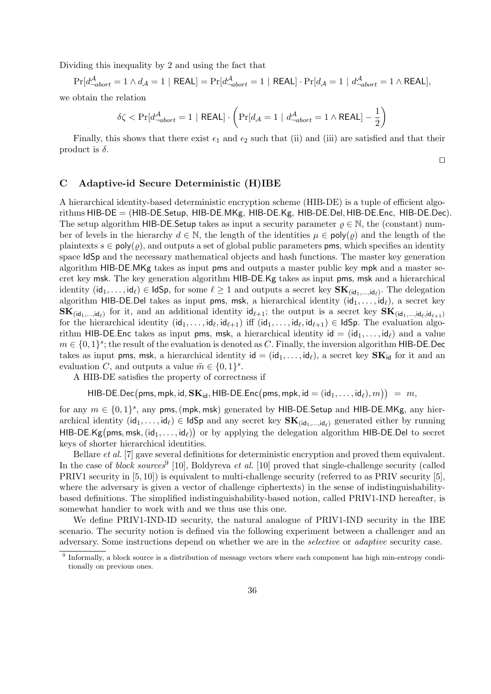Dividing this inequality by 2 and using the fact that

 $\Pr[d_{\neg abort}^{\mathcal{A}} = 1 \land d_{\mathcal{A}} = 1 \mid \mathsf{REAL}] = \Pr[d_{\neg abort}^{\mathcal{A}} = 1 \mid \mathsf{REAL}] \cdot \Pr[d_{\mathcal{A}} = 1 \mid d_{\neg abort}^{\mathcal{A}} = 1 \land \mathsf{REAL}],$ 

we obtain the relation

$$
\delta \zeta < \Pr[d_{\neg abort}^{\mathcal{A}} = 1 \mid \mathsf{REAL}] \cdot \left( \Pr[d_{\mathcal{A}} = 1 \mid d_{\neg abort}^{\mathcal{A}} = 1 \land \mathsf{REAL}] - \frac{1}{2} \right)
$$

Finally, this shows that there exist  $\epsilon_1$  and  $\epsilon_2$  such that (ii) and (iii) are satisfied and that their product is  $\delta$ .

 $\Box$ 

# C Adaptive-id Secure Deterministic (H)IBE

A hierarchical identity-based deterministic encryption scheme (HIB-DE) is a tuple of efficient algorithms HIB-DE = (HIB-DE.Setup, HIB-DE.MKg, HIB-DE.Kg, HIB-DE.Del, HIB-DE.Enc, HIB-DE.Dec). The setup algorithm HIB-DE. Setup takes as input a security parameter  $\rho \in \mathbb{N}$ , the (constant) number of levels in the hierarchy  $d \in \mathbb{N}$ , the length of the identities  $\mu \in \mathsf{poly}(\rho)$  and the length of the plaintexts  $s \in \text{poly}(\rho)$ , and outputs a set of global public parameters **pms**, which specifies an identity space IdSp and the necessary mathematical objects and hash functions. The master key generation algorithm HIB-DE.MKg takes as input pms and outputs a master public key mpk and a master secret key msk. The key generation algorithm HIB-DE.Kg takes as input pms, msk and a hierarchical identity  $(\mathsf{id}_1,\ldots,\mathsf{id}_\ell)\in \mathsf{IdSp},$  for some  $\ell\geq 1$  and outputs a secret key  $\mathbf{SK}_{(\mathsf{id}_1,\ldots,\mathsf{id}_\ell)}$ . The delegation algorithm HIB-DE.Del takes as input pms, msk, a hierarchical identity  $(id_1, \ldots, id_\ell)$ , a secret key  $\mathbf{SK}_{(\mathsf{id}_1,\ldots,\mathsf{id}_\ell)}$  for it, and an additional identity  $\mathsf{id}_{\ell+1}$ ; the output is a secret key  $\mathbf{SK}_{(\mathsf{id}_1,\ldots,\mathsf{id}_\ell,\mathsf{id}_{\ell+1})}$ for the hierarchical identity  $(id_1, \ldots, id_\ell, id_{\ell+1})$  iff  $(id_1, \ldots, id_\ell, id_{\ell+1}) \in IdSp$ . The evaluation algorithm HIB-DE.Enc takes as input pms, msk, a hierarchical identity  $id = (id_1, \ldots, id_\ell)$  and a value  $m \in \{0,1\}^s$ ; the result of the evaluation is denoted as C. Finally, the inversion algorithm HIB-DE.Dec takes as input pms, msk, a hierarchical identity  $id = (id_1, \ldots, id_\ell)$ , a secret key  $SK_{id}$  for it and an evaluation C, and outputs a value  $\tilde{m} \in \{0,1\}^s$ .

A HIB-DE satisfies the property of correctness if

 $\mathsf{HIB\text{-}DE}\text{.Dec}\big(\mathsf{pms},\mathsf{mpk},\mathsf{id},\mathbf{SK}_\mathsf{id},\mathsf{HIB\text{-}DE}.\mathsf{Enc}\big(\mathsf{pms},\mathsf{mpk},\mathsf{id}=(\mathsf{id}_1,\ldots,\mathsf{id}_\ell),m\big) \big) \;=\; m,$ 

for any  $m \in \{0,1\}^s$ , any pms, (mpk, msk) generated by HIB-DE.Setup and HIB-DE.MKg, any hierarchical identity  $(id_1, \ldots, id_\ell) \in IdSp$  and any secret key  $SK_{(id_1, \ldots, id_\ell)}$  generated either by running HIB-DE.Kg(pms, msk,  $(id_1, \ldots, id_\ell)$ ) or by applying the delegation algorithm HIB-DE.Del to secret keys of shorter hierarchical identities.

Bellare et al. [7] gave several definitions for deterministic encryption and proved them equivalent. In the case of *block sources* [10], Boldyreva *et al.* [10] proved that single-challenge security (called PRIV1 security in [5, 10]) is equivalent to multi-challenge security (referred to as PRIV security [5], where the adversary is given a vector of challenge ciphertexts) in the sense of indistinguishabilitybased definitions. The simplified indistinguishability-based notion, called PRIV1-IND hereafter, is somewhat handier to work with and we thus use this one.

We define PRIV1-IND-ID security, the natural analogue of PRIV1-IND security in the IBE scenario. The security notion is defined via the following experiment between a challenger and an adversary. Some instructions depend on whether we are in the selective or adaptive security case.

<sup>9</sup> Informally, a block source is a distribution of message vectors where each component has high min-entropy conditionally on previous ones.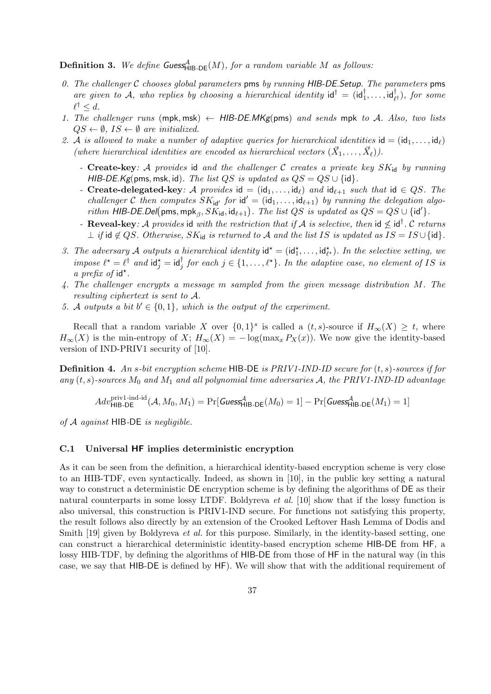**Definition 3.** We define Guess<sub>HIB-DE</sub> $(M)$ , for a random variable M as follows:

- 0. The challenger  $C$  chooses global parameters pms by running HIB-DE. Setup. The parameters pms are given to A, who replies by choosing a hierarchical identity  $\mathsf{id}^\dagger = (\mathsf{id}_1^\dagger, \dots, \mathsf{id}_{\ell^\dagger}^\dagger)$ , for some  $\ell^{\dagger} \leq d.$
- 1. The challenger runs (mpk, msk)  $\leftarrow$  HIB-DE.MKg(pms) and sends mpk to A. Also, two lists  $QS \leftarrow \emptyset$ ,  $IS \leftarrow \emptyset$  are initialized.
- 2. A is allowed to make a number of adaptive queries for hierarchical identities  $id = (id_1, \ldots, id_\ell)$ (where hierarchical identities are encoded as hierarchical vectors  $(\vec{X}_1, \ldots, \vec{X}_\ell)$ ).
	- Create-key: A provides id and the challenger C creates a private key  $SK_{id}$  by running HIB-DE.Kg(pms, msk, id). The list QS is updated as  $QS = QS \cup \{id\}$ .
	- Create-delegated-key: A provides id =  $(id_1, \ldots, id_\ell)$  and  $id_{\ell+1}$  such that id  $\in QS$ . The challenger C then computes  $SK_{id'}$  for  $id' = (id_1, \ldots, id_{\ell+1})$  by running the delegation algorithm HIB-DE.Del(pms, mpk<sub> $\beta$ </sub>,  $S\tilde{K}_{id}$ , id $_{\ell+1}$ ). The list QS is updated as  $QS = QS \cup \{id'\}.$
	- Reveal-key: A provides id with the restriction that if A is selective, then id  $\leq d^{\dagger}$ . C returns  $\perp$  if id  $\notin QS$ . Otherwise,  $SK_{id}$  is returned to A and the list IS is updated as  $IS = IS \cup \{id\}.$
- 3. The adversary A outputs a hierarchical identity  $id^* = (id_1^*, \ldots, id_{\ell^*}^*)$ . In the selective setting, we impose  $\ell^* = \ell^{\dagger}$  and  $\mathrm{id}_j^* = \mathrm{id}_j^{\dagger}$  for each  $j \in \{1, \ldots, \ell^*\}$ . In the adaptive case, no element of IS is a prefix of  $id^*$ .
- 4. The challenger encrypts a message m sampled from the given message distribution M. The resulting ciphertext is sent to A.
- 5. A outputs a bit  $b' \in \{0,1\}$ , which is the output of the experiment.

Recall that a random variable X over  $\{0,1\}^s$  is called a  $(t,s)$ -source if  $H_\infty(X) \geq t$ , where  $H_{\infty}(X)$  is the min-entropy of  $X$ ;  $H_{\infty}(X) = -\log(\max_x P_X(x))$ . We now give the identity-based version of IND-PRIV1 security of [10].

**Definition 4.** An s-bit encryption scheme HIB-DE is PRIV1-IND-ID secure for  $(t, s)$ -sources if for any  $(t, s)$ -sources  $M_0$  and  $M_1$  and all polynomial time adversaries A, the PRIV1-IND-ID advantage

$$
Adv_{\mathsf{HIB-DE}}^{\text{priv1-ind-id}}(\mathcal{A}, M_0, M_1) = \Pr[\mathsf{Guess}_{\mathsf{HIB-DE}}^{\mathcal{A}}(M_0) = 1] - \Pr[\mathsf{Guess}_{\mathsf{HIB-DE}}^{\mathcal{A}}(M_1) = 1]
$$

of  $A$  against HIB-DE is negligible.

# C.1 Universal HF implies deterministic encryption

As it can be seen from the definition, a hierarchical identity-based encryption scheme is very close to an HIB-TDF, even syntactically. Indeed, as shown in [10], in the public key setting a natural way to construct a deterministic DE encryption scheme is by defining the algorithms of DE as their natural counterparts in some lossy LTDF. Boldyreva et al. [10] show that if the lossy function is also universal, this construction is PRIV1-IND secure. For functions not satisfying this property, the result follows also directly by an extension of the Crooked Leftover Hash Lemma of Dodis and Smith [19] given by Boldyreva *et al.* for this purpose. Similarly, in the identity-based setting, one can construct a hierarchical deterministic identity-based encryption scheme HIB-DE from HF, a lossy HIB-TDF, by defining the algorithms of HIB-DE from those of HF in the natural way (in this case, we say that HIB-DE is defined by HF). We will show that with the additional requirement of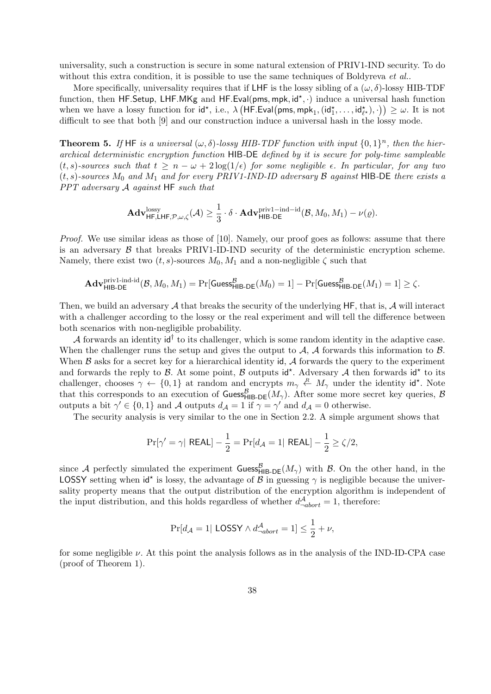universality, such a construction is secure in some natural extension of PRIV1-IND security. To do without this extra condition, it is possible to use the same techniques of Boldyreva et al..

More specifically, universality requires that if LHF is the lossy sibling of a  $(\omega, \delta)$ -lossy HIB-TDF function, then HF.Setup, LHF.MKg and HF.Eval(pms, mpk, id\*, .) induce a universal hash function when we have a lossy function for  $id^*$ , i.e.,  $\lambda \left( \mathsf{HF.Eval}\left(\mathsf{pms},\mathsf{mpk}_1, (id_1^*,\ldots, id_{\ell^*}^*),\cdot\right) \right) \geq \omega$ . It is not difficult to see that both [9] and our construction induce a universal hash in the lossy mode.

**Theorem 5.** If HF is a universal  $(\omega, \delta)$ -lossy HIB-TDF function with input  $\{0, 1\}^n$ , then the hierarchical deterministic encryption function HIB-DE defined by it is secure for poly-time sampleable  $(t, s)$ -sources such that  $t \geq n - \omega + 2 \log(1/\epsilon)$  for some negligible  $\epsilon$ . In particular, for any two  $(t, s)$ -sources  $M_0$  and  $M_1$  and for every PRIV1-IND-ID adversary  $\beta$  against HIB-DE there exists a  $PPT$  adversary  $A$  against  $HF$  such that

$$
\mathbf{Adv}_{\mathsf{HF},\mathsf{LHF},\mathcal{P},\omega,\zeta}^{\mathrm{lossy}}(\mathcal{A})\geq \frac{1}{3}\cdot\delta\cdot\mathbf{Adv}_{\mathsf{HIB}\text{-DE}}^{\mathrm{priv1-ind-id}}(\mathcal{B},M_0,M_1)-\nu(\varrho).
$$

*Proof.* We use similar ideas as those of [10]. Namely, our proof goes as follows: assume that there is an adversary  $\beta$  that breaks PRIV1-ID-IND security of the deterministic encryption scheme. Namely, there exist two  $(t, s)$ -sources  $M_0, M_1$  and a non-negligible  $\zeta$  such that

$$
\mathbf{Adv}_{\mathsf{HIB-DE}}^{\text{priv1-ind-id}}(\mathcal{B}, M_0, M_1) = \Pr[\mathsf{Guess}_{\mathsf{HIB-DE}}^{\mathcal{B}}(M_0) = 1] - \Pr[\mathsf{Guess}_{\mathsf{HIB-DE}}^{\mathcal{B}}(M_1) = 1] \ge \zeta.
$$

Then, we build an adversary  $A$  that breaks the security of the underlying HF, that is,  $A$  will interact with a challenger according to the lossy or the real experiment and will tell the difference between both scenarios with non-negligible probability.

A forwards an identity  $\mathsf{id}^\dagger$  to its challenger, which is some random identity in the adaptive case. When the challenger runs the setup and gives the output to  $A$ ,  $A$  forwards this information to  $B$ . When  $\beta$  asks for a secret key for a hierarchical identity id,  $\mathcal A$  forwards the query to the experiment and forwards the reply to  $\beta$ . At some point,  $\beta$  outputs id<sup>\*</sup>. Adversary  $\mathcal A$  then forwards id<sup>\*</sup> to its challenger, chooses  $\gamma \leftarrow \{0,1\}$  at random and encrypts  $m_{\gamma} \leftarrow M_{\gamma}$  under the identity id<sup>\*</sup>. Note that this corresponds to an execution of  $\textsf{Gness}_{\textsf{HIB-DE}}^B(M_\gamma)$ . After some more secret key queries, B outputs a bit  $\gamma' \in \{0,1\}$  and A outputs  $d_A = 1$  if  $\gamma = \gamma'$  and  $d_A = 0$  otherwise.

The security analysis is very similar to the one in Section 2.2. A simple argument shows that

$$
\Pr[\gamma' = \gamma | \text{ REAL}] - \frac{1}{2} = \Pr[d_{\mathcal{A}} = 1 | \text{ REAL}] - \frac{1}{2} \ge \zeta/2,
$$

since A perfectly simulated the experiment  $\mathsf{Guss}_{\mathsf{HIB-DE}}^{\mathcal{B}}(M_{\gamma})$  with  $\mathcal{B}$ . On the other hand, in the LOSSY setting when  $\mathsf{id}^*$  is lossy, the advantage of  $\mathcal{B}$  in guessing  $\gamma$  is negligible because the universality property means that the output distribution of the encryption algorithm is independent of the input distribution, and this holds regardless of whether  $d_{\neg abort}^{\mathcal{A}} = 1$ , therefore:

$$
\Pr[d_{\mathcal{A}} = 1 | \text{ LOSSY} \land d_{\neg abort}^{\mathcal{A}} = 1] \le \frac{1}{2} + \nu,
$$

for some negligible  $\nu$ . At this point the analysis follows as in the analysis of the IND-ID-CPA case (proof of Theorem 1).